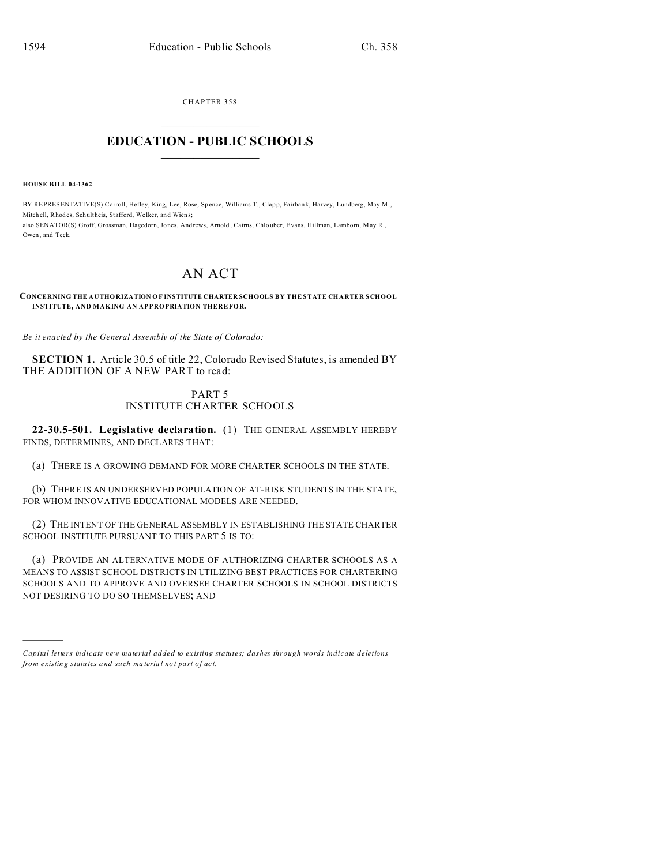CHAPTER 358  $\overline{\phantom{a}}$  , where  $\overline{\phantom{a}}$ 

## **EDUCATION - PUBLIC SCHOOLS**  $\_$   $\_$   $\_$   $\_$   $\_$   $\_$   $\_$   $\_$   $\_$

**HOUSE BILL 04-1362**

)))))

BY REPRESENTATIVE(S) Carroll, Hefley, King, Lee, Rose, Spence, Williams T., Clapp, Fairbank, Harvey, Lundberg, May M., Mitch ell, Rhod es, Schultheis, Stafford, Welker, and Wiens; also SENATOR(S) Groff, Grossman, Hagedorn, Jones, Andrews, Arnold , Cairns, Chlo uber, Evans, Hillman, Lamborn, M ay R., Owen, and Teck.

# AN ACT

#### **CONCERNING THE A UTHORIZATION O F INSTITUTE CHARTER SCHOOLS BY THE STATE CHARTER SCHOOL INSTITUTE, AND MAKING AN APPROPRIATION THEREFOR.**

*Be it enacted by the General Assembly of the State of Colorado:*

**SECTION 1.** Article 30.5 of title 22, Colorado Revised Statutes, is amended BY THE ADDITION OF A NEW PART to read:

#### PART 5 INSTITUTE CHARTER SCHOOLS

**22-30.5-501. Legislative declaration.** (1) THE GENERAL ASSEMBLY HEREBY FINDS, DETERMINES, AND DECLARES THAT:

(a) THERE IS A GROWING DEMAND FOR MORE CHARTER SCHOOLS IN THE STATE.

(b) THERE IS AN UNDERSERVED POPULATION OF AT-RISK STUDENTS IN THE STATE, FOR WHOM INNOVATIVE EDUCATIONAL MODELS ARE NEEDED.

(2) THE INTENT OF THE GENERAL ASSEMBLY IN ESTABLISHING THE STATE CHARTER SCHOOL INSTITUTE PURSUANT TO THIS PART 5 IS TO:

(a) PROVIDE AN ALTERNATIVE MODE OF AUTHORIZING CHARTER SCHOOLS AS A MEANS TO ASSIST SCHOOL DISTRICTS IN UTILIZING BEST PRACTICES FOR CHARTERING SCHOOLS AND TO APPROVE AND OVERSEE CHARTER SCHOOLS IN SCHOOL DISTRICTS NOT DESIRING TO DO SO THEMSELVES; AND

*Capital letters indicate new material added to existing statutes; dashes through words indicate deletions from e xistin g statu tes a nd such ma teria l no t pa rt of ac t.*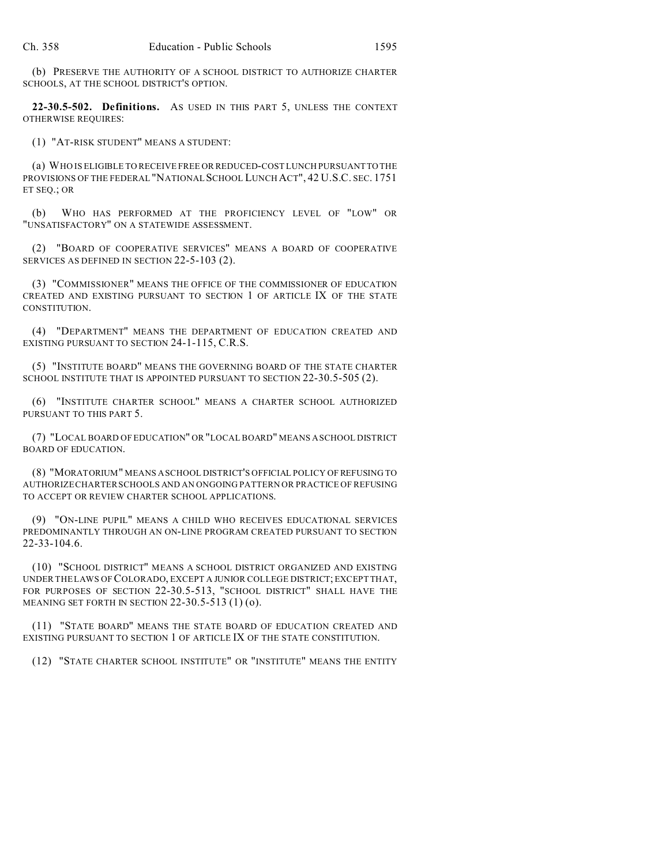(b) PRESERVE THE AUTHORITY OF A SCHOOL DISTRICT TO AUTHORIZE CHARTER SCHOOLS, AT THE SCHOOL DISTRICT'S OPTION.

**22-30.5-502. Definitions.** AS USED IN THIS PART 5, UNLESS THE CONTEXT OTHERWISE REQUIRES:

(1) "AT-RISK STUDENT" MEANS A STUDENT:

(a) WHO IS ELIGIBLE TO RECEIVE FREE OR REDUCED-COST LUNCH PURSUANT TO THE PROVISIONS OF THE FEDERAL "NATIONAL SCHOOL LUNCH ACT", 42 U.S.C. SEC. 1751 ET SEQ.; OR

(b) WHO HAS PERFORMED AT THE PROFICIENCY LEVEL OF "LOW" OR "UNSATISFACTORY" ON A STATEWIDE ASSESSMENT.

(2) "BOARD OF COOPERATIVE SERVICES" MEANS A BOARD OF COOPERATIVE SERVICES AS DEFINED IN SECTION 22-5-103 (2).

(3) "COMMISSIONER" MEANS THE OFFICE OF THE COMMISSIONER OF EDUCATION CREATED AND EXISTING PURSUANT TO SECTION 1 OF ARTICLE IX OF THE STATE CONSTITUTION.

(4) "DEPARTMENT" MEANS THE DEPARTMENT OF EDUCATION CREATED AND EXISTING PURSUANT TO SECTION 24-1-115, C.R.S.

(5) "INSTITUTE BOARD" MEANS THE GOVERNING BOARD OF THE STATE CHARTER SCHOOL INSTITUTE THAT IS APPOINTED PURSUANT TO SECTION 22-30.5-505 (2).

(6) "INSTITUTE CHARTER SCHOOL" MEANS A CHARTER SCHOOL AUTHORIZED PURSUANT TO THIS PART 5.

(7) "LOCAL BOARD OF EDUCATION" OR "LOCAL BOARD" MEANS A SCHOOL DISTRICT BOARD OF EDUCATION.

(8) "MORATORIUM" MEANS A SCHOOL DISTRICT'S OFFICIAL POLICY OF REFUSING TO AUTHORIZE CHARTER SCHOOLS AND AN ONGOING PATTERN OR PRACTICE OF REFUSING TO ACCEPT OR REVIEW CHARTER SCHOOL APPLICATIONS.

(9) "ON-LINE PUPIL" MEANS A CHILD WHO RECEIVES EDUCATIONAL SERVICES PREDOMINANTLY THROUGH AN ON-LINE PROGRAM CREATED PURSUANT TO SECTION 22-33-104.6.

(10) "SCHOOL DISTRICT" MEANS A SCHOOL DISTRICT ORGANIZED AND EXISTING UNDER THE LAWS OF COLORADO, EXCEPT A JUNIOR COLLEGE DISTRICT; EXCEPT THAT, FOR PURPOSES OF SECTION 22-30.5-513, "SCHOOL DISTRICT" SHALL HAVE THE MEANING SET FORTH IN SECTION 22-30.5-513 (1) (o).

(11) "STATE BOARD" MEANS THE STATE BOARD OF EDUCATION CREATED AND EXISTING PURSUANT TO SECTION 1 OF ARTICLE IX OF THE STATE CONSTITUTION.

(12) "STATE CHARTER SCHOOL INSTITUTE" OR "INSTITUTE" MEANS THE ENTITY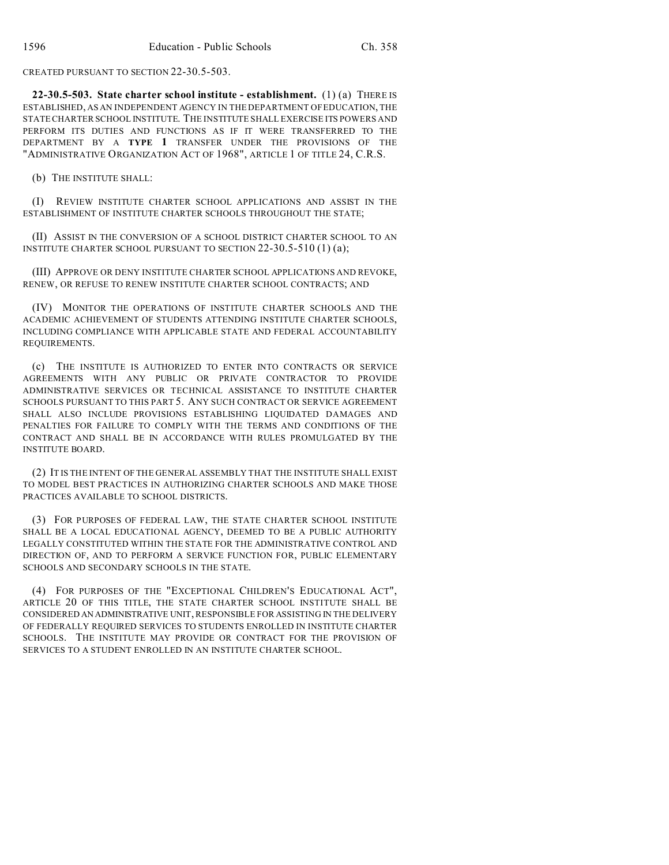CREATED PURSUANT TO SECTION 22-30.5-503.

**22-30.5-503. State charter school institute - establishment.** (1) (a) THERE IS ESTABLISHED, AS AN INDEPENDENT AGENCY IN THE DEPARTMENT OF EDUCATION, THE STATE CHARTER SCHOOL INSTITUTE. THE INSTITUTE SHALL EXERCISE ITS POWERS AND PERFORM ITS DUTIES AND FUNCTIONS AS IF IT WERE TRANSFERRED TO THE DEPARTMENT BY A **TYPE 1** TRANSFER UNDER THE PROVISIONS OF THE "ADMINISTRATIVE ORGANIZATION ACT OF 1968", ARTICLE 1 OF TITLE 24, C.R.S.

(b) THE INSTITUTE SHALL:

(I) REVIEW INSTITUTE CHARTER SCHOOL APPLICATIONS AND ASSIST IN THE ESTABLISHMENT OF INSTITUTE CHARTER SCHOOLS THROUGHOUT THE STATE;

(II) ASSIST IN THE CONVERSION OF A SCHOOL DISTRICT CHARTER SCHOOL TO AN INSTITUTE CHARTER SCHOOL PURSUANT TO SECTION 22-30.5-510 (1) (a);

(III) APPROVE OR DENY INSTITUTE CHARTER SCHOOL APPLICATIONS AND REVOKE, RENEW, OR REFUSE TO RENEW INSTITUTE CHARTER SCHOOL CONTRACTS; AND

(IV) MONITOR THE OPERATIONS OF INSTITUTE CHARTER SCHOOLS AND THE ACADEMIC ACHIEVEMENT OF STUDENTS ATTENDING INSTITUTE CHARTER SCHOOLS, INCLUDING COMPLIANCE WITH APPLICABLE STATE AND FEDERAL ACCOUNTABILITY REQUIREMENTS.

(c) THE INSTITUTE IS AUTHORIZED TO ENTER INTO CONTRACTS OR SERVICE AGREEMENTS WITH ANY PUBLIC OR PRIVATE CONTRACTOR TO PROVIDE ADMINISTRATIVE SERVICES OR TECHNICAL ASSISTANCE TO INSTITUTE CHARTER SCHOOLS PURSUANT TO THIS PART 5. ANY SUCH CONTRACT OR SERVICE AGREEMENT SHALL ALSO INCLUDE PROVISIONS ESTABLISHING LIQUIDATED DAMAGES AND PENALTIES FOR FAILURE TO COMPLY WITH THE TERMS AND CONDITIONS OF THE CONTRACT AND SHALL BE IN ACCORDANCE WITH RULES PROMULGATED BY THE INSTITUTE BOARD.

(2) IT IS THE INTENT OF THE GENERAL ASSEMBLY THAT THE INSTITUTE SHALL EXIST TO MODEL BEST PRACTICES IN AUTHORIZING CHARTER SCHOOLS AND MAKE THOSE PRACTICES AVAILABLE TO SCHOOL DISTRICTS.

(3) FOR PURPOSES OF FEDERAL LAW, THE STATE CHARTER SCHOOL INSTITUTE SHALL BE A LOCAL EDUCATIONAL AGENCY, DEEMED TO BE A PUBLIC AUTHORITY LEGALLY CONSTITUTED WITHIN THE STATE FOR THE ADMINISTRATIVE CONTROL AND DIRECTION OF, AND TO PERFORM A SERVICE FUNCTION FOR, PUBLIC ELEMENTARY SCHOOLS AND SECONDARY SCHOOLS IN THE STATE.

(4) FOR PURPOSES OF THE "EXCEPTIONAL CHILDREN'S EDUCATIONAL ACT", ARTICLE 20 OF THIS TITLE, THE STATE CHARTER SCHOOL INSTITUTE SHALL BE CONSIDERED AN ADMINISTRATIVE UNIT, RESPONSIBLE FOR ASSISTING IN THE DELIVERY OF FEDERALLY REQUIRED SERVICES TO STUDENTS ENROLLED IN INSTITUTE CHARTER SCHOOLS. THE INSTITUTE MAY PROVIDE OR CONTRACT FOR THE PROVISION OF SERVICES TO A STUDENT ENROLLED IN AN INSTITUTE CHARTER SCHOOL.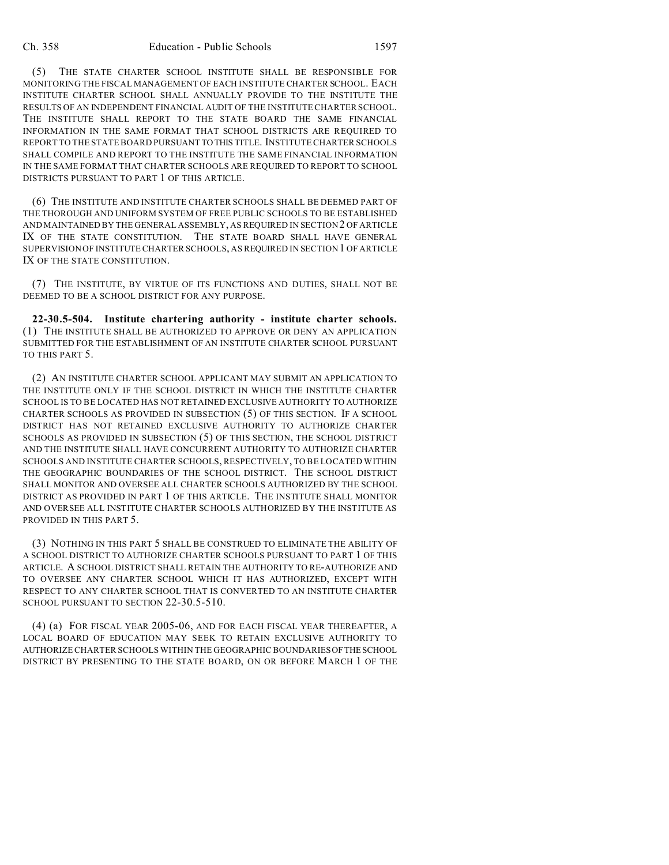(5) THE STATE CHARTER SCHOOL INSTITUTE SHALL BE RESPONSIBLE FOR MONITORING THE FISCAL MANAGEMENT OF EACH INSTITUTE CHARTER SCHOOL. EACH INSTITUTE CHARTER SCHOOL SHALL ANNUALLY PROVIDE TO THE INSTITUTE THE RESULTS OF AN INDEPENDENT FINANCIAL AUDIT OF THE INSTITUTE CHARTER SCHOOL. THE INSTITUTE SHALL REPORT TO THE STATE BOARD THE SAME FINANCIAL INFORMATION IN THE SAME FORMAT THAT SCHOOL DISTRICTS ARE REQUIRED TO REPORT TO THE STATE BOARD PURSUANT TO THIS TITLE. INSTITUTE CHARTER SCHOOLS SHALL COMPILE AND REPORT TO THE INSTITUTE THE SAME FINANCIAL INFORMATION IN THE SAME FORMAT THAT CHARTER SCHOOLS ARE REQUIRED TO REPORT TO SCHOOL DISTRICTS PURSUANT TO PART 1 OF THIS ARTICLE.

(6) THE INSTITUTE AND INSTITUTE CHARTER SCHOOLS SHALL BE DEEMED PART OF THE THOROUGH AND UNIFORM SYSTEM OF FREE PUBLIC SCHOOLS TO BE ESTABLISHED AND MAINTAINED BY THE GENERAL ASSEMBLY, AS REQUIRED IN SECTION 2 OF ARTICLE IX OF THE STATE CONSTITUTION. THE STATE BOARD SHALL HAVE GENERAL SUPERVISION OF INSTITUTE CHARTER SCHOOLS, AS REQUIRED IN SECTION 1 OF ARTICLE IX OF THE STATE CONSTITUTION.

(7) THE INSTITUTE, BY VIRTUE OF ITS FUNCTIONS AND DUTIES, SHALL NOT BE DEEMED TO BE A SCHOOL DISTRICT FOR ANY PURPOSE.

**22-30.5-504. Institute chartering authority - institute charter schools.** (1) THE INSTITUTE SHALL BE AUTHORIZED TO APPROVE OR DENY AN APPLICATION SUBMITTED FOR THE ESTABLISHMENT OF AN INSTITUTE CHARTER SCHOOL PURSUANT TO THIS PART 5.

(2) AN INSTITUTE CHARTER SCHOOL APPLICANT MAY SUBMIT AN APPLICATION TO THE INSTITUTE ONLY IF THE SCHOOL DISTRICT IN WHICH THE INSTITUTE CHARTER SCHOOL IS TO BE LOCATED HAS NOT RETAINED EXCLUSIVE AUTHORITY TO AUTHORIZE CHARTER SCHOOLS AS PROVIDED IN SUBSECTION (5) OF THIS SECTION. IF A SCHOOL DISTRICT HAS NOT RETAINED EXCLUSIVE AUTHORITY TO AUTHORIZE CHARTER SCHOOLS AS PROVIDED IN SUBSECTION (5) OF THIS SECTION, THE SCHOOL DISTRICT AND THE INSTITUTE SHALL HAVE CONCURRENT AUTHORITY TO AUTHORIZE CHARTER SCHOOLS AND INSTITUTE CHARTER SCHOOLS, RESPECTIVELY, TO BE LOCATED WITHIN THE GEOGRAPHIC BOUNDARIES OF THE SCHOOL DISTRICT. THE SCHOOL DISTRICT SHALL MONITOR AND OVERSEE ALL CHARTER SCHOOLS AUTHORIZED BY THE SCHOOL DISTRICT AS PROVIDED IN PART 1 OF THIS ARTICLE. THE INSTITUTE SHALL MONITOR AND OVERSEE ALL INSTITUTE CHARTER SCHOOLS AUTHORIZED BY THE INSTITUTE AS PROVIDED IN THIS PART 5.

(3) NOTHING IN THIS PART 5 SHALL BE CONSTRUED TO ELIMINATE THE ABILITY OF A SCHOOL DISTRICT TO AUTHORIZE CHARTER SCHOOLS PURSUANT TO PART 1 OF THIS ARTICLE. A SCHOOL DISTRICT SHALL RETAIN THE AUTHORITY TO RE-AUTHORIZE AND TO OVERSEE ANY CHARTER SCHOOL WHICH IT HAS AUTHORIZED, EXCEPT WITH RESPECT TO ANY CHARTER SCHOOL THAT IS CONVERTED TO AN INSTITUTE CHARTER SCHOOL PURSUANT TO SECTION 22-30.5-510.

(4) (a) FOR FISCAL YEAR 2005-06, AND FOR EACH FISCAL YEAR THEREAFTER, A LOCAL BOARD OF EDUCATION MAY SEEK TO RETAIN EXCLUSIVE AUTHORITY TO AUTHORIZE CHARTER SCHOOLS WITHIN THE GEOGRAPHIC BOUNDARIESOFTHESCHOOL DISTRICT BY PRESENTING TO THE STATE BOARD, ON OR BEFORE MARCH 1 OF THE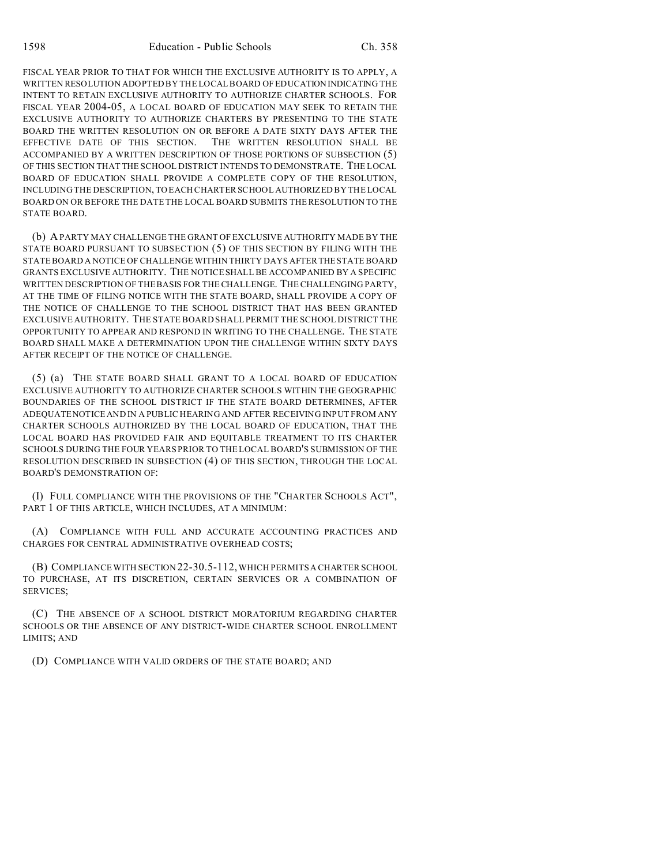FISCAL YEAR PRIOR TO THAT FOR WHICH THE EXCLUSIVE AUTHORITY IS TO APPLY, A WRITTEN RESOLUTION ADOPTED BY THE LOCAL BOARD OF EDUCATION INDICATING THE INTENT TO RETAIN EXCLUSIVE AUTHORITY TO AUTHORIZE CHARTER SCHOOLS. FOR FISCAL YEAR 2004-05, A LOCAL BOARD OF EDUCATION MAY SEEK TO RETAIN THE EXCLUSIVE AUTHORITY TO AUTHORIZE CHARTERS BY PRESENTING TO THE STATE BOARD THE WRITTEN RESOLUTION ON OR BEFORE A DATE SIXTY DAYS AFTER THE EFFECTIVE DATE OF THIS SECTION. THE WRITTEN RESOLUTION SHALL BE ACCOMPANIED BY A WRITTEN DESCRIPTION OF THOSE PORTIONS OF SUBSECTION (5) OF THIS SECTION THAT THE SCHOOL DISTRICT INTENDS TO DEMONSTRATE. THE LOCAL BOARD OF EDUCATION SHALL PROVIDE A COMPLETE COPY OF THE RESOLUTION, INCLUDING THE DESCRIPTION, TO EACH CHARTER SCHOOL AUTHORIZED BY THE LOCAL BOARD ON OR BEFORE THE DATE THE LOCAL BOARD SUBMITS THE RESOLUTION TO THE STATE BOARD.

(b) A PARTY MAY CHALLENGE THE GRANT OF EXCLUSIVE AUTHORITY MADE BY THE STATE BOARD PURSUANT TO SUBSECTION (5) OF THIS SECTION BY FILING WITH THE STATE BOARD A NOTICE OF CHALLENGE WITHIN THIRTY DAYS AFTERTHE STATE BOARD GRANTS EXCLUSIVE AUTHORITY. THE NOTICE SHALL BE ACCOMPANIED BY A SPECIFIC WRITTEN DESCRIPTION OF THE BASIS FOR THE CHALLENGE. THE CHALLENGING PARTY, AT THE TIME OF FILING NOTICE WITH THE STATE BOARD, SHALL PROVIDE A COPY OF THE NOTICE OF CHALLENGE TO THE SCHOOL DISTRICT THAT HAS BEEN GRANTED EXCLUSIVE AUTHORITY. THE STATE BOARD SHALL PERMIT THE SCHOOL DISTRICT THE OPPORTUNITY TO APPEAR AND RESPOND IN WRITING TO THE CHALLENGE. THE STATE BOARD SHALL MAKE A DETERMINATION UPON THE CHALLENGE WITHIN SIXTY DAYS AFTER RECEIPT OF THE NOTICE OF CHALLENGE.

(5) (a) THE STATE BOARD SHALL GRANT TO A LOCAL BOARD OF EDUCATION EXCLUSIVE AUTHORITY TO AUTHORIZE CHARTER SCHOOLS WITHIN THE GEOGRAPHIC BOUNDARIES OF THE SCHOOL DISTRICT IF THE STATE BOARD DETERMINES, AFTER ADEQUATE NOTICE AND IN A PUBLIC HEARING AND AFTER RECEIVING INPUT FROM ANY CHARTER SCHOOLS AUTHORIZED BY THE LOCAL BOARD OF EDUCATION, THAT THE LOCAL BOARD HAS PROVIDED FAIR AND EQUITABLE TREATMENT TO ITS CHARTER SCHOOLS DURING THE FOUR YEARS PRIOR TO THE LOCAL BOARD'S SUBMISSION OF THE RESOLUTION DESCRIBED IN SUBSECTION (4) OF THIS SECTION, THROUGH THE LOCAL BOARD'S DEMONSTRATION OF:

(I) FULL COMPLIANCE WITH THE PROVISIONS OF THE "CHARTER SCHOOLS ACT", PART 1 OF THIS ARTICLE, WHICH INCLUDES, AT A MINIMUM:

(A) COMPLIANCE WITH FULL AND ACCURATE ACCOUNTING PRACTICES AND CHARGES FOR CENTRAL ADMINISTRATIVE OVERHEAD COSTS;

(B) COMPLIANCE WITH SECTION 22-30.5-112, WHICH PERMITS A CHARTER SCHOOL TO PURCHASE, AT ITS DISCRETION, CERTAIN SERVICES OR A COMBINATION OF SERVICES;

(C) THE ABSENCE OF A SCHOOL DISTRICT MORATORIUM REGARDING CHARTER SCHOOLS OR THE ABSENCE OF ANY DISTRICT-WIDE CHARTER SCHOOL ENROLLMENT LIMITS; AND

(D) COMPLIANCE WITH VALID ORDERS OF THE STATE BOARD; AND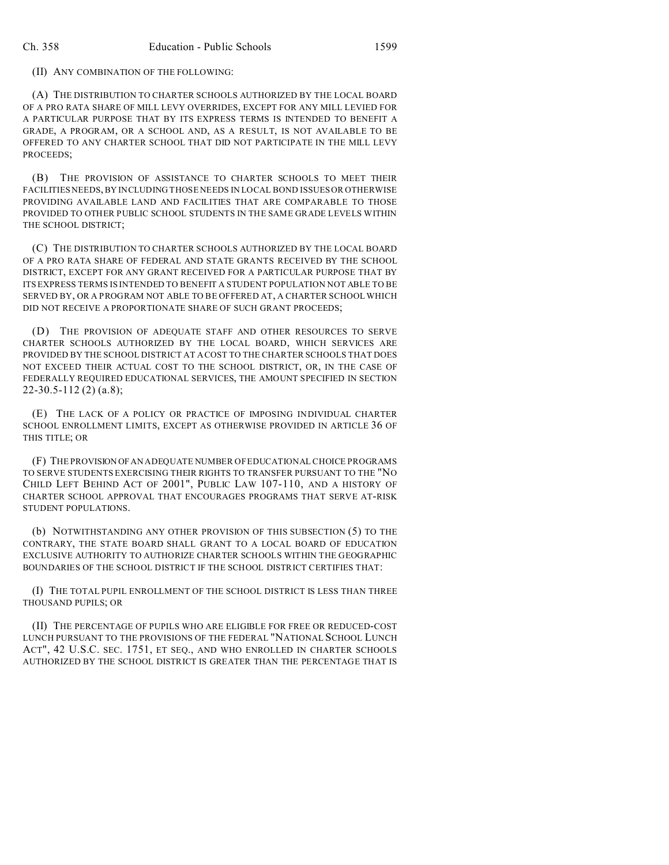#### (II) ANY COMBINATION OF THE FOLLOWING:

(A) THE DISTRIBUTION TO CHARTER SCHOOLS AUTHORIZED BY THE LOCAL BOARD OF A PRO RATA SHARE OF MILL LEVY OVERRIDES, EXCEPT FOR ANY MILL LEVIED FOR A PARTICULAR PURPOSE THAT BY ITS EXPRESS TERMS IS INTENDED TO BENEFIT A GRADE, A PROGRAM, OR A SCHOOL AND, AS A RESULT, IS NOT AVAILABLE TO BE OFFERED TO ANY CHARTER SCHOOL THAT DID NOT PARTICIPATE IN THE MILL LEVY PROCEEDS;

(B) THE PROVISION OF ASSISTANCE TO CHARTER SCHOOLS TO MEET THEIR FACILITIES NEEDS, BY INCLUDING THOSE NEEDS IN LOCAL BOND ISSUES OR OTHERWISE PROVIDING AVAILABLE LAND AND FACILITIES THAT ARE COMPARABLE TO THOSE PROVIDED TO OTHER PUBLIC SCHOOL STUDENTS IN THE SAME GRADE LEVELS WITHIN THE SCHOOL DISTRICT;

(C) THE DISTRIBUTION TO CHARTER SCHOOLS AUTHORIZED BY THE LOCAL BOARD OF A PRO RATA SHARE OF FEDERAL AND STATE GRANTS RECEIVED BY THE SCHOOL DISTRICT, EXCEPT FOR ANY GRANT RECEIVED FOR A PARTICULAR PURPOSE THAT BY ITS EXPRESS TERMS IS INTENDED TO BENEFIT A STUDENT POPULATION NOT ABLE TO BE SERVED BY, OR A PROGRAM NOT ABLE TO BE OFFERED AT, A CHARTER SCHOOL WHICH DID NOT RECEIVE A PROPORTIONATE SHARE OF SUCH GRANT PROCEEDS;

(D) THE PROVISION OF ADEQUATE STAFF AND OTHER RESOURCES TO SERVE CHARTER SCHOOLS AUTHORIZED BY THE LOCAL BOARD, WHICH SERVICES ARE PROVIDED BY THE SCHOOL DISTRICT AT A COST TO THE CHARTER SCHOOLS THAT DOES NOT EXCEED THEIR ACTUAL COST TO THE SCHOOL DISTRICT, OR, IN THE CASE OF FEDERALLY REQUIRED EDUCATIONAL SERVICES, THE AMOUNT SPECIFIED IN SECTION 22-30.5-112 (2) (a.8);

(E) THE LACK OF A POLICY OR PRACTICE OF IMPOSING INDIVIDUAL CHARTER SCHOOL ENROLLMENT LIMITS, EXCEPT AS OTHERWISE PROVIDED IN ARTICLE 36 OF THIS TITLE; OR

(F) THE PROVISION OF AN ADEQUATE NUMBER OF EDUCATIONAL CHOICE PROGRAMS TO SERVE STUDENTS EXERCISING THEIR RIGHTS TO TRANSFER PURSUANT TO THE "NO CHILD LEFT BEHIND ACT OF 2001", PUBLIC LAW 107-110, AND A HISTORY OF CHARTER SCHOOL APPROVAL THAT ENCOURAGES PROGRAMS THAT SERVE AT-RISK STUDENT POPULATIONS.

(b) NOTWITHSTANDING ANY OTHER PROVISION OF THIS SUBSECTION (5) TO THE CONTRARY, THE STATE BOARD SHALL GRANT TO A LOCAL BOARD OF EDUCATION EXCLUSIVE AUTHORITY TO AUTHORIZE CHARTER SCHOOLS WITHIN THE GEOGRAPHIC BOUNDARIES OF THE SCHOOL DISTRICT IF THE SCHOOL DISTRICT CERTIFIES THAT:

(I) THE TOTAL PUPIL ENROLLMENT OF THE SCHOOL DISTRICT IS LESS THAN THREE THOUSAND PUPILS; OR

(II) THE PERCENTAGE OF PUPILS WHO ARE ELIGIBLE FOR FREE OR REDUCED-COST LUNCH PURSUANT TO THE PROVISIONS OF THE FEDERAL "NATIONAL SCHOOL LUNCH ACT", 42 U.S.C. SEC. 1751, ET SEQ., AND WHO ENROLLED IN CHARTER SCHOOLS AUTHORIZED BY THE SCHOOL DISTRICT IS GREATER THAN THE PERCENTAGE THAT IS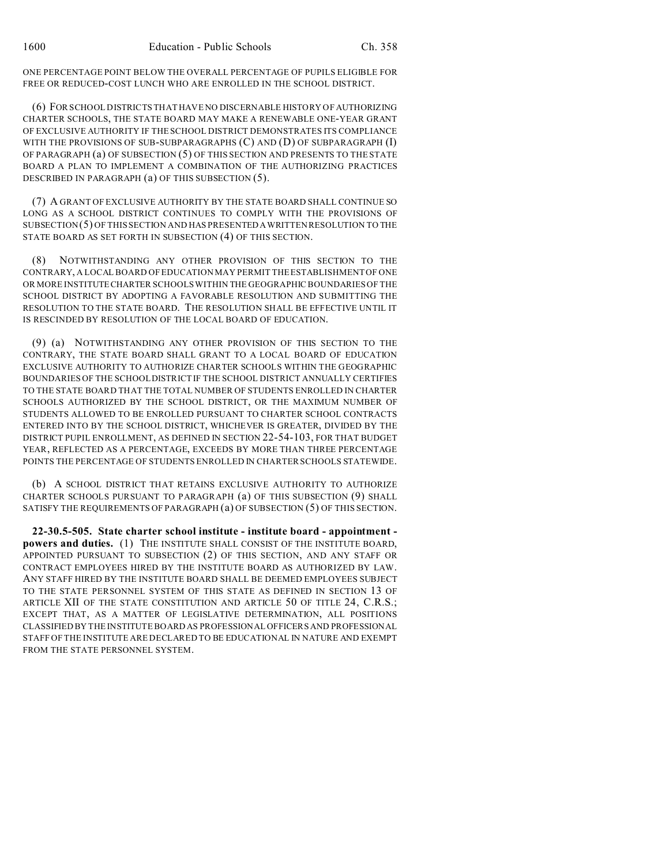ONE PERCENTAGE POINT BELOW THE OVERALL PERCENTAGE OF PUPILS ELIGIBLE FOR FREE OR REDUCED-COST LUNCH WHO ARE ENROLLED IN THE SCHOOL DISTRICT.

(6) FOR SCHOOL DISTRICTS THAT HAVE NO DISCERNABLE HISTORY OF AUTHORIZING CHARTER SCHOOLS, THE STATE BOARD MAY MAKE A RENEWABLE ONE-YEAR GRANT OF EXCLUSIVE AUTHORITY IF THE SCHOOL DISTRICT DEMONSTRATES ITS COMPLIANCE WITH THE PROVISIONS OF SUB-SUBPARAGRAPHS (C) AND (D) OF SUBPARAGRAPH (I) OF PARAGRAPH (a) OF SUBSECTION (5) OF THIS SECTION AND PRESENTS TO THE STATE BOARD A PLAN TO IMPLEMENT A COMBINATION OF THE AUTHORIZING PRACTICES DESCRIBED IN PARAGRAPH (a) OF THIS SUBSECTION (5).

(7) A GRANT OF EXCLUSIVE AUTHORITY BY THE STATE BOARD SHALL CONTINUE SO LONG AS A SCHOOL DISTRICT CONTINUES TO COMPLY WITH THE PROVISIONS OF SUBSECTION(5) OF THIS SECTION AND HAS PRESENTED AWRITTEN RESOLUTION TO THE STATE BOARD AS SET FORTH IN SUBSECTION (4) OF THIS SECTION.

(8) NOTWITHSTANDING ANY OTHER PROVISION OF THIS SECTION TO THE CONTRARY, A LOCAL BOARD OF EDUCATION MAY PERMIT THE ESTABLISHMENT OF ONE OR MORE INSTITUTECHARTER SCHOOLS WITHIN THE GEOGRAPHIC BOUNDARIES OF THE SCHOOL DISTRICT BY ADOPTING A FAVORABLE RESOLUTION AND SUBMITTING THE RESOLUTION TO THE STATE BOARD. THE RESOLUTION SHALL BE EFFECTIVE UNTIL IT IS RESCINDED BY RESOLUTION OF THE LOCAL BOARD OF EDUCATION.

(9) (a) NOTWITHSTANDING ANY OTHER PROVISION OF THIS SECTION TO THE CONTRARY, THE STATE BOARD SHALL GRANT TO A LOCAL BOARD OF EDUCATION EXCLUSIVE AUTHORITY TO AUTHORIZE CHARTER SCHOOLS WITHIN THE GEOGRAPHIC BOUNDARIES OF THE SCHOOL DISTRICT IF THE SCHOOL DISTRICT ANNUALLY CERTIFIES TO THE STATE BOARD THAT THE TOTAL NUMBER OF STUDENTS ENROLLED IN CHARTER SCHOOLS AUTHORIZED BY THE SCHOOL DISTRICT, OR THE MAXIMUM NUMBER OF STUDENTS ALLOWED TO BE ENROLLED PURSUANT TO CHARTER SCHOOL CONTRACTS ENTERED INTO BY THE SCHOOL DISTRICT, WHICHEVER IS GREATER, DIVIDED BY THE DISTRICT PUPIL ENROLLMENT, AS DEFINED IN SECTION 22-54-103, FOR THAT BUDGET YEAR, REFLECTED AS A PERCENTAGE, EXCEEDS BY MORE THAN THREE PERCENTAGE POINTS THE PERCENTAGE OF STUDENTS ENROLLED IN CHARTER SCHOOLS STATEWIDE.

(b) A SCHOOL DISTRICT THAT RETAINS EXCLUSIVE AUTHORITY TO AUTHORIZE CHARTER SCHOOLS PURSUANT TO PARAGRAPH (a) OF THIS SUBSECTION (9) SHALL SATISFY THE REQUIREMENTS OF PARAGRAPH (a) OF SUBSECTION (5) OF THIS SECTION.

**22-30.5-505. State charter school institute - institute board - appointment powers and duties.** (1) THE INSTITUTE SHALL CONSIST OF THE INSTITUTE BOARD, APPOINTED PURSUANT TO SUBSECTION (2) OF THIS SECTION, AND ANY STAFF OR CONTRACT EMPLOYEES HIRED BY THE INSTITUTE BOARD AS AUTHORIZED BY LAW. ANY STAFF HIRED BY THE INSTITUTE BOARD SHALL BE DEEMED EMPLOYEES SUBJECT TO THE STATE PERSONNEL SYSTEM OF THIS STATE AS DEFINED IN SECTION 13 OF ARTICLE XII OF THE STATE CONSTITUTION AND ARTICLE 50 OF TITLE 24, C.R.S.; EXCEPT THAT, AS A MATTER OF LEGISLATIVE DETERMINATION, ALL POSITIONS CLASSIFIED BY THE INSTITUTE BOARD AS PROFESSIONAL OFFICERS AND PROFESSIONAL STAFF OF THE INSTITUTE ARE DECLARED TO BE EDUCATIONAL IN NATURE AND EXEMPT FROM THE STATE PERSONNEL SYSTEM.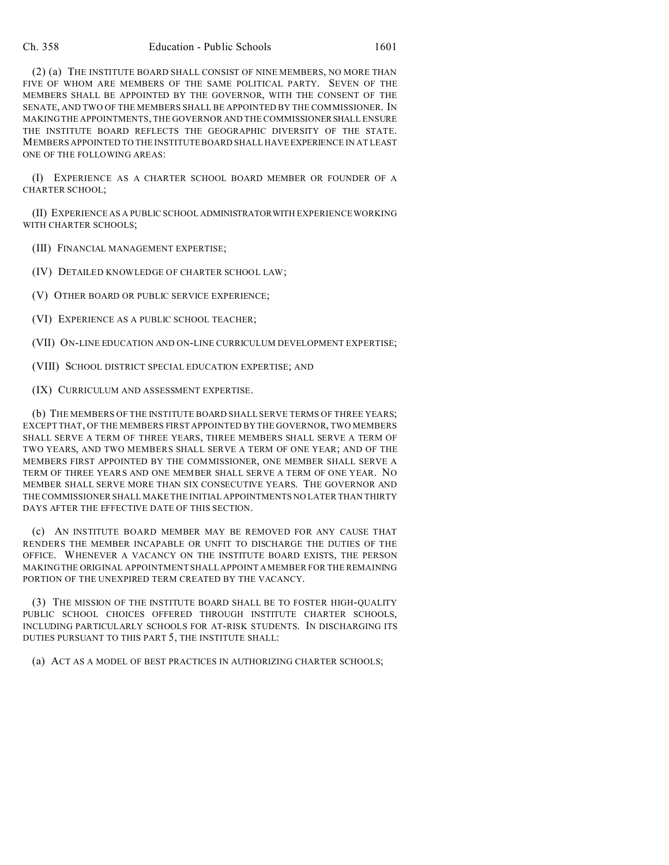(2) (a) THE INSTITUTE BOARD SHALL CONSIST OF NINE MEMBERS, NO MORE THAN FIVE OF WHOM ARE MEMBERS OF THE SAME POLITICAL PARTY. SEVEN OF THE MEMBERS SHALL BE APPOINTED BY THE GOVERNOR, WITH THE CONSENT OF THE SENATE, AND TWO OF THE MEMBERS SHALL BE APPOINTED BY THE COMMISSIONER. IN MAKING THE APPOINTMENTS, THE GOVERNOR AND THE COMMISSIONERSHALL ENSURE THE INSTITUTE BOARD REFLECTS THE GEOGRAPHIC DIVERSITY OF THE STATE. MEMBERS APPOINTED TO THE INSTITUTE BOARD SHALL HAVE EXPERIENCE IN AT LEAST ONE OF THE FOLLOWING AREAS:

(I) EXPERIENCE AS A CHARTER SCHOOL BOARD MEMBER OR FOUNDER OF A CHARTER SCHOOL;

(II) EXPERIENCE AS A PUBLIC SCHOOL ADMINISTRATORWITH EXPERIENCE WORKING WITH CHARTER SCHOOLS;

(III) FINANCIAL MANAGEMENT EXPERTISE;

(IV) DETAILED KNOWLEDGE OF CHARTER SCHOOL LAW;

(V) OTHER BOARD OR PUBLIC SERVICE EXPERIENCE;

(VI) EXPERIENCE AS A PUBLIC SCHOOL TEACHER;

(VII) ON-LINE EDUCATION AND ON-LINE CURRICULUM DEVELOPMENT EXPERTISE;

(VIII) SCHOOL DISTRICT SPECIAL EDUCATION EXPERTISE; AND

(IX) CURRICULUM AND ASSESSMENT EXPERTISE.

(b) THE MEMBERS OF THE INSTITUTE BOARD SHALL SERVE TERMS OF THREE YEARS; EXCEPT THAT, OF THE MEMBERS FIRST APPOINTED BY THE GOVERNOR, TWO MEMBERS SHALL SERVE A TERM OF THREE YEARS, THREE MEMBERS SHALL SERVE A TERM OF TWO YEARS, AND TWO MEMBERS SHALL SERVE A TERM OF ONE YEAR; AND OF THE MEMBERS FIRST APPOINTED BY THE COMMISSIONER, ONE MEMBER SHALL SERVE A TERM OF THREE YEARS AND ONE MEMBER SHALL SERVE A TERM OF ONE YEAR. NO MEMBER SHALL SERVE MORE THAN SIX CONSECUTIVE YEARS. THE GOVERNOR AND THE COMMISSIONER SHALL MAKE THE INITIAL APPOINTMENTS NO LATER THAN THIRTY DAYS AFTER THE EFFECTIVE DATE OF THIS SECTION.

(c) AN INSTITUTE BOARD MEMBER MAY BE REMOVED FOR ANY CAUSE THAT RENDERS THE MEMBER INCAPABLE OR UNFIT TO DISCHARGE THE DUTIES OF THE OFFICE. WHENEVER A VACANCY ON THE INSTITUTE BOARD EXISTS, THE PERSON MAKING THE ORIGINAL APPOINTMENT SHALL APPOINT A MEMBER FOR THE REMAINING PORTION OF THE UNEXPIRED TERM CREATED BY THE VACANCY.

(3) THE MISSION OF THE INSTITUTE BOARD SHALL BE TO FOSTER HIGH-QUALITY PUBLIC SCHOOL CHOICES OFFERED THROUGH INSTITUTE CHARTER SCHOOLS, INCLUDING PARTICULARLY SCHOOLS FOR AT-RISK STUDENTS. IN DISCHARGING ITS DUTIES PURSUANT TO THIS PART 5, THE INSTITUTE SHALL:

(a) ACT AS A MODEL OF BEST PRACTICES IN AUTHORIZING CHARTER SCHOOLS;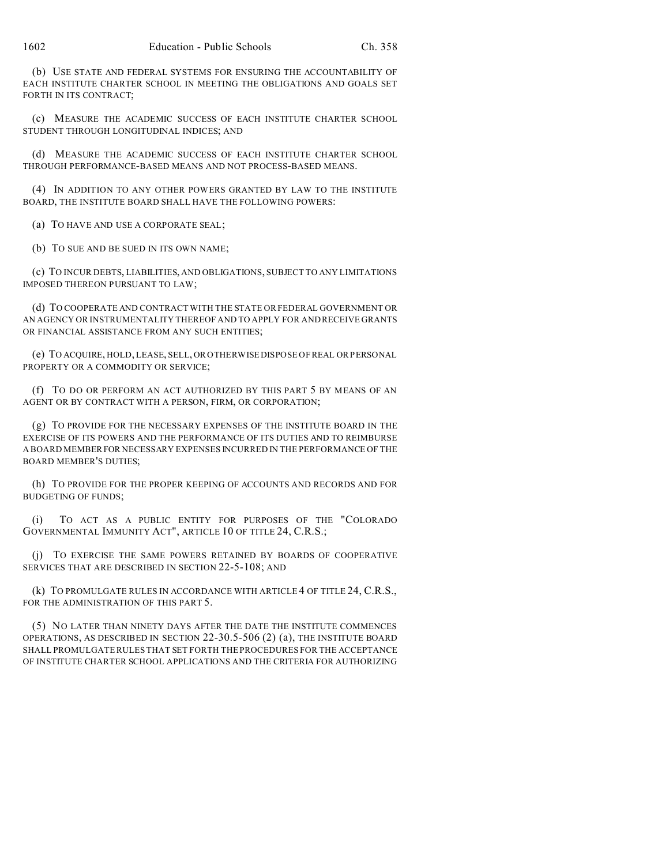(b) USE STATE AND FEDERAL SYSTEMS FOR ENSURING THE ACCOUNTABILITY OF EACH INSTITUTE CHARTER SCHOOL IN MEETING THE OBLIGATIONS AND GOALS SET FORTH IN ITS CONTRACT;

(c) MEASURE THE ACADEMIC SUCCESS OF EACH INSTITUTE CHARTER SCHOOL STUDENT THROUGH LONGITUDINAL INDICES; AND

(d) MEASURE THE ACADEMIC SUCCESS OF EACH INSTITUTE CHARTER SCHOOL THROUGH PERFORMANCE-BASED MEANS AND NOT PROCESS-BASED MEANS.

(4) IN ADDITION TO ANY OTHER POWERS GRANTED BY LAW TO THE INSTITUTE BOARD, THE INSTITUTE BOARD SHALL HAVE THE FOLLOWING POWERS:

(a) TO HAVE AND USE A CORPORATE SEAL;

(b) TO SUE AND BE SUED IN ITS OWN NAME;

(c) TO INCUR DEBTS, LIABILITIES, AND OBLIGATIONS, SUBJECT TO ANY LIMITATIONS IMPOSED THEREON PURSUANT TO LAW;

(d) TO COOPERATE AND CONTRACT WITH THE STATE OR FEDERAL GOVERNMENT OR AN AGENCY OR INSTRUMENTALITY THEREOF AND TO APPLY FOR AND RECEIVE GRANTS OR FINANCIAL ASSISTANCE FROM ANY SUCH ENTITIES;

(e) TO ACQUIRE, HOLD, LEASE, SELL, OR OTHERWISE DISPOSE OF REAL OR PERSONAL PROPERTY OR A COMMODITY OR SERVICE;

(f) TO DO OR PERFORM AN ACT AUTHORIZED BY THIS PART 5 BY MEANS OF AN AGENT OR BY CONTRACT WITH A PERSON, FIRM, OR CORPORATION;

(g) TO PROVIDE FOR THE NECESSARY EXPENSES OF THE INSTITUTE BOARD IN THE EXERCISE OF ITS POWERS AND THE PERFORMANCE OF ITS DUTIES AND TO REIMBURSE A BOARD MEMBERFOR NECESSARY EXPENSES INCURRED IN THE PERFORMANCE OF THE BOARD MEMBER'S DUTIES;

(h) TO PROVIDE FOR THE PROPER KEEPING OF ACCOUNTS AND RECORDS AND FOR BUDGETING OF FUNDS;

(i) TO ACT AS A PUBLIC ENTITY FOR PURPOSES OF THE "COLORADO GOVERNMENTAL IMMUNITY ACT", ARTICLE 10 OF TITLE 24, C.R.S.;

(j) TO EXERCISE THE SAME POWERS RETAINED BY BOARDS OF COOPERATIVE SERVICES THAT ARE DESCRIBED IN SECTION 22-5-108; AND

(k) TO PROMULGATE RULES IN ACCORDANCE WITH ARTICLE 4 OF TITLE 24, C.R.S., FOR THE ADMINISTRATION OF THIS PART 5.

(5) NO LATER THAN NINETY DAYS AFTER THE DATE THE INSTITUTE COMMENCES OPERATIONS, AS DESCRIBED IN SECTION 22-30.5-506 (2) (a), THE INSTITUTE BOARD SHALL PROMULGATE RULES THAT SET FORTH THE PROCEDURES FOR THE ACCEPTANCE OF INSTITUTE CHARTER SCHOOL APPLICATIONS AND THE CRITERIA FOR AUTHORIZING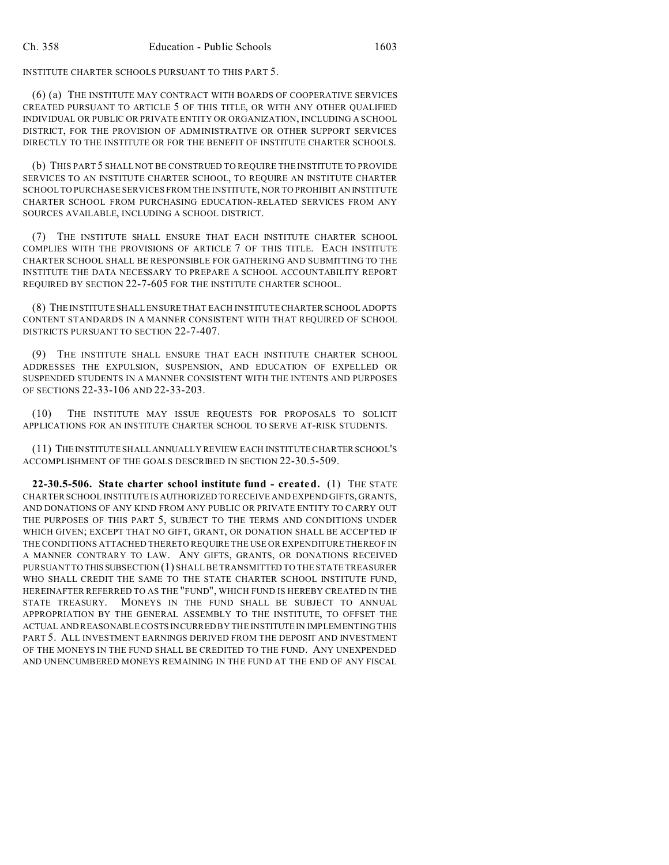INSTITUTE CHARTER SCHOOLS PURSUANT TO THIS PART 5.

(6) (a) THE INSTITUTE MAY CONTRACT WITH BOARDS OF COOPERATIVE SERVICES CREATED PURSUANT TO ARTICLE 5 OF THIS TITLE, OR WITH ANY OTHER QUALIFIED INDIVIDUAL OR PUBLIC OR PRIVATE ENTITY OR ORGANIZATION, INCLUDING A SCHOOL DISTRICT, FOR THE PROVISION OF ADMINISTRATIVE OR OTHER SUPPORT SERVICES DIRECTLY TO THE INSTITUTE OR FOR THE BENEFIT OF INSTITUTE CHARTER SCHOOLS.

(b) THIS PART 5 SHALL NOT BE CONSTRUED TO REQUIRE THE INSTITUTE TO PROVIDE SERVICES TO AN INSTITUTE CHARTER SCHOOL, TO REQUIRE AN INSTITUTE CHARTER SCHOOL TO PURCHASE SERVICES FROM THE INSTITUTE, NOR TO PROHIBIT AN INSTITUTE CHARTER SCHOOL FROM PURCHASING EDUCATION-RELATED SERVICES FROM ANY SOURCES AVAILABLE, INCLUDING A SCHOOL DISTRICT.

(7) THE INSTITUTE SHALL ENSURE THAT EACH INSTITUTE CHARTER SCHOOL COMPLIES WITH THE PROVISIONS OF ARTICLE 7 OF THIS TITLE. EACH INSTITUTE CHARTER SCHOOL SHALL BE RESPONSIBLE FOR GATHERING AND SUBMITTING TO THE INSTITUTE THE DATA NECESSARY TO PREPARE A SCHOOL ACCOUNTABILITY REPORT REQUIRED BY SECTION 22-7-605 FOR THE INSTITUTE CHARTER SCHOOL.

(8) THE INSTITUTE SHALL ENSURE THAT EACH INSTITUTE CHARTER SCHOOL ADOPTS CONTENT STANDARDS IN A MANNER CONSISTENT WITH THAT REQUIRED OF SCHOOL DISTRICTS PURSUANT TO SECTION 22-7-407.

(9) THE INSTITUTE SHALL ENSURE THAT EACH INSTITUTE CHARTER SCHOOL ADDRESSES THE EXPULSION, SUSPENSION, AND EDUCATION OF EXPELLED OR SUSPENDED STUDENTS IN A MANNER CONSISTENT WITH THE INTENTS AND PURPOSES OF SECTIONS 22-33-106 AND 22-33-203.

(10) THE INSTITUTE MAY ISSUE REQUESTS FOR PROPOSALS TO SOLICIT APPLICATIONS FOR AN INSTITUTE CHARTER SCHOOL TO SERVE AT-RISK STUDENTS.

(11) THE INSTITUTE SHALL ANNUALLY REVIEW EACH INSTITUTE CHARTERSCHOOL'S ACCOMPLISHMENT OF THE GOALS DESCRIBED IN SECTION 22-30.5-509.

**22-30.5-506. State charter school institute fund - created.** (1) THE STATE CHARTER SCHOOL INSTITUTE IS AUTHORIZED TO RECEIVE AND EXPEND GIFTS, GRANTS, AND DONATIONS OF ANY KIND FROM ANY PUBLIC OR PRIVATE ENTITY TO CARRY OUT THE PURPOSES OF THIS PART 5, SUBJECT TO THE TERMS AND CONDITIONS UNDER WHICH GIVEN; EXCEPT THAT NO GIFT, GRANT, OR DONATION SHALL BE ACCEPTED IF THE CONDITIONS ATTACHED THERETO REQUIRE THE USE OR EXPENDITURE THEREOF IN A MANNER CONTRARY TO LAW. ANY GIFTS, GRANTS, OR DONATIONS RECEIVED PURSUANT TO THIS SUBSECTION (1) SHALL BE TRANSMITTED TO THE STATE TREASURER WHO SHALL CREDIT THE SAME TO THE STATE CHARTER SCHOOL INSTITUTE FUND, HEREINAFTER REFERRED TO AS THE "FUND", WHICH FUND IS HEREBY CREATED IN THE STATE TREASURY. MONEYS IN THE FUND SHALL BE SUBJECT TO ANNUAL APPROPRIATION BY THE GENERAL ASSEMBLY TO THE INSTITUTE, TO OFFSET THE ACTUAL AND REASONABLE COSTS INCURRED BY THE INSTITUTE IN IMPLEMENTING THIS PART 5. ALL INVESTMENT EARNINGS DERIVED FROM THE DEPOSIT AND INVESTMENT OF THE MONEYS IN THE FUND SHALL BE CREDITED TO THE FUND. ANY UNEXPENDED AND UNENCUMBERED MONEYS REMAINING IN THE FUND AT THE END OF ANY FISCAL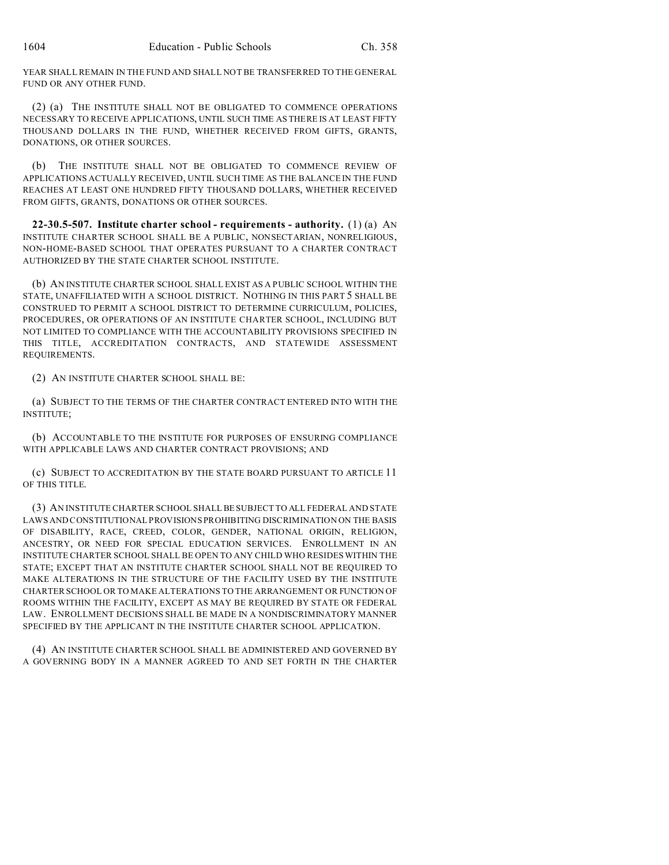YEAR SHALL REMAIN IN THE FUND AND SHALL NOT BE TRANSFERRED TO THE GENERAL FUND OR ANY OTHER FUND.

(2) (a) THE INSTITUTE SHALL NOT BE OBLIGATED TO COMMENCE OPERATIONS NECESSARY TO RECEIVE APPLICATIONS, UNTIL SUCH TIME AS THERE IS AT LEAST FIFTY THOUSAND DOLLARS IN THE FUND, WHETHER RECEIVED FROM GIFTS, GRANTS, DONATIONS, OR OTHER SOURCES.

(b) THE INSTITUTE SHALL NOT BE OBLIGATED TO COMMENCE REVIEW OF APPLICATIONS ACTUALLY RECEIVED, UNTIL SUCH TIME AS THE BALANCE IN THE FUND REACHES AT LEAST ONE HUNDRED FIFTY THOUSAND DOLLARS, WHETHER RECEIVED FROM GIFTS, GRANTS, DONATIONS OR OTHER SOURCES.

**22-30.5-507. Institute charter school - requirements - authority.** (1) (a) AN INSTITUTE CHARTER SCHOOL SHALL BE A PUBLIC, NONSECTARIAN, NONRELIGIOUS, NON-HOME-BASED SCHOOL THAT OPERATES PURSUANT TO A CHARTER CONTRACT AUTHORIZED BY THE STATE CHARTER SCHOOL INSTITUTE.

(b) AN INSTITUTE CHARTER SCHOOL SHALL EXIST AS A PUBLIC SCHOOL WITHIN THE STATE, UNAFFILIATED WITH A SCHOOL DISTRICT. NOTHING IN THIS PART 5 SHALL BE CONSTRUED TO PERMIT A SCHOOL DISTRICT TO DETERMINE CURRICULUM, POLICIES, PROCEDURES, OR OPERATIONS OF AN INSTITUTE CHARTER SCHOOL, INCLUDING BUT NOT LIMITED TO COMPLIANCE WITH THE ACCOUNTABILITY PROVISIONS SPECIFIED IN THIS TITLE, ACCREDITATION CONTRACTS, AND STATEWIDE ASSESSMENT REQUIREMENTS.

(2) AN INSTITUTE CHARTER SCHOOL SHALL BE:

(a) SUBJECT TO THE TERMS OF THE CHARTER CONTRACT ENTERED INTO WITH THE INSTITUTE;

(b) ACCOUNTABLE TO THE INSTITUTE FOR PURPOSES OF ENSURING COMPLIANCE WITH APPLICABLE LAWS AND CHARTER CONTRACT PROVISIONS; AND

(c) SUBJECT TO ACCREDITATION BY THE STATE BOARD PURSUANT TO ARTICLE 11 OF THIS TITLE.

(3) AN INSTITUTE CHARTER SCHOOL SHALL BE SUBJECT TO ALL FEDERAL AND STATE LAWS AND CONSTITUTIONAL PROVISIONS PROHIBITING DISCRIMINATION ON THE BASIS OF DISABILITY, RACE, CREED, COLOR, GENDER, NATIONAL ORIGIN, RELIGION, ANCESTRY, OR NEED FOR SPECIAL EDUCATION SERVICES. ENROLLMENT IN AN INSTITUTE CHARTER SCHOOL SHALL BE OPEN TO ANY CHILD WHO RESIDES WITHIN THE STATE; EXCEPT THAT AN INSTITUTE CHARTER SCHOOL SHALL NOT BE REQUIRED TO MAKE ALTERATIONS IN THE STRUCTURE OF THE FACILITY USED BY THE INSTITUTE CHARTER SCHOOL OR TO MAKE ALTERATIONS TO THE ARRANGEMENT OR FUNCTION OF ROOMS WITHIN THE FACILITY, EXCEPT AS MAY BE REQUIRED BY STATE OR FEDERAL LAW. ENROLLMENT DECISIONS SHALL BE MADE IN A NONDISCRIMINATORY MANNER SPECIFIED BY THE APPLICANT IN THE INSTITUTE CHARTER SCHOOL APPLICATION.

(4) AN INSTITUTE CHARTER SCHOOL SHALL BE ADMINISTERED AND GOVERNED BY A GOVERNING BODY IN A MANNER AGREED TO AND SET FORTH IN THE CHARTER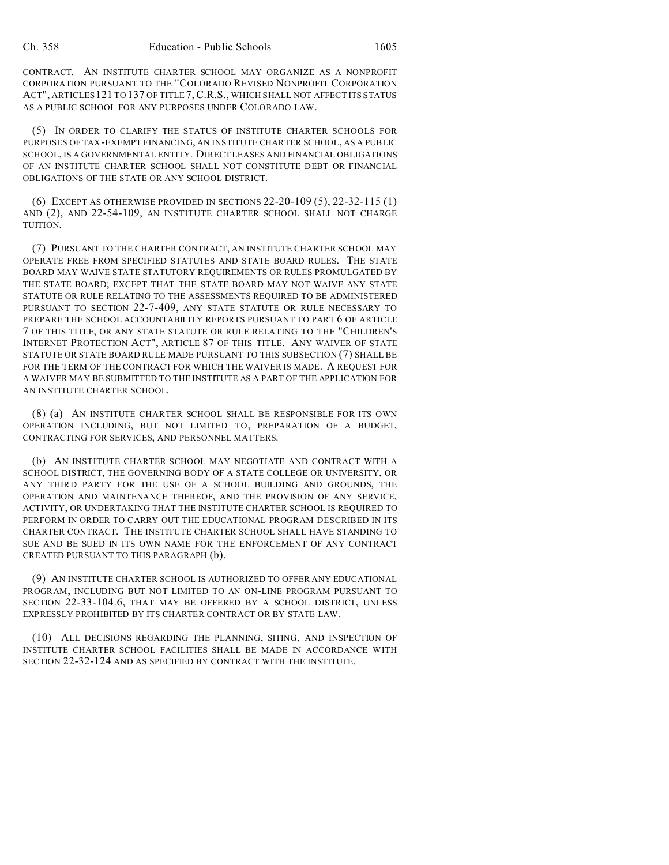CONTRACT. AN INSTITUTE CHARTER SCHOOL MAY ORGANIZE AS A NONPROFIT CORPORATION PURSUANT TO THE "COLORADO REVISED NONPROFIT CORPORATION ACT", ARTICLES121 TO 137 OF TITLE 7,C.R.S., WHICH SHALL NOT AFFECT ITS STATUS AS A PUBLIC SCHOOL FOR ANY PURPOSES UNDER COLORADO LAW.

(5) IN ORDER TO CLARIFY THE STATUS OF INSTITUTE CHARTER SCHOOLS FOR PURPOSES OF TAX-EXEMPT FINANCING, AN INSTITUTE CHARTER SCHOOL, AS A PUBLIC SCHOOL, IS A GOVERNMENTAL ENTITY. DIRECT LEASES AND FINANCIAL OBLIGATIONS OF AN INSTITUTE CHARTER SCHOOL SHALL NOT CONSTITUTE DEBT OR FINANCIAL OBLIGATIONS OF THE STATE OR ANY SCHOOL DISTRICT.

(6) EXCEPT AS OTHERWISE PROVIDED IN SECTIONS 22-20-109 (5), 22-32-115 (1) AND (2), AND 22-54-109, AN INSTITUTE CHARTER SCHOOL SHALL NOT CHARGE TUITION.

(7) PURSUANT TO THE CHARTER CONTRACT, AN INSTITUTE CHARTER SCHOOL MAY OPERATE FREE FROM SPECIFIED STATUTES AND STATE BOARD RULES. THE STATE BOARD MAY WAIVE STATE STATUTORY REQUIREMENTS OR RULES PROMULGATED BY THE STATE BOARD; EXCEPT THAT THE STATE BOARD MAY NOT WAIVE ANY STATE STATUTE OR RULE RELATING TO THE ASSESSMENTS REQUIRED TO BE ADMINISTERED PURSUANT TO SECTION 22-7-409, ANY STATE STATUTE OR RULE NECESSARY TO PREPARE THE SCHOOL ACCOUNTABILITY REPORTS PURSUANT TO PART 6 OF ARTICLE 7 OF THIS TITLE, OR ANY STATE STATUTE OR RULE RELATING TO THE "CHILDREN'S INTERNET PROTECTION ACT", ARTICLE 87 OF THIS TITLE. ANY WAIVER OF STATE STATUTE OR STATE BOARD RULE MADE PURSUANT TO THIS SUBSECTION (7) SHALL BE FOR THE TERM OF THE CONTRACT FOR WHICH THE WAIVER IS MADE. A REQUEST FOR A WAIVER MAY BE SUBMITTED TO THE INSTITUTE AS A PART OF THE APPLICATION FOR AN INSTITUTE CHARTER SCHOOL.

(8) (a) AN INSTITUTE CHARTER SCHOOL SHALL BE RESPONSIBLE FOR ITS OWN OPERATION INCLUDING, BUT NOT LIMITED TO, PREPARATION OF A BUDGET, CONTRACTING FOR SERVICES, AND PERSONNEL MATTERS.

(b) AN INSTITUTE CHARTER SCHOOL MAY NEGOTIATE AND CONTRACT WITH A SCHOOL DISTRICT, THE GOVERNING BODY OF A STATE COLLEGE OR UNIVERSITY, OR ANY THIRD PARTY FOR THE USE OF A SCHOOL BUILDING AND GROUNDS, THE OPERATION AND MAINTENANCE THEREOF, AND THE PROVISION OF ANY SERVICE, ACTIVITY, OR UNDERTAKING THAT THE INSTITUTE CHARTER SCHOOL IS REQUIRED TO PERFORM IN ORDER TO CARRY OUT THE EDUCATIONAL PROGRAM DESCRIBED IN ITS CHARTER CONTRACT. THE INSTITUTE CHARTER SCHOOL SHALL HAVE STANDING TO SUE AND BE SUED IN ITS OWN NAME FOR THE ENFORCEMENT OF ANY CONTRACT CREATED PURSUANT TO THIS PARAGRAPH (b).

(9) AN INSTITUTE CHARTER SCHOOL IS AUTHORIZED TO OFFER ANY EDUCATIONAL PROGRAM, INCLUDING BUT NOT LIMITED TO AN ON-LINE PROGRAM PURSUANT TO SECTION 22-33-104.6, THAT MAY BE OFFERED BY A SCHOOL DISTRICT, UNLESS EXPRESSLY PROHIBITED BY ITS CHARTER CONTRACT OR BY STATE LAW.

(10) ALL DECISIONS REGARDING THE PLANNING, SITING, AND INSPECTION OF INSTITUTE CHARTER SCHOOL FACILITIES SHALL BE MADE IN ACCORDANCE WITH SECTION 22-32-124 AND AS SPECIFIED BY CONTRACT WITH THE INSTITUTE.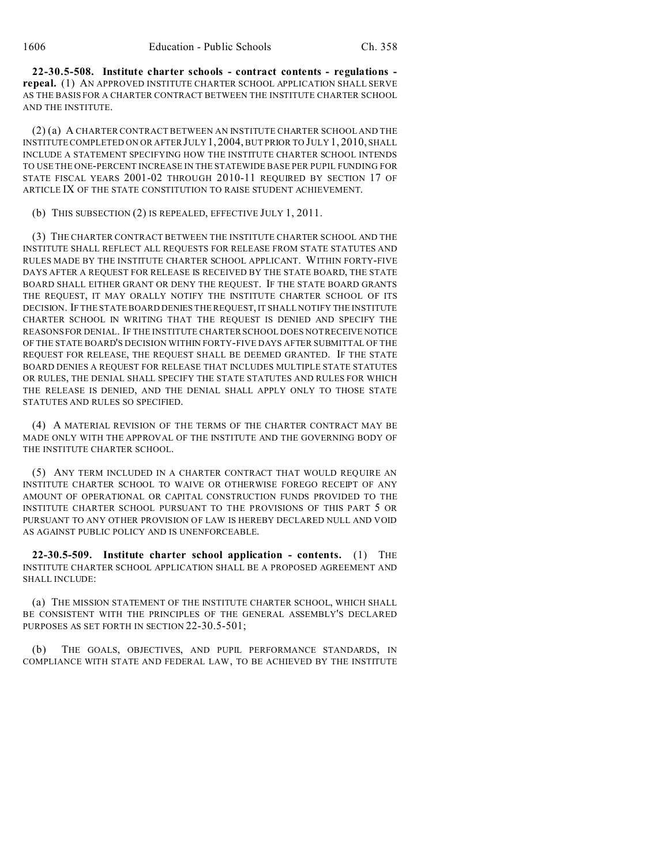**22-30.5-508. Institute charter schools - contract contents - regulations repeal.** (1) AN APPROVED INSTITUTE CHARTER SCHOOL APPLICATION SHALL SERVE AS THE BASIS FOR A CHARTER CONTRACT BETWEEN THE INSTITUTE CHARTER SCHOOL AND THE INSTITUTE.

(2) (a) A CHARTER CONTRACT BETWEEN AN INSTITUTE CHARTER SCHOOL AND THE INSTITUTE COMPLETED ON OR AFTER JULY 1, 2004, BUT PRIOR TO JULY 1, 2010, SHALL INCLUDE A STATEMENT SPECIFYING HOW THE INSTITUTE CHARTER SCHOOL INTENDS TO USE THE ONE-PERCENT INCREASE IN THE STATEWIDE BASE PER PUPIL FUNDING FOR STATE FISCAL YEARS 2001-02 THROUGH 2010-11 REQUIRED BY SECTION 17 OF ARTICLE IX OF THE STATE CONSTITUTION TO RAISE STUDENT ACHIEVEMENT.

(b) THIS SUBSECTION (2) IS REPEALED, EFFECTIVE JULY 1, 2011.

(3) THE CHARTER CONTRACT BETWEEN THE INSTITUTE CHARTER SCHOOL AND THE INSTITUTE SHALL REFLECT ALL REQUESTS FOR RELEASE FROM STATE STATUTES AND RULES MADE BY THE INSTITUTE CHARTER SCHOOL APPLICANT. WITHIN FORTY-FIVE DAYS AFTER A REQUEST FOR RELEASE IS RECEIVED BY THE STATE BOARD, THE STATE BOARD SHALL EITHER GRANT OR DENY THE REQUEST. IF THE STATE BOARD GRANTS THE REQUEST, IT MAY ORALLY NOTIFY THE INSTITUTE CHARTER SCHOOL OF ITS DECISION. IF THE STATE BOARD DENIES THE REQUEST, IT SHALL NOTIFY THE INSTITUTE CHARTER SCHOOL IN WRITING THAT THE REQUEST IS DENIED AND SPECIFY THE REASONS FOR DENIAL. IF THE INSTITUTE CHARTER SCHOOL DOES NOT RECEIVE NOTICE OF THE STATE BOARD'S DECISION WITHIN FORTY-FIVE DAYS AFTER SUBMITTAL OF THE REQUEST FOR RELEASE, THE REQUEST SHALL BE DEEMED GRANTED. IF THE STATE BOARD DENIES A REQUEST FOR RELEASE THAT INCLUDES MULTIPLE STATE STATUTES OR RULES, THE DENIAL SHALL SPECIFY THE STATE STATUTES AND RULES FOR WHICH THE RELEASE IS DENIED, AND THE DENIAL SHALL APPLY ONLY TO THOSE STATE STATUTES AND RULES SO SPECIFIED.

(4) A MATERIAL REVISION OF THE TERMS OF THE CHARTER CONTRACT MAY BE MADE ONLY WITH THE APPROVAL OF THE INSTITUTE AND THE GOVERNING BODY OF THE INSTITUTE CHARTER SCHOOL.

(5) ANY TERM INCLUDED IN A CHARTER CONTRACT THAT WOULD REQUIRE AN INSTITUTE CHARTER SCHOOL TO WAIVE OR OTHERWISE FOREGO RECEIPT OF ANY AMOUNT OF OPERATIONAL OR CAPITAL CONSTRUCTION FUNDS PROVIDED TO THE INSTITUTE CHARTER SCHOOL PURSUANT TO THE PROVISIONS OF THIS PART 5 OR PURSUANT TO ANY OTHER PROVISION OF LAW IS HEREBY DECLARED NULL AND VOID AS AGAINST PUBLIC POLICY AND IS UNENFORCEABLE.

**22-30.5-509. Institute charter school application - contents.** (1) THE INSTITUTE CHARTER SCHOOL APPLICATION SHALL BE A PROPOSED AGREEMENT AND SHALL INCLUDE:

(a) THE MISSION STATEMENT OF THE INSTITUTE CHARTER SCHOOL, WHICH SHALL BE CONSISTENT WITH THE PRINCIPLES OF THE GENERAL ASSEMBLY'S DECLARED PURPOSES AS SET FORTH IN SECTION 22-30.5-501;

(b) THE GOALS, OBJECTIVES, AND PUPIL PERFORMANCE STANDARDS, IN COMPLIANCE WITH STATE AND FEDERAL LAW, TO BE ACHIEVED BY THE INSTITUTE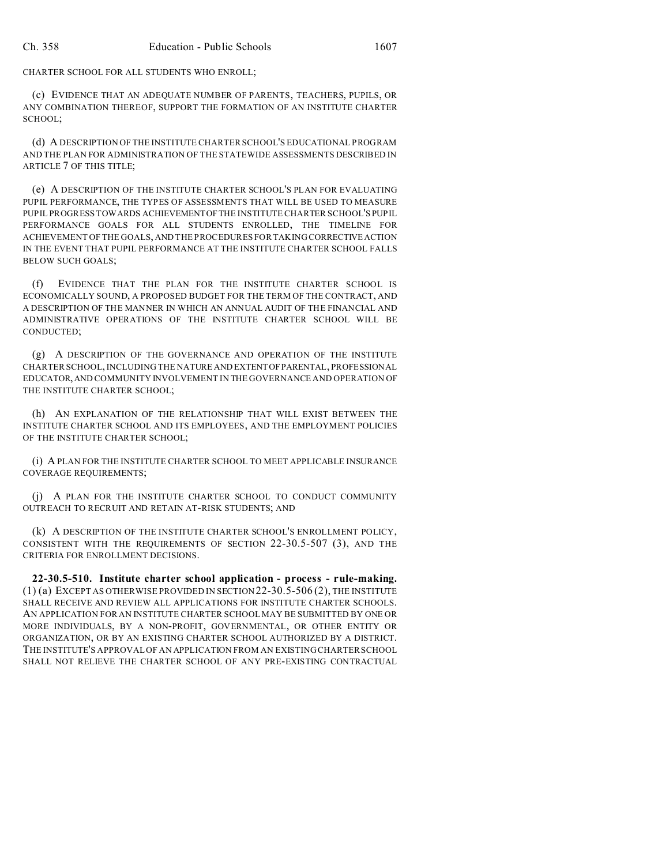CHARTER SCHOOL FOR ALL STUDENTS WHO ENROLL;

(c) EVIDENCE THAT AN ADEQUATE NUMBER OF PARENTS, TEACHERS, PUPILS, OR ANY COMBINATION THEREOF, SUPPORT THE FORMATION OF AN INSTITUTE CHARTER SCHOOL;

(d) A DESCRIPTION OF THE INSTITUTE CHARTER SCHOOL'S EDUCATIONAL PROGRAM AND THE PLAN FOR ADMINISTRATION OF THE STATEWIDE ASSESSMENTS DESCRIBED IN ARTICLE 7 OF THIS TITLE;

(e) A DESCRIPTION OF THE INSTITUTE CHARTER SCHOOL'S PLAN FOR EVALUATING PUPIL PERFORMANCE, THE TYPES OF ASSESSMENTS THAT WILL BE USED TO MEASURE PUPIL PROGRESS TOWARDS ACHIEVEMENTOFTHE INSTITUTE CHARTER SCHOOL'S PUPIL PERFORMANCE GOALS FOR ALL STUDENTS ENROLLED, THE TIMELINE FOR ACHIEVEMENT OF THE GOALS, AND THE PROCEDURES FOR TAKING CORRECTIVEACTION IN THE EVENT THAT PUPIL PERFORMANCE AT THE INSTITUTE CHARTER SCHOOL FALLS BELOW SUCH GOALS;

(f) EVIDENCE THAT THE PLAN FOR THE INSTITUTE CHARTER SCHOOL IS ECONOMICALLY SOUND, A PROPOSED BUDGET FOR THE TERM OF THE CONTRACT, AND A DESCRIPTION OF THE MANNER IN WHICH AN ANNUAL AUDIT OF THE FINANCIAL AND ADMINISTRATIVE OPERATIONS OF THE INSTITUTE CHARTER SCHOOL WILL BE CONDUCTED;

(g) A DESCRIPTION OF THE GOVERNANCE AND OPERATION OF THE INSTITUTE CHARTER SCHOOL, INCLUDING THE NATURE AND EXTENTOFPARENTAL, PROFESSIONAL EDUCATOR,AND COMMUNITY INVOLVEMENT IN THE GOVERNANCE AND OPERATION OF THE INSTITUTE CHARTER SCHOOL;

(h) AN EXPLANATION OF THE RELATIONSHIP THAT WILL EXIST BETWEEN THE INSTITUTE CHARTER SCHOOL AND ITS EMPLOYEES, AND THE EMPLOYMENT POLICIES OF THE INSTITUTE CHARTER SCHOOL;

(i) A PLAN FOR THE INSTITUTE CHARTER SCHOOL TO MEET APPLICABLE INSURANCE COVERAGE REQUIREMENTS;

(j) A PLAN FOR THE INSTITUTE CHARTER SCHOOL TO CONDUCT COMMUNITY OUTREACH TO RECRUIT AND RETAIN AT-RISK STUDENTS; AND

(k) A DESCRIPTION OF THE INSTITUTE CHARTER SCHOOL'S ENROLLMENT POLICY, CONSISTENT WITH THE REQUIREMENTS OF SECTION 22-30.5-507 (3), AND THE CRITERIA FOR ENROLLMENT DECISIONS.

**22-30.5-510. Institute charter school application - process - rule-making.**  $(1)$  (a) EXCEPT AS OTHERWISE PROVIDED IN SECTION 22-30.5-506 (2), THE INSTITUTE SHALL RECEIVE AND REVIEW ALL APPLICATIONS FOR INSTITUTE CHARTER SCHOOLS. AN APPLICATION FOR AN INSTITUTE CHARTER SCHOOL MAY BE SUBMITTED BY ONE OR MORE INDIVIDUALS, BY A NON-PROFIT, GOVERNMENTAL, OR OTHER ENTITY OR ORGANIZATION, OR BY AN EXISTING CHARTER SCHOOL AUTHORIZED BY A DISTRICT. THE INSTITUTE'S APPROVAL OF AN APPLICATION FROM AN EXISTING CHARTER SCHOOL SHALL NOT RELIEVE THE CHARTER SCHOOL OF ANY PRE-EXISTING CONTRACTUAL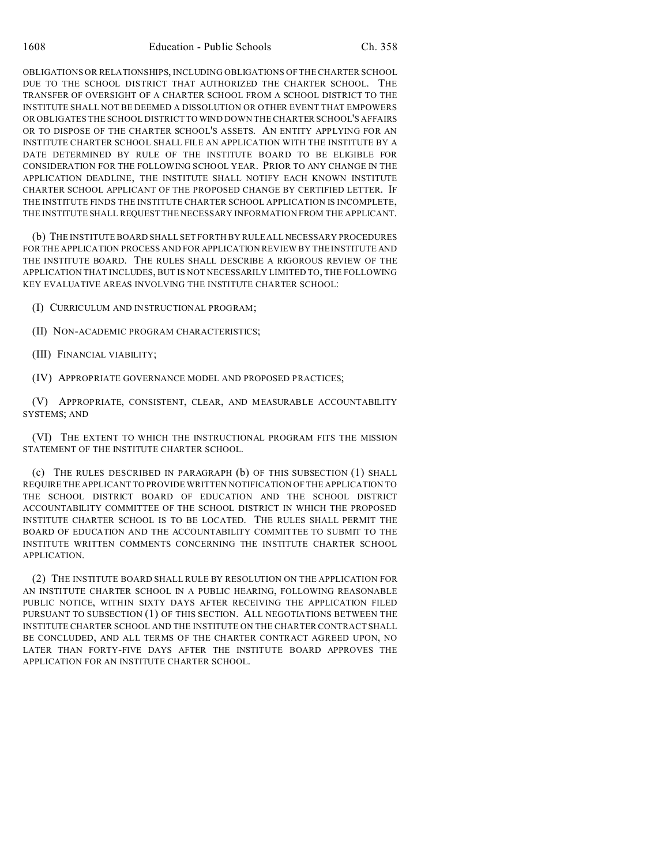OBLIGATIONS OR RELATIONSHIPS, INCLUDING OBLIGATIONS OF THE CHARTER SCHOOL DUE TO THE SCHOOL DISTRICT THAT AUTHORIZED THE CHARTER SCHOOL. THE TRANSFER OF OVERSIGHT OF A CHARTER SCHOOL FROM A SCHOOL DISTRICT TO THE INSTITUTE SHALL NOT BE DEEMED A DISSOLUTION OR OTHER EVENT THAT EMPOWERS OR OBLIGATES THE SCHOOL DISTRICT TO WIND DOWN THE CHARTER SCHOOL'S AFFAIRS OR TO DISPOSE OF THE CHARTER SCHOOL'S ASSETS. AN ENTITY APPLYING FOR AN INSTITUTE CHARTER SCHOOL SHALL FILE AN APPLICATION WITH THE INSTITUTE BY A DATE DETERMINED BY RULE OF THE INSTITUTE BOARD TO BE ELIGIBLE FOR CONSIDERATION FOR THE FOLLOWING SCHOOL YEAR. PRIOR TO ANY CHANGE IN THE APPLICATION DEADLINE, THE INSTITUTE SHALL NOTIFY EACH KNOWN INSTITUTE CHARTER SCHOOL APPLICANT OF THE PROPOSED CHANGE BY CERTIFIED LETTER. IF THE INSTITUTE FINDS THE INSTITUTE CHARTER SCHOOL APPLICATION IS INCOMPLETE, THE INSTITUTE SHALL REQUEST THE NECESSARY INFORMATION FROM THE APPLICANT.

(b) THE INSTITUTE BOARD SHALL SET FORTH BY RULE ALL NECESSARY PROCEDURES FOR THE APPLICATION PROCESS AND FOR APPLICATION REVIEW BY THE INSTITUTE AND THE INSTITUTE BOARD. THE RULES SHALL DESCRIBE A RIGOROUS REVIEW OF THE APPLICATION THAT INCLUDES, BUT IS NOT NECESSARILY LIMITED TO, THE FOLLOWING KEY EVALUATIVE AREAS INVOLVING THE INSTITUTE CHARTER SCHOOL:

- (I) CURRICULUM AND INSTRUCTIONAL PROGRAM;
- (II) NON-ACADEMIC PROGRAM CHARACTERISTICS;
- (III) FINANCIAL VIABILITY;
- (IV) APPROPRIATE GOVERNANCE MODEL AND PROPOSED PRACTICES;

(V) APPROPRIATE, CONSISTENT, CLEAR, AND MEASURABLE ACCOUNTABILITY SYSTEMS; AND

(VI) THE EXTENT TO WHICH THE INSTRUCTIONAL PROGRAM FITS THE MISSION STATEMENT OF THE INSTITUTE CHARTER SCHOOL.

(c) THE RULES DESCRIBED IN PARAGRAPH (b) OF THIS SUBSECTION (1) SHALL REQUIRE THE APPLICANT TO PROVIDE WRITTEN NOTIFICATION OF THE APPLICATION TO THE SCHOOL DISTRICT BOARD OF EDUCATION AND THE SCHOOL DISTRICT ACCOUNTABILITY COMMITTEE OF THE SCHOOL DISTRICT IN WHICH THE PROPOSED INSTITUTE CHARTER SCHOOL IS TO BE LOCATED. THE RULES SHALL PERMIT THE BOARD OF EDUCATION AND THE ACCOUNTABILITY COMMITTEE TO SUBMIT TO THE INSTITUTE WRITTEN COMMENTS CONCERNING THE INSTITUTE CHARTER SCHOOL APPLICATION.

(2) THE INSTITUTE BOARD SHALL RULE BY RESOLUTION ON THE APPLICATION FOR AN INSTITUTE CHARTER SCHOOL IN A PUBLIC HEARING, FOLLOWING REASONABLE PUBLIC NOTICE, WITHIN SIXTY DAYS AFTER RECEIVING THE APPLICATION FILED PURSUANT TO SUBSECTION (1) OF THIS SECTION. ALL NEGOTIATIONS BETWEEN THE INSTITUTE CHARTER SCHOOL AND THE INSTITUTE ON THE CHARTER CONTRACT SHALL BE CONCLUDED, AND ALL TERMS OF THE CHARTER CONTRACT AGREED UPON, NO LATER THAN FORTY-FIVE DAYS AFTER THE INSTITUTE BOARD APPROVES THE APPLICATION FOR AN INSTITUTE CHARTER SCHOOL.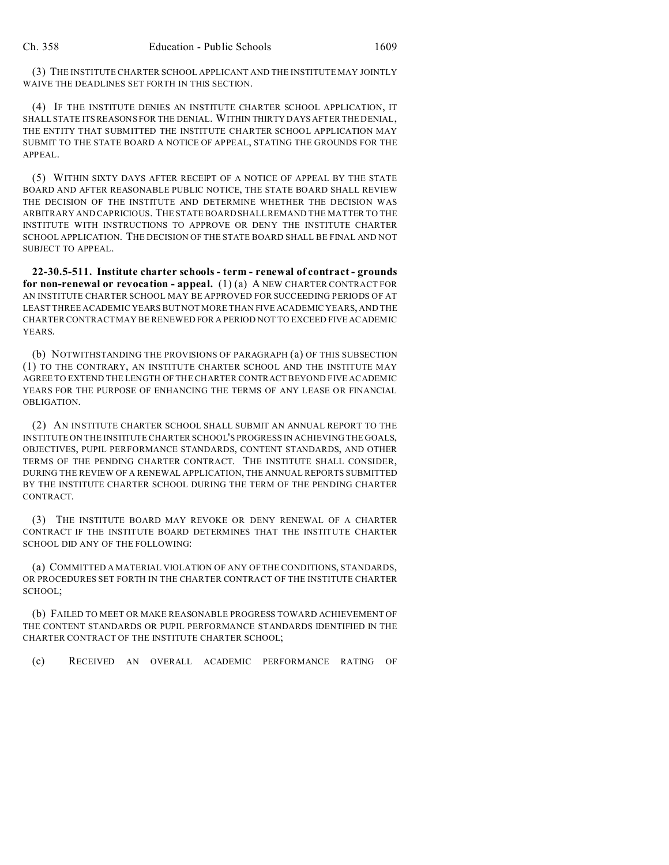(3) THE INSTITUTE CHARTER SCHOOL APPLICANT AND THE INSTITUTE MAY JOINTLY WAIVE THE DEADLINES SET FORTH IN THIS SECTION.

(4) IF THE INSTITUTE DENIES AN INSTITUTE CHARTER SCHOOL APPLICATION, IT SHALL STATE ITS REASONS FOR THE DENIAL. WITHIN THIRTY DAYS AFTER THE DENIAL, THE ENTITY THAT SUBMITTED THE INSTITUTE CHARTER SCHOOL APPLICATION MAY SUBMIT TO THE STATE BOARD A NOTICE OF APPEAL, STATING THE GROUNDS FOR THE APPEAL.

(5) WITHIN SIXTY DAYS AFTER RECEIPT OF A NOTICE OF APPEAL BY THE STATE BOARD AND AFTER REASONABLE PUBLIC NOTICE, THE STATE BOARD SHALL REVIEW THE DECISION OF THE INSTITUTE AND DETERMINE WHETHER THE DECISION WAS ARBITRARY AND CAPRICIOUS. THE STATE BOARD SHALL REMAND THE MATTER TO THE INSTITUTE WITH INSTRUCTIONS TO APPROVE OR DENY THE INSTITUTE CHARTER SCHOOL APPLICATION. THE DECISION OF THE STATE BOARD SHALL BE FINAL AND NOT SUBJECT TO APPEAL.

**22-30.5-511. Institute charter schools - term - renewal of contract - grounds for non-renewal or revocation - appeal.** (1) (a) A NEW CHARTER CONTRACT FOR AN INSTITUTE CHARTER SCHOOL MAY BE APPROVED FOR SUCCEEDING PERIODS OF AT LEAST THREE ACADEMIC YEARS BUT NOT MORE THAN FIVE ACADEMIC YEARS, AND THE CHARTER CONTRACT MAY BE RENEWED FOR A PERIOD NOT TO EXCEED FIVE ACADEMIC YEARS.

(b) NOTWITHSTANDING THE PROVISIONS OF PARAGRAPH (a) OF THIS SUBSECTION (1) TO THE CONTRARY, AN INSTITUTE CHARTER SCHOOL AND THE INSTITUTE MAY AGREE TO EXTEND THE LENGTH OF THE CHARTER CONTRACT BEYOND FIVE ACADEMIC YEARS FOR THE PURPOSE OF ENHANCING THE TERMS OF ANY LEASE OR FINANCIAL OBLIGATION.

(2) AN INSTITUTE CHARTER SCHOOL SHALL SUBMIT AN ANNUAL REPORT TO THE INSTITUTE ON THE INSTITUTE CHARTER SCHOOL'S PROGRESS IN ACHIEVING THE GOALS, OBJECTIVES, PUPIL PERFORMANCE STANDARDS, CONTENT STANDARDS, AND OTHER TERMS OF THE PENDING CHARTER CONTRACT. THE INSTITUTE SHALL CONSIDER, DURING THE REVIEW OF A RENEWAL APPLICATION, THE ANNUAL REPORTS SUBMITTED BY THE INSTITUTE CHARTER SCHOOL DURING THE TERM OF THE PENDING CHARTER CONTRACT.

(3) THE INSTITUTE BOARD MAY REVOKE OR DENY RENEWAL OF A CHARTER CONTRACT IF THE INSTITUTE BOARD DETERMINES THAT THE INSTITUTE CHARTER SCHOOL DID ANY OF THE FOLLOWING:

(a) COMMITTED A MATERIAL VIOLATION OF ANY OF THE CONDITIONS, STANDARDS, OR PROCEDURES SET FORTH IN THE CHARTER CONTRACT OF THE INSTITUTE CHARTER SCHOOL;

(b) FAILED TO MEET OR MAKE REASONABLE PROGRESS TOWARD ACHIEVEMENT OF THE CONTENT STANDARDS OR PUPIL PERFORMANCE STANDARDS IDENTIFIED IN THE CHARTER CONTRACT OF THE INSTITUTE CHARTER SCHOOL;

(c) RECEIVED AN OVERALL ACADEMIC PERFORMANCE RATING OF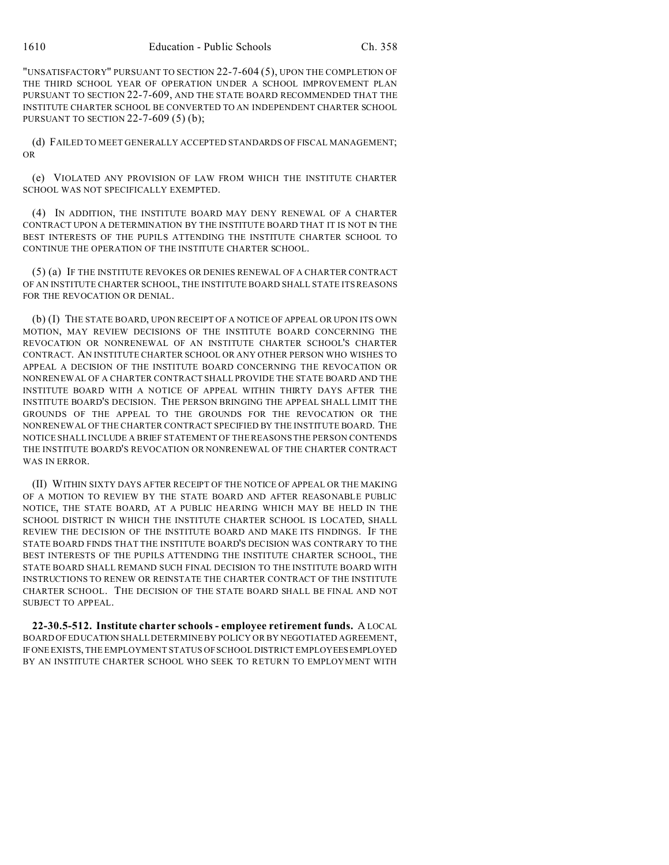"UNSATISFACTORY" PURSUANT TO SECTION 22-7-604 (5), UPON THE COMPLETION OF THE THIRD SCHOOL YEAR OF OPERATION UNDER A SCHOOL IMPROVEMENT PLAN PURSUANT TO SECTION 22-7-609, AND THE STATE BOARD RECOMMENDED THAT THE INSTITUTE CHARTER SCHOOL BE CONVERTED TO AN INDEPENDENT CHARTER SCHOOL PURSUANT TO SECTION 22-7-609 (5) (b);

(d) FAILED TO MEET GENERALLY ACCEPTED STANDARDS OF FISCAL MANAGEMENT; OR

(e) VIOLATED ANY PROVISION OF LAW FROM WHICH THE INSTITUTE CHARTER SCHOOL WAS NOT SPECIFICALLY EXEMPTED.

(4) IN ADDITION, THE INSTITUTE BOARD MAY DENY RENEWAL OF A CHARTER CONTRACT UPON A DETERMINATION BY THE INSTITUTE BOARD THAT IT IS NOT IN THE BEST INTERESTS OF THE PUPILS ATTENDING THE INSTITUTE CHARTER SCHOOL TO CONTINUE THE OPERATION OF THE INSTITUTE CHARTER SCHOOL.

(5) (a) IF THE INSTITUTE REVOKES OR DENIES RENEWAL OF A CHARTER CONTRACT OF AN INSTITUTE CHARTER SCHOOL, THE INSTITUTE BOARD SHALL STATE ITS REASONS FOR THE REVOCATION OR DENIAL.

(b) (I) THE STATE BOARD, UPON RECEIPT OF A NOTICE OF APPEAL OR UPON ITS OWN MOTION, MAY REVIEW DECISIONS OF THE INSTITUTE BOARD CONCERNING THE REVOCATION OR NONRENEWAL OF AN INSTITUTE CHARTER SCHOOL'S CHARTER CONTRACT. AN INSTITUTE CHARTER SCHOOL OR ANY OTHER PERSON WHO WISHES TO APPEAL A DECISION OF THE INSTITUTE BOARD CONCERNING THE REVOCATION OR NONRENEWAL OF A CHARTER CONTRACT SHALL PROVIDE THE STATE BOARD AND THE INSTITUTE BOARD WITH A NOTICE OF APPEAL WITHIN THIRTY DAYS AFTER THE INSTITUTE BOARD'S DECISION. THE PERSON BRINGING THE APPEAL SHALL LIMIT THE GROUNDS OF THE APPEAL TO THE GROUNDS FOR THE REVOCATION OR THE NONRENEWAL OF THE CHARTER CONTRACT SPECIFIED BY THE INSTITUTE BOARD. THE NOTICE SHALL INCLUDE A BRIEF STATEMENT OF THE REASONS THE PERSON CONTENDS THE INSTITUTE BOARD'S REVOCATION OR NONRENEWAL OF THE CHARTER CONTRACT WAS IN ERROR.

(II) WITHIN SIXTY DAYS AFTER RECEIPT OF THE NOTICE OF APPEAL OR THE MAKING OF A MOTION TO REVIEW BY THE STATE BOARD AND AFTER REASONABLE PUBLIC NOTICE, THE STATE BOARD, AT A PUBLIC HEARING WHICH MAY BE HELD IN THE SCHOOL DISTRICT IN WHICH THE INSTITUTE CHARTER SCHOOL IS LOCATED, SHALL REVIEW THE DECISION OF THE INSTITUTE BOARD AND MAKE ITS FINDINGS. IF THE STATE BOARD FINDS THAT THE INSTITUTE BOARD'S DECISION WAS CONTRARY TO THE BEST INTERESTS OF THE PUPILS ATTENDING THE INSTITUTE CHARTER SCHOOL, THE STATE BOARD SHALL REMAND SUCH FINAL DECISION TO THE INSTITUTE BOARD WITH INSTRUCTIONS TO RENEW OR REINSTATE THE CHARTER CONTRACT OF THE INSTITUTE CHARTER SCHOOL. THE DECISION OF THE STATE BOARD SHALL BE FINAL AND NOT SUBJECT TO APPEAL.

**22-30.5-512. Institute charter schools - employee retirement funds.** A LOCAL BOARD OF EDUCATION SHALL DETERMINE BY POLICY OR BY NEGOTIATED AGREEMENT, IFONE EXISTS, THE EMPLOYMENT STATUS OF SCHOOL DISTRICT EMPLOYEESEMPLOYED BY AN INSTITUTE CHARTER SCHOOL WHO SEEK TO RETURN TO EMPLOYMENT WITH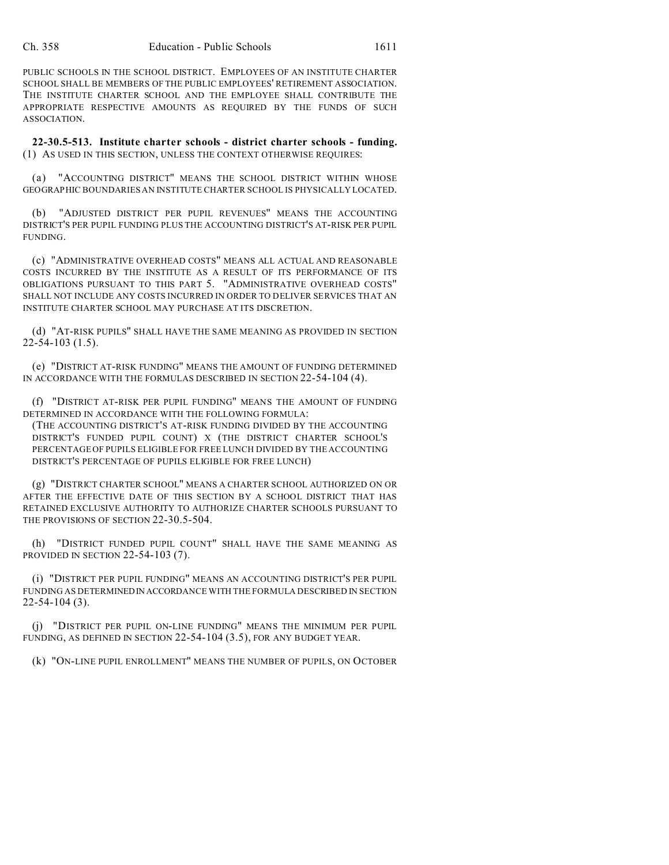PUBLIC SCHOOLS IN THE SCHOOL DISTRICT. EMPLOYEES OF AN INSTITUTE CHARTER SCHOOL SHALL BE MEMBERS OF THE PUBLIC EMPLOYEES' RETIREMENT ASSOCIATION. THE INSTITUTE CHARTER SCHOOL AND THE EMPLOYEE SHALL CONTRIBUTE THE APPROPRIATE RESPECTIVE AMOUNTS AS REQUIRED BY THE FUNDS OF SUCH ASSOCIATION.

**22-30.5-513. Institute charter schools - district charter schools - funding.** (1) AS USED IN THIS SECTION, UNLESS THE CONTEXT OTHERWISE REQUIRES:

(a) "ACCOUNTING DISTRICT" MEANS THE SCHOOL DISTRICT WITHIN WHOSE GEOGRAPHIC BOUNDARIES AN INSTITUTE CHARTER SCHOOL IS PHYSICALLY LOCATED.

(b) "ADJUSTED DISTRICT PER PUPIL REVENUES" MEANS THE ACCOUNTING DISTRICT'S PER PUPIL FUNDING PLUS THE ACCOUNTING DISTRICT'S AT-RISK PER PUPIL FUNDING.

(c) "ADMINISTRATIVE OVERHEAD COSTS" MEANS ALL ACTUAL AND REASONABLE COSTS INCURRED BY THE INSTITUTE AS A RESULT OF ITS PERFORMANCE OF ITS OBLIGATIONS PURSUANT TO THIS PART 5. "ADMINISTRATIVE OVERHEAD COSTS" SHALL NOT INCLUDE ANY COSTS INCURRED IN ORDER TO DELIVER SERVICES THAT AN INSTITUTE CHARTER SCHOOL MAY PURCHASE AT ITS DISCRETION.

(d) "AT-RISK PUPILS" SHALL HAVE THE SAME MEANING AS PROVIDED IN SECTION 22-54-103 (1.5).

(e) "DISTRICT AT-RISK FUNDING" MEANS THE AMOUNT OF FUNDING DETERMINED IN ACCORDANCE WITH THE FORMULAS DESCRIBED IN SECTION 22-54-104 (4).

(f) "DISTRICT AT-RISK PER PUPIL FUNDING" MEANS THE AMOUNT OF FUNDING DETERMINED IN ACCORDANCE WITH THE FOLLOWING FORMULA:

(THE ACCOUNTING DISTRICT'S AT-RISK FUNDING DIVIDED BY THE ACCOUNTING DISTRICT'S FUNDED PUPIL COUNT) X (THE DISTRICT CHARTER SCHOOL'S PERCENTAGE OF PUPILS ELIGIBLE FOR FREE LUNCH DIVIDED BY THE ACCOUNTING DISTRICT'S PERCENTAGE OF PUPILS ELIGIBLE FOR FREE LUNCH)

(g) "DISTRICT CHARTER SCHOOL" MEANS A CHARTER SCHOOL AUTHORIZED ON OR AFTER THE EFFECTIVE DATE OF THIS SECTION BY A SCHOOL DISTRICT THAT HAS RETAINED EXCLUSIVE AUTHORITY TO AUTHORIZE CHARTER SCHOOLS PURSUANT TO THE PROVISIONS OF SECTION 22-30.5-504.

(h) "DISTRICT FUNDED PUPIL COUNT" SHALL HAVE THE SAME MEANING AS PROVIDED IN SECTION 22-54-103 (7).

(i) "DISTRICT PER PUPIL FUNDING" MEANS AN ACCOUNTING DISTRICT'S PER PUPIL FUNDING AS DETERMINEDIN ACCORDANCE WITH THE FORMULA DESCRIBED IN SECTION 22-54-104 (3).

(j) "DISTRICT PER PUPIL ON-LINE FUNDING" MEANS THE MINIMUM PER PUPIL FUNDING, AS DEFINED IN SECTION 22-54-104 (3.5), FOR ANY BUDGET YEAR.

(k) "ON-LINE PUPIL ENROLLMENT" MEANS THE NUMBER OF PUPILS, ON OCTOBER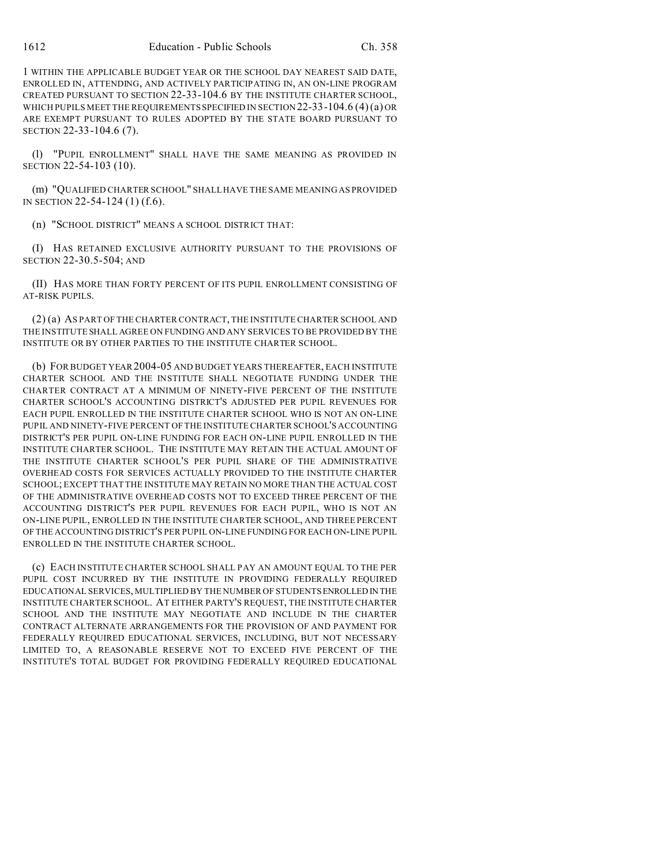1 WITHIN THE APPLICABLE BUDGET YEAR OR THE SCHOOL DAY NEAREST SAID DATE, ENROLLED IN, ATTENDING, AND ACTIVELY PARTICIPATING IN, AN ON-LINE PROGRAM CREATED PURSUANT TO SECTION 22-33-104.6 BY THE INSTITUTE CHARTER SCHOOL, WHICH PUPILS MEET THE REQUIREMENTS SPECIFIED IN SECTION 22-33-104.6 (4) (a) OR ARE EXEMPT PURSUANT TO RULES ADOPTED BY THE STATE BOARD PURSUANT TO SECTION 22-33-104.6 (7).

(l) "PUPIL ENROLLMENT" SHALL HAVE THE SAME MEANING AS PROVIDED IN SECTION 22-54-103 (10).

(m) "QUALIFIED CHARTER SCHOOL" SHALL HAVE THE SAME MEANING AS PROVIDED IN SECTION 22-54-124 (1) (f.6).

(n) "SCHOOL DISTRICT" MEANS A SCHOOL DISTRICT THAT:

(I) HAS RETAINED EXCLUSIVE AUTHORITY PURSUANT TO THE PROVISIONS OF SECTION 22-30.5-504; AND

(II) HAS MORE THAN FORTY PERCENT OF ITS PUPIL ENROLLMENT CONSISTING OF AT-RISK PUPILS.

(2) (a) AS PART OF THE CHARTER CONTRACT, THE INSTITUTE CHARTER SCHOOL AND THE INSTITUTE SHALL AGREE ON FUNDING AND ANY SERVICES TO BE PROVIDED BY THE INSTITUTE OR BY OTHER PARTIES TO THE INSTITUTE CHARTER SCHOOL.

(b) FOR BUDGET YEAR 2004-05 AND BUDGET YEARS THEREAFTER, EACH INSTITUTE CHARTER SCHOOL AND THE INSTITUTE SHALL NEGOTIATE FUNDING UNDER THE CHARTER CONTRACT AT A MINIMUM OF NINETY-FIVE PERCENT OF THE INSTITUTE CHARTER SCHOOL'S ACCOUNTING DISTRICT'S ADJUSTED PER PUPIL REVENUES FOR EACH PUPIL ENROLLED IN THE INSTITUTE CHARTER SCHOOL WHO IS NOT AN ON-LINE PUPIL AND NINETY-FIVE PERCENT OF THE INSTITUTE CHARTER SCHOOL'S ACCOUNTING DISTRICT'S PER PUPIL ON-LINE FUNDING FOR EACH ON-LINE PUPIL ENROLLED IN THE INSTITUTE CHARTER SCHOOL. THE INSTITUTE MAY RETAIN THE ACTUAL AMOUNT OF THE INSTITUTE CHARTER SCHOOL'S PER PUPIL SHARE OF THE ADMINISTRATIVE OVERHEAD COSTS FOR SERVICES ACTUALLY PROVIDED TO THE INSTITUTE CHARTER SCHOOL; EXCEPT THAT THE INSTITUTE MAY RETAIN NO MORE THAN THE ACTUAL COST OF THE ADMINISTRATIVE OVERHEAD COSTS NOT TO EXCEED THREE PERCENT OF THE ACCOUNTING DISTRICT'S PER PUPIL REVENUES FOR EACH PUPIL, WHO IS NOT AN ON-LINE PUPIL, ENROLLED IN THE INSTITUTE CHARTER SCHOOL, AND THREE PERCENT OF THE ACCOUNTING DISTRICT'S PER PUPIL ON-LINE FUNDING FOR EACH ON-LINE PUPIL ENROLLED IN THE INSTITUTE CHARTER SCHOOL.

(c) EACH INSTITUTE CHARTER SCHOOL SHALL PAY AN AMOUNT EQUAL TO THE PER PUPIL COST INCURRED BY THE INSTITUTE IN PROVIDING FEDERALLY REQUIRED EDUCATIONAL SERVICES, MULTIPLIED BY THE NUMBER OF STUDENTS ENROLLED IN THE INSTITUTE CHARTER SCHOOL. AT EITHER PARTY'S REQUEST, THE INSTITUTE CHARTER SCHOOL AND THE INSTITUTE MAY NEGOTIATE AND INCLUDE IN THE CHARTER CONTRACT ALTERNATE ARRANGEMENTS FOR THE PROVISION OF AND PAYMENT FOR FEDERALLY REQUIRED EDUCATIONAL SERVICES, INCLUDING, BUT NOT NECESSARY LIMITED TO, A REASONABLE RESERVE NOT TO EXCEED FIVE PERCENT OF THE INSTITUTE'S TOTAL BUDGET FOR PROVIDING FEDERALLY REQUIRED EDUCATIONAL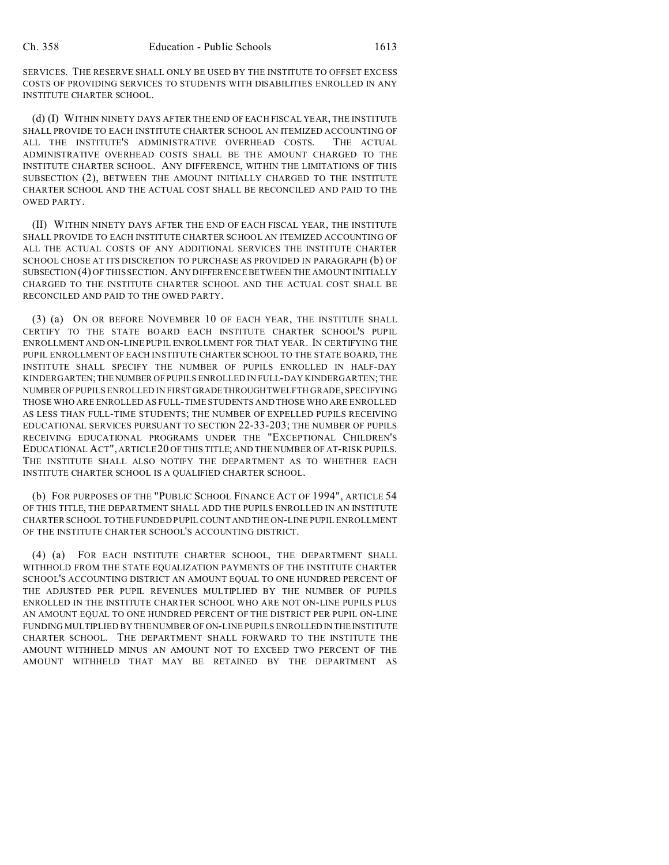SERVICES. THE RESERVE SHALL ONLY BE USED BY THE INSTITUTE TO OFFSET EXCESS COSTS OF PROVIDING SERVICES TO STUDENTS WITH DISABILITIES ENROLLED IN ANY INSTITUTE CHARTER SCHOOL.

(d) (I) WITHIN NINETY DAYS AFTER THE END OF EACH FISCAL YEAR, THE INSTITUTE SHALL PROVIDE TO EACH INSTITUTE CHARTER SCHOOL AN ITEMIZED ACCOUNTING OF ALL THE INSTITUTE'S ADMINISTRATIVE OVERHEAD COSTS. THE ACTUAL ADMINISTRATIVE OVERHEAD COSTS SHALL BE THE AMOUNT CHARGED TO THE INSTITUTE CHARTER SCHOOL. ANY DIFFERENCE, WITHIN THE LIMITATIONS OF THIS SUBSECTION (2), BETWEEN THE AMOUNT INITIALLY CHARGED TO THE INSTITUTE CHARTER SCHOOL AND THE ACTUAL COST SHALL BE RECONCILED AND PAID TO THE OWED PARTY.

(II) WITHIN NINETY DAYS AFTER THE END OF EACH FISCAL YEAR, THE INSTITUTE SHALL PROVIDE TO EACH INSTITUTE CHARTER SCHOOL AN ITEMIZED ACCOUNTING OF ALL THE ACTUAL COSTS OF ANY ADDITIONAL SERVICES THE INSTITUTE CHARTER SCHOOL CHOSE AT ITS DISCRETION TO PURCHASE AS PROVIDED IN PARAGRAPH (b) OF SUBSECTION(4) OF THIS SECTION. ANY DIFFERENCE BETWEEN THE AMOUNT INITIALLY CHARGED TO THE INSTITUTE CHARTER SCHOOL AND THE ACTUAL COST SHALL BE RECONCILED AND PAID TO THE OWED PARTY.

(3) (a) ON OR BEFORE NOVEMBER 10 OF EACH YEAR, THE INSTITUTE SHALL CERTIFY TO THE STATE BOARD EACH INSTITUTE CHARTER SCHOOL'S PUPIL ENROLLMENT AND ON-LINE PUPIL ENROLLMENT FOR THAT YEAR. IN CERTIFYING THE PUPIL ENROLLMENT OF EACH INSTITUTE CHARTER SCHOOL TO THE STATE BOARD, THE INSTITUTE SHALL SPECIFY THE NUMBER OF PUPILS ENROLLED IN HALF-DAY KINDERGARTEN;THENUMBER OF PUPILS ENROLLED IN FULL-DAY KINDERGARTEN; THE NUMBER OF PUPILS ENROLLED IN FIRST GRADETHROUGHTWELFTH GRADE, SPECIFYING THOSE WHO ARE ENROLLED AS FULL-TIME STUDENTS AND THOSE WHO ARE ENROLLED AS LESS THAN FULL-TIME STUDENTS; THE NUMBER OF EXPELLED PUPILS RECEIVING EDUCATIONAL SERVICES PURSUANT TO SECTION 22-33-203; THE NUMBER OF PUPILS RECEIVING EDUCATIONAL PROGRAMS UNDER THE "EXCEPTIONAL CHILDREN'S EDUCATIONAL ACT", ARTICLE 20 OF THIS TITLE; AND THE NUMBER OF AT-RISK PUPILS. THE INSTITUTE SHALL ALSO NOTIFY THE DEPARTMENT AS TO WHETHER EACH INSTITUTE CHARTER SCHOOL IS A QUALIFIED CHARTER SCHOOL.

(b) FOR PURPOSES OF THE "PUBLIC SCHOOL FINANCE ACT OF 1994", ARTICLE 54 OF THIS TITLE, THE DEPARTMENT SHALL ADD THE PUPILS ENROLLED IN AN INSTITUTE CHARTER SCHOOL TO THE FUNDED PUPIL COUNTANDTHE ON-LINE PUPIL ENROLLMENT OF THE INSTITUTE CHARTER SCHOOL'S ACCOUNTING DISTRICT.

(4) (a) FOR EACH INSTITUTE CHARTER SCHOOL, THE DEPARTMENT SHALL WITHHOLD FROM THE STATE EQUALIZATION PAYMENTS OF THE INSTITUTE CHARTER SCHOOL'S ACCOUNTING DISTRICT AN AMOUNT EQUAL TO ONE HUNDRED PERCENT OF THE ADJUSTED PER PUPIL REVENUES MULTIPLIED BY THE NUMBER OF PUPILS ENROLLED IN THE INSTITUTE CHARTER SCHOOL WHO ARE NOT ON-LINE PUPILS PLUS AN AMOUNT EQUAL TO ONE HUNDRED PERCENT OF THE DISTRICT PER PUPIL ON-LINE FUNDING MULTIPLIED BY THE NUMBER OF ON-LINE PUPILS ENROLLED IN THE INSTITUTE CHARTER SCHOOL. THE DEPARTMENT SHALL FORWARD TO THE INSTITUTE THE AMOUNT WITHHELD MINUS AN AMOUNT NOT TO EXCEED TWO PERCENT OF THE AMOUNT WITHHELD THAT MAY BE RETAINED BY THE DEPARTMENT AS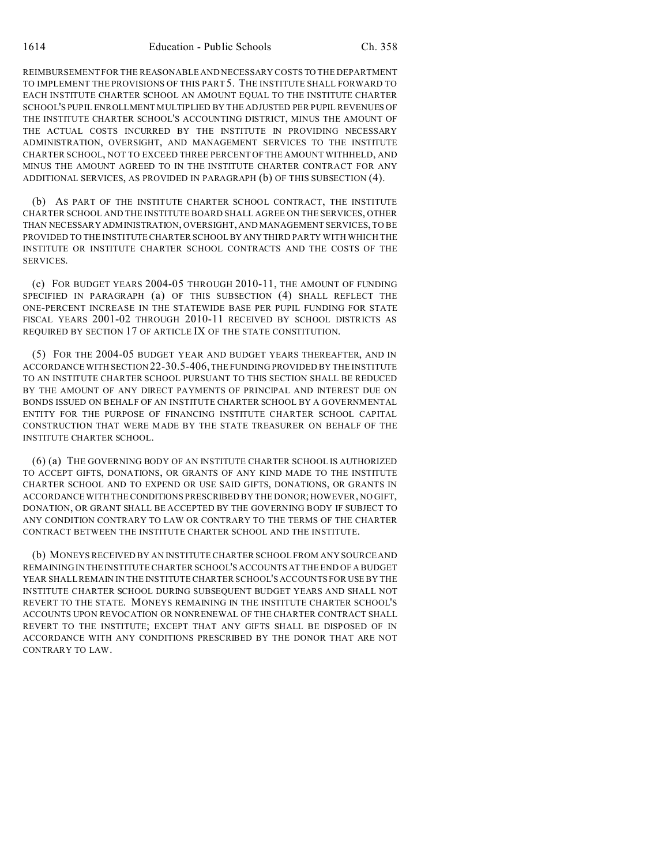REIMBURSEMENT FOR THE REASONABLE AND NECESSARY COSTS TO THE DEPARTMENT TO IMPLEMENT THE PROVISIONS OF THIS PART 5. THE INSTITUTE SHALL FORWARD TO EACH INSTITUTE CHARTER SCHOOL AN AMOUNT EQUAL TO THE INSTITUTE CHARTER SCHOOL'S PUPIL ENROLLMENT MULTIPLIED BY THE ADJUSTED PER PUPIL REVENUES OF THE INSTITUTE CHARTER SCHOOL'S ACCOUNTING DISTRICT, MINUS THE AMOUNT OF THE ACTUAL COSTS INCURRED BY THE INSTITUTE IN PROVIDING NECESSARY ADMINISTRATION, OVERSIGHT, AND MANAGEMENT SERVICES TO THE INSTITUTE CHARTER SCHOOL, NOT TO EXCEED THREE PERCENT OF THE AMOUNT WITHHELD, AND MINUS THE AMOUNT AGREED TO IN THE INSTITUTE CHARTER CONTRACT FOR ANY ADDITIONAL SERVICES, AS PROVIDED IN PARAGRAPH (b) OF THIS SUBSECTION (4).

(b) AS PART OF THE INSTITUTE CHARTER SCHOOL CONTRACT, THE INSTITUTE CHARTER SCHOOL AND THE INSTITUTE BOARD SHALL AGREE ON THE SERVICES, OTHER THAN NECESSARY ADMINISTRATION, OVERSIGHT, AND MANAGEMENT SERVICES, TO BE PROVIDED TO THE INSTITUTE CHARTER SCHOOL BY ANYTHIRD PARTY WITH WHICH THE INSTITUTE OR INSTITUTE CHARTER SCHOOL CONTRACTS AND THE COSTS OF THE SERVICES.

(c) FOR BUDGET YEARS 2004-05 THROUGH 2010-11, THE AMOUNT OF FUNDING SPECIFIED IN PARAGRAPH (a) OF THIS SUBSECTION (4) SHALL REFLECT THE ONE-PERCENT INCREASE IN THE STATEWIDE BASE PER PUPIL FUNDING FOR STATE FISCAL YEARS 2001-02 THROUGH 2010-11 RECEIVED BY SCHOOL DISTRICTS AS REQUIRED BY SECTION 17 OF ARTICLE IX OF THE STATE CONSTITUTION.

(5) FOR THE 2004-05 BUDGET YEAR AND BUDGET YEARS THEREAFTER, AND IN ACCORDANCE WITH SECTION 22-30.5-406, THE FUNDING PROVIDED BY THE INSTITUTE TO AN INSTITUTE CHARTER SCHOOL PURSUANT TO THIS SECTION SHALL BE REDUCED BY THE AMOUNT OF ANY DIRECT PAYMENTS OF PRINCIPAL AND INTEREST DUE ON BONDS ISSUED ON BEHALF OF AN INSTITUTE CHARTER SCHOOL BY A GOVERNMENTAL ENTITY FOR THE PURPOSE OF FINANCING INSTITUTE CHARTER SCHOOL CAPITAL CONSTRUCTION THAT WERE MADE BY THE STATE TREASURER ON BEHALF OF THE INSTITUTE CHARTER SCHOOL.

(6) (a) THE GOVERNING BODY OF AN INSTITUTE CHARTER SCHOOL IS AUTHORIZED TO ACCEPT GIFTS, DONATIONS, OR GRANTS OF ANY KIND MADE TO THE INSTITUTE CHARTER SCHOOL AND TO EXPEND OR USE SAID GIFTS, DONATIONS, OR GRANTS IN ACCORDANCE WITH THE CONDITIONS PRESCRIBED BY THE DONOR; HOWEVER, NO GIFT, DONATION, OR GRANT SHALL BE ACCEPTED BY THE GOVERNING BODY IF SUBJECT TO ANY CONDITION CONTRARY TO LAW OR CONTRARY TO THE TERMS OF THE CHARTER CONTRACT BETWEEN THE INSTITUTE CHARTER SCHOOL AND THE INSTITUTE.

(b) MONEYS RECEIVED BY AN INSTITUTE CHARTER SCHOOL FROM ANY SOURCE AND REMAINING IN THEINSTITUTE CHARTER SCHOOL'S ACCOUNTS AT THE END OF A BUDGET YEAR SHALL REMAIN IN THE INSTITUTE CHARTER SCHOOL'S ACCOUNTS FOR USE BY THE INSTITUTE CHARTER SCHOOL DURING SUBSEQUENT BUDGET YEARS AND SHALL NOT REVERT TO THE STATE. MONEYS REMAINING IN THE INSTITUTE CHARTER SCHOOL'S ACCOUNTS UPON REVOCATION OR NONRENEWAL OF THE CHARTER CONTRACT SHALL REVERT TO THE INSTITUTE; EXCEPT THAT ANY GIFTS SHALL BE DISPOSED OF IN ACCORDANCE WITH ANY CONDITIONS PRESCRIBED BY THE DONOR THAT ARE NOT CONTRARY TO LAW.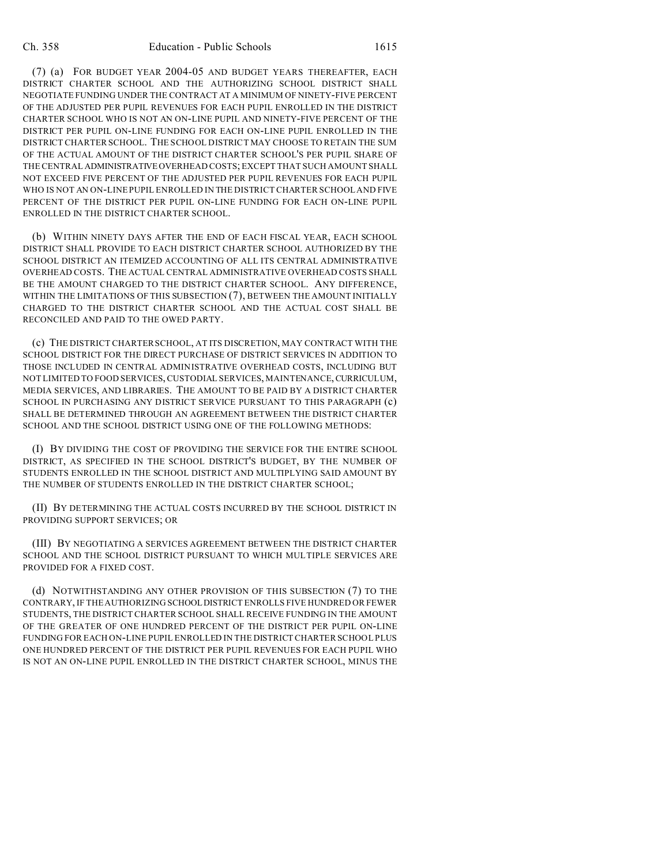(7) (a) FOR BUDGET YEAR 2004-05 AND BUDGET YEARS THEREAFTER, EACH DISTRICT CHARTER SCHOOL AND THE AUTHORIZING SCHOOL DISTRICT SHALL NEGOTIATE FUNDING UNDER THE CONTRACT AT A MINIMUM OF NINETY-FIVE PERCENT OF THE ADJUSTED PER PUPIL REVENUES FOR EACH PUPIL ENROLLED IN THE DISTRICT CHARTER SCHOOL WHO IS NOT AN ON-LINE PUPIL AND NINETY-FIVE PERCENT OF THE DISTRICT PER PUPIL ON-LINE FUNDING FOR EACH ON-LINE PUPIL ENROLLED IN THE DISTRICT CHARTER SCHOOL. THE SCHOOL DISTRICT MAY CHOOSE TO RETAIN THE SUM OF THE ACTUAL AMOUNT OF THE DISTRICT CHARTER SCHOOL'S PER PUPIL SHARE OF THE CENTRAL ADMINISTRATIVEOVERHEAD COSTS; EXCEPT THAT SUCH AMOUNT SHALL NOT EXCEED FIVE PERCENT OF THE ADJUSTED PER PUPIL REVENUES FOR EACH PUPIL WHO IS NOT AN ON-LINE PUPIL ENROLLED IN THE DISTRICT CHARTER SCHOOL AND FIVE PERCENT OF THE DISTRICT PER PUPIL ON-LINE FUNDING FOR EACH ON-LINE PUPIL ENROLLED IN THE DISTRICT CHARTER SCHOOL.

(b) WITHIN NINETY DAYS AFTER THE END OF EACH FISCAL YEAR, EACH SCHOOL DISTRICT SHALL PROVIDE TO EACH DISTRICT CHARTER SCHOOL AUTHORIZED BY THE SCHOOL DISTRICT AN ITEMIZED ACCOUNTING OF ALL ITS CENTRAL ADMINISTRATIVE OVERHEAD COSTS. THE ACTUAL CENTRAL ADMINISTRATIVE OVERHEAD COSTS SHALL BE THE AMOUNT CHARGED TO THE DISTRICT CHARTER SCHOOL. ANY DIFFERENCE, WITHIN THE LIMITATIONS OF THIS SUBSECTION (7), BETWEEN THE AMOUNT INITIALLY CHARGED TO THE DISTRICT CHARTER SCHOOL AND THE ACTUAL COST SHALL BE RECONCILED AND PAID TO THE OWED PARTY.

(c) THE DISTRICT CHARTER SCHOOL, AT ITS DISCRETION, MAY CONTRACT WITH THE SCHOOL DISTRICT FOR THE DIRECT PURCHASE OF DISTRICT SERVICES IN ADDITION TO THOSE INCLUDED IN CENTRAL ADMINISTRATIVE OVERHEAD COSTS, INCLUDING BUT NOT LIMITED TO FOOD SERVICES, CUSTODIAL SERVICES, MAINTENANCE, CURRICULUM, MEDIA SERVICES, AND LIBRARIES. THE AMOUNT TO BE PAID BY A DISTRICT CHARTER SCHOOL IN PURCHASING ANY DISTRICT SERVICE PURSUANT TO THIS PARAGRAPH (c) SHALL BE DETERMINED THROUGH AN AGREEMENT BETWEEN THE DISTRICT CHARTER SCHOOL AND THE SCHOOL DISTRICT USING ONE OF THE FOLLOWING METHODS:

(I) BY DIVIDING THE COST OF PROVIDING THE SERVICE FOR THE ENTIRE SCHOOL DISTRICT, AS SPECIFIED IN THE SCHOOL DISTRICT'S BUDGET, BY THE NUMBER OF STUDENTS ENROLLED IN THE SCHOOL DISTRICT AND MULTIPLYING SAID AMOUNT BY THE NUMBER OF STUDENTS ENROLLED IN THE DISTRICT CHARTER SCHOOL;

(II) BY DETERMINING THE ACTUAL COSTS INCURRED BY THE SCHOOL DISTRICT IN PROVIDING SUPPORT SERVICES; OR

(III) BY NEGOTIATING A SERVICES AGREEMENT BETWEEN THE DISTRICT CHARTER SCHOOL AND THE SCHOOL DISTRICT PURSUANT TO WHICH MULTIPLE SERVICES ARE PROVIDED FOR A FIXED COST.

(d) NOTWITHSTANDING ANY OTHER PROVISION OF THIS SUBSECTION (7) TO THE CONTRARY, IF THE AUTHORIZING SCHOOLDISTRICT ENROLLS FIVE HUNDRED OR FEWER STUDENTS, THE DISTRICT CHARTER SCHOOL SHALL RECEIVE FUNDING IN THE AMOUNT OF THE GREATER OF ONE HUNDRED PERCENT OF THE DISTRICT PER PUPIL ON-LINE FUNDING FOR EACH ON-LINE PUPIL ENROLLED IN THE DISTRICT CHARTER SCHOOL PLUS ONE HUNDRED PERCENT OF THE DISTRICT PER PUPIL REVENUES FOR EACH PUPIL WHO IS NOT AN ON-LINE PUPIL ENROLLED IN THE DISTRICT CHARTER SCHOOL, MINUS THE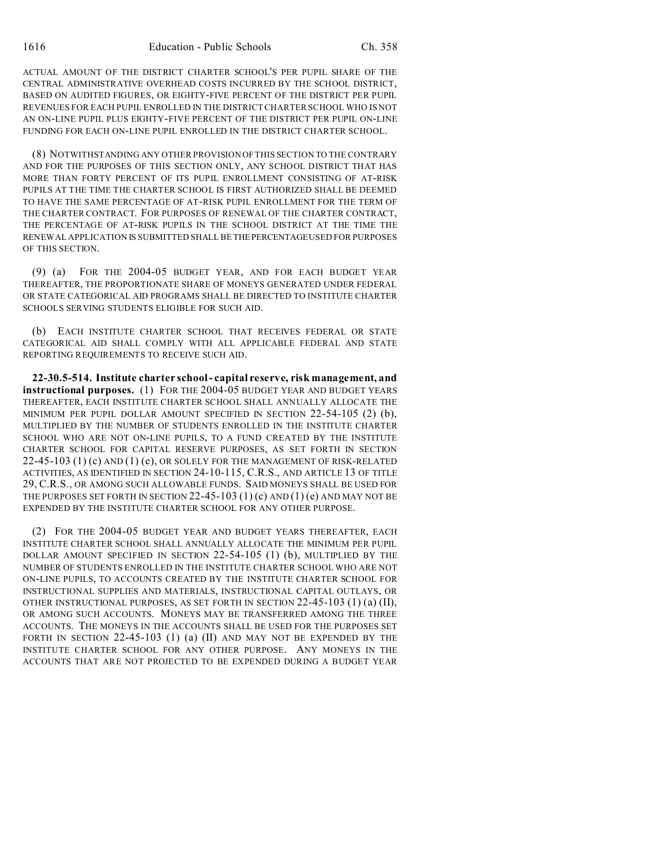ACTUAL AMOUNT OF THE DISTRICT CHARTER SCHOOL'S PER PUPIL SHARE OF THE CENTRAL ADMINISTRATIVE OVERHEAD COSTS INCURRED BY THE SCHOOL DISTRICT, BASED ON AUDITED FIGURES, OR EIGHTY-FIVE PERCENT OF THE DISTRICT PER PUPIL REVENUES FOR EACH PUPIL ENROLLED IN THE DISTRICT CHARTER SCHOOL WHO IS NOT AN ON-LINE PUPIL PLUS EIGHTY-FIVE PERCENT OF THE DISTRICT PER PUPIL ON-LINE FUNDING FOR EACH ON-LINE PUPIL ENROLLED IN THE DISTRICT CHARTER SCHOOL.

(8) NOTWITHSTANDING ANY OTHER PROVISION OF THIS SECTION TO THE CONTRARY AND FOR THE PURPOSES OF THIS SECTION ONLY, ANY SCHOOL DISTRICT THAT HAS MORE THAN FORTY PERCENT OF ITS PUPIL ENROLLMENT CONSISTING OF AT-RISK PUPILS AT THE TIME THE CHARTER SCHOOL IS FIRST AUTHORIZED SHALL BE DEEMED TO HAVE THE SAME PERCENTAGE OF AT-RISK PUPIL ENROLLMENT FOR THE TERM OF THE CHARTER CONTRACT. FOR PURPOSES OF RENEWAL OF THE CHARTER CONTRACT, THE PERCENTAGE OF AT-RISK PUPILS IN THE SCHOOL DISTRICT AT THE TIME THE RENEWAL APPLICATION IS SUBMITTED SHALL BE THEPERCENTAGE USED FOR PURPOSES OF THIS SECTION.

(9) (a) FOR THE 2004-05 BUDGET YEAR, AND FOR EACH BUDGET YEAR THEREAFTER, THE PROPORTIONATE SHARE OF MONEYS GENERATED UNDER FEDERAL OR STATE CATEGORICAL AID PROGRAMS SHALL BE DIRECTED TO INSTITUTE CHARTER SCHOOLS SERVING STUDENTS ELIGIBLE FOR SUCH AID.

(b) EACH INSTITUTE CHARTER SCHOOL THAT RECEIVES FEDERAL OR STATE CATEGORICAL AID SHALL COMPLY WITH ALL APPLICABLE FEDERAL AND STATE REPORTING REQUIREMENTS TO RECEIVE SUCH AID.

**22-30.5-514. Institute charter school - capital reserve, risk management, and instructional purposes.** (1) FOR THE 2004-05 BUDGET YEAR AND BUDGET YEARS THEREAFTER, EACH INSTITUTE CHARTER SCHOOL SHALL ANNUALLY ALLOCATE THE MINIMUM PER PUPIL DOLLAR AMOUNT SPECIFIED IN SECTION 22-54-105 (2) (b), MULTIPLIED BY THE NUMBER OF STUDENTS ENROLLED IN THE INSTITUTE CHARTER SCHOOL WHO ARE NOT ON-LINE PUPILS, TO A FUND CREATED BY THE INSTITUTE CHARTER SCHOOL FOR CAPITAL RESERVE PURPOSES, AS SET FORTH IN SECTION  $22-45-103$  (1) (c) AND (1) (e), OR SOLELY FOR THE MANAGEMENT OF RISK-RELATED ACTIVITIES, AS IDENTIFIED IN SECTION 24-10-115, C.R.S., AND ARTICLE 13 OF TITLE 29, C.R.S., OR AMONG SUCH ALLOWABLE FUNDS. SAID MONEYS SHALL BE USED FOR THE PURPOSES SET FORTH IN SECTION  $22-45-103(1)(c)$  AND  $(1)(e)$  AND MAY NOT BE EXPENDED BY THE INSTITUTE CHARTER SCHOOL FOR ANY OTHER PURPOSE.

(2) FOR THE 2004-05 BUDGET YEAR AND BUDGET YEARS THEREAFTER, EACH INSTITUTE CHARTER SCHOOL SHALL ANNUALLY ALLOCATE THE MINIMUM PER PUPIL DOLLAR AMOUNT SPECIFIED IN SECTION 22-54-105 (1) (b), MULTIPLIED BY THE NUMBER OF STUDENTS ENROLLED IN THE INSTITUTE CHARTER SCHOOL WHO ARE NOT ON-LINE PUPILS, TO ACCOUNTS CREATED BY THE INSTITUTE CHARTER SCHOOL FOR INSTRUCTIONAL SUPPLIES AND MATERIALS, INSTRUCTIONAL CAPITAL OUTLAYS, OR OTHER INSTRUCTIONAL PURPOSES, AS SET FORTH IN SECTION 22-45-103 (1) (a) (II), OR AMONG SUCH ACCOUNTS. MONEYS MAY BE TRANSFERRED AMONG THE THREE ACCOUNTS. THE MONEYS IN THE ACCOUNTS SHALL BE USED FOR THE PURPOSES SET FORTH IN SECTION 22-45-103 (1) (a) (II) AND MAY NOT BE EXPENDED BY THE INSTITUTE CHARTER SCHOOL FOR ANY OTHER PURPOSE. ANY MONEYS IN THE ACCOUNTS THAT ARE NOT PROJECTED TO BE EXPENDED DURING A BUDGET YEAR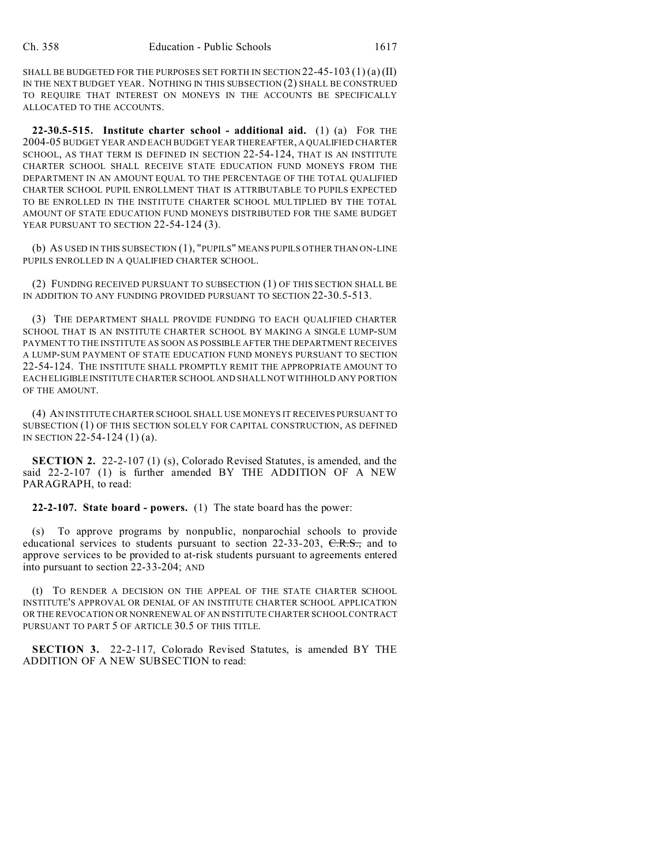SHALL BE BUDGETED FOR THE PURPOSES SET FORTH IN SECTION  $22-45-103(1)(a)(II)$ IN THE NEXT BUDGET YEAR. NOTHING IN THIS SUBSECTION (2) SHALL BE CONSTRUED TO REQUIRE THAT INTEREST ON MONEYS IN THE ACCOUNTS BE SPECIFICALLY ALLOCATED TO THE ACCOUNTS.

**22-30.5-515. Institute charter school - additional aid.** (1) (a) FOR THE 2004-05 BUDGET YEAR AND EACH BUDGET YEAR THEREAFTER, A QUALIFIED CHARTER SCHOOL, AS THAT TERM IS DEFINED IN SECTION 22-54-124, THAT IS AN INSTITUTE CHARTER SCHOOL SHALL RECEIVE STATE EDUCATION FUND MONEYS FROM THE DEPARTMENT IN AN AMOUNT EQUAL TO THE PERCENTAGE OF THE TOTAL QUALIFIED CHARTER SCHOOL PUPIL ENROLLMENT THAT IS ATTRIBUTABLE TO PUPILS EXPECTED TO BE ENROLLED IN THE INSTITUTE CHARTER SCHOOL MULTIPLIED BY THE TOTAL AMOUNT OF STATE EDUCATION FUND MONEYS DISTRIBUTED FOR THE SAME BUDGET YEAR PURSUANT TO SECTION 22-54-124 (3).

(b) AS USED IN THIS SUBSECTION (1), "PUPILS" MEANS PUPILS OTHER THAN ON-LINE PUPILS ENROLLED IN A QUALIFIED CHARTER SCHOOL.

(2) FUNDING RECEIVED PURSUANT TO SUBSECTION (1) OF THIS SECTION SHALL BE IN ADDITION TO ANY FUNDING PROVIDED PURSUANT TO SECTION 22-30.5-513.

(3) THE DEPARTMENT SHALL PROVIDE FUNDING TO EACH QUALIFIED CHARTER SCHOOL THAT IS AN INSTITUTE CHARTER SCHOOL BY MAKING A SINGLE LUMP-SUM PAYMENT TO THE INSTITUTE AS SOON AS POSSIBLE AFTER THE DEPARTMENT RECEIVES A LUMP-SUM PAYMENT OF STATE EDUCATION FUND MONEYS PURSUANT TO SECTION 22-54-124. THE INSTITUTE SHALL PROMPTLY REMIT THE APPROPRIATE AMOUNT TO EACH ELIGIBLEINSTITUTE CHARTER SCHOOL AND SHALL NOT WITHHOLD ANY PORTION OF THE AMOUNT.

(4) AN INSTITUTE CHARTER SCHOOL SHALL USE MONEYS IT RECEIVES PURSUANT TO SUBSECTION (1) OF THIS SECTION SOLELY FOR CAPITAL CONSTRUCTION, AS DEFINED IN SECTION 22-54-124 (1) (a).

**SECTION 2.** 22-2-107 (1) (s), Colorado Revised Statutes, is amended, and the said 22-2-107 (1) is further amended BY THE ADDITION OF A NEW PARAGRAPH, to read:

**22-2-107. State board - powers.** (1) The state board has the power:

(s) To approve programs by nonpublic, nonparochial schools to provide educational services to students pursuant to section  $22-33-203$ , C.R.S., and to approve services to be provided to at-risk students pursuant to agreements entered into pursuant to section 22-33-204; AND

(t) TO RENDER A DECISION ON THE APPEAL OF THE STATE CHARTER SCHOOL INSTITUTE'S APPROVAL OR DENIAL OF AN INSTITUTE CHARTER SCHOOL APPLICATION OR THE REVOCATION OR NONRENEWAL OF AN INSTITUTE CHARTER SCHOOL CONTRACT PURSUANT TO PART 5 OF ARTICLE 30.5 OF THIS TITLE.

**SECTION 3.** 22-2-117, Colorado Revised Statutes, is amended BY THE ADDITION OF A NEW SUBSECTION to read: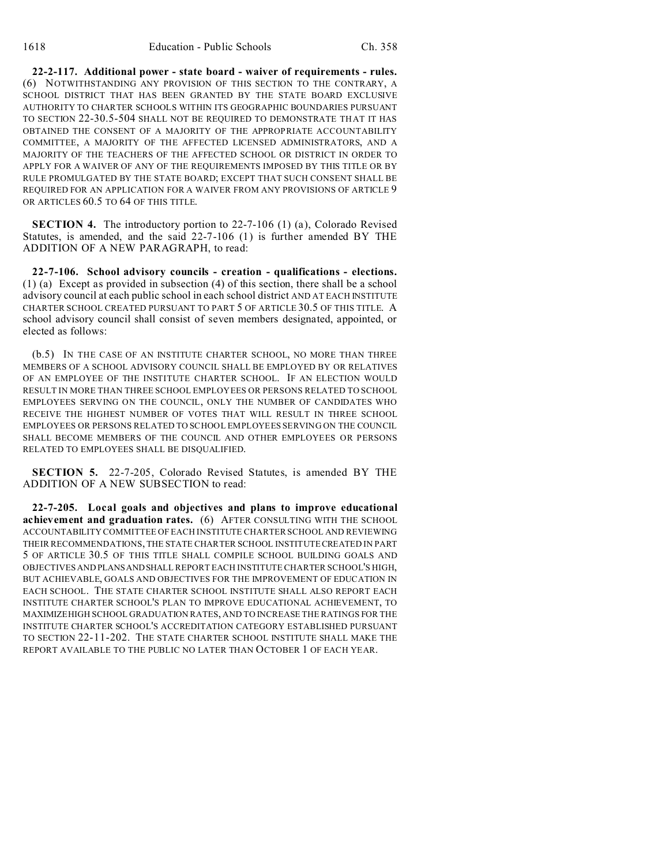**22-2-117. Additional power - state board - waiver of requirements - rules.** (6) NOTWITHSTANDING ANY PROVISION OF THIS SECTION TO THE CONTRARY, A SCHOOL DISTRICT THAT HAS BEEN GRANTED BY THE STATE BOARD EXCLUSIVE AUTHORITY TO CHARTER SCHOOLS WITHIN ITS GEOGRAPHIC BOUNDARIES PURSUANT TO SECTION 22-30.5-504 SHALL NOT BE REQUIRED TO DEMONSTRATE THAT IT HAS OBTAINED THE CONSENT OF A MAJORITY OF THE APPROPRIATE ACCOUNTABILITY COMMITTEE, A MAJORITY OF THE AFFECTED LICENSED ADMINISTRATORS, AND A MAJORITY OF THE TEACHERS OF THE AFFECTED SCHOOL OR DISTRICT IN ORDER TO APPLY FOR A WAIVER OF ANY OF THE REQUIREMENTS IMPOSED BY THIS TITLE OR BY RULE PROMULGATED BY THE STATE BOARD; EXCEPT THAT SUCH CONSENT SHALL BE REQUIRED FOR AN APPLICATION FOR A WAIVER FROM ANY PROVISIONS OF ARTICLE 9 OR ARTICLES 60.5 TO 64 OF THIS TITLE.

**SECTION 4.** The introductory portion to 22-7-106 (1) (a), Colorado Revised Statutes, is amended, and the said 22-7-106 (1) is further amended BY THE ADDITION OF A NEW PARAGRAPH, to read:

**22-7-106. School advisory councils - creation - qualifications - elections.** (1) (a) Except as provided in subsection (4) of this section, there shall be a school advisory council at each public school in each school district AND AT EACH INSTITUTE CHARTER SCHOOL CREATED PURSUANT TO PART 5 OF ARTICLE 30.5 OF THIS TITLE. A school advisory council shall consist of seven members designated, appointed, or elected as follows:

(b.5) IN THE CASE OF AN INSTITUTE CHARTER SCHOOL, NO MORE THAN THREE MEMBERS OF A SCHOOL ADVISORY COUNCIL SHALL BE EMPLOYED BY OR RELATIVES OF AN EMPLOYEE OF THE INSTITUTE CHARTER SCHOOL. IF AN ELECTION WOULD RESULT IN MORE THAN THREE SCHOOL EMPLOYEES OR PERSONS RELATED TO SCHOOL EMPLOYEES SERVING ON THE COUNCIL, ONLY THE NUMBER OF CANDIDATES WHO RECEIVE THE HIGHEST NUMBER OF VOTES THAT WILL RESULT IN THREE SCHOOL EMPLOYEES OR PERSONS RELATED TO SCHOOL EMPLOYEES SERVING ON THE COUNCIL SHALL BECOME MEMBERS OF THE COUNCIL AND OTHER EMPLOYEES OR PERSONS RELATED TO EMPLOYEES SHALL BE DISQUALIFIED.

**SECTION 5.** 22-7-205, Colorado Revised Statutes, is amended BY THE ADDITION OF A NEW SUBSECTION to read:

**22-7-205. Local goals and objectives and plans to improve educational achievement and graduation rates.** (6) AFTER CONSULTING WITH THE SCHOOL ACCOUNTABILITY COMMITTEE OF EACH INSTITUTE CHARTER SCHOOL AND REVIEWING THEIR RECOMMENDATIONS, THE STATE CHARTER SCHOOL INSTITUTECREATED IN PART 5 OF ARTICLE 30.5 OF THIS TITLE SHALL COMPILE SCHOOL BUILDING GOALS AND OBJECTIVES AND PLANSANDSHALL REPORT EACH INSTITUTE CHARTER SCHOOL'S HIGH, BUT ACHIEVABLE, GOALS AND OBJECTIVES FOR THE IMPROVEMENT OF EDUCATION IN EACH SCHOOL. THE STATE CHARTER SCHOOL INSTITUTE SHALL ALSO REPORT EACH INSTITUTE CHARTER SCHOOL'S PLAN TO IMPROVE EDUCATIONAL ACHIEVEMENT, TO MAXIMIZEHIGH SCHOOL GRADUATION RATES, AND TO INCREASE THE RATINGS FOR THE INSTITUTE CHARTER SCHOOL'S ACCREDITATION CATEGORY ESTABLISHED PURSUANT TO SECTION 22-11-202. THE STATE CHARTER SCHOOL INSTITUTE SHALL MAKE THE REPORT AVAILABLE TO THE PUBLIC NO LATER THAN OCTOBER 1 OF EACH YEAR.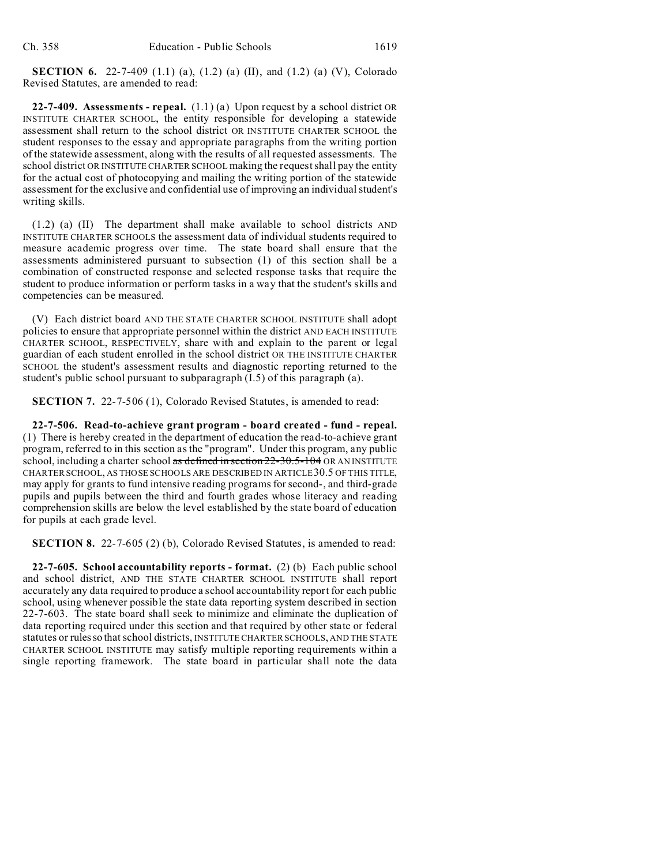**SECTION 6.** 22-7-409 (1.1) (a), (1.2) (a) (II), and (1.2) (a) (V), Colorado Revised Statutes, are amended to read:

**22-7-409. Assessments - repeal.** (1.1) (a) Upon request by a school district OR INSTITUTE CHARTER SCHOOL, the entity responsible for developing a statewide assessment shall return to the school district OR INSTITUTE CHARTER SCHOOL the student responses to the essay and appropriate paragraphs from the writing portion of the statewide assessment, along with the results of all requested assessments. The school district OR INSTITUTE CHARTER SCHOOL making the request shall pay the entity for the actual cost of photocopying and mailing the writing portion of the statewide assessment for the exclusive and confidential use of improving an individual student's writing skills.

(1.2) (a) (II) The department shall make available to school districts AND INSTITUTE CHARTER SCHOOLS the assessment data of individual students required to measure academic progress over time. The state board shall ensure that the assessments administered pursuant to subsection (1) of this section shall be a combination of constructed response and selected response tasks that require the student to produce information or perform tasks in a way that the student's skills and competencies can be measured.

(V) Each district board AND THE STATE CHARTER SCHOOL INSTITUTE shall adopt policies to ensure that appropriate personnel within the district AND EACH INSTITUTE CHARTER SCHOOL, RESPECTIVELY, share with and explain to the parent or legal guardian of each student enrolled in the school district OR THE INSTITUTE CHARTER SCHOOL the student's assessment results and diagnostic reporting returned to the student's public school pursuant to subparagraph (I.5) of this paragraph (a).

**SECTION 7.** 22-7-506 (1), Colorado Revised Statutes, is amended to read:

**22-7-506. Read-to-achieve grant program - board created - fund - repeal.** (1) There is hereby created in the department of education the read-to-achieve grant program, referred to in this section as the "program". Under this program, any public school, including a charter school as defined in section 22-30.5-104 OR AN INSTITUTE CHARTER SCHOOL, AS THOSE SCHOOLS ARE DESCRIBED IN ARTICLE 30.5 OF THIS TITLE, may apply for grants to fund intensive reading programs for second-, and third-grade pupils and pupils between the third and fourth grades whose literacy and reading comprehension skills are below the level established by the state board of education for pupils at each grade level.

**SECTION 8.** 22-7-605 (2) (b), Colorado Revised Statutes, is amended to read:

**22-7-605. School accountability reports - format.** (2) (b) Each public school and school district, AND THE STATE CHARTER SCHOOL INSTITUTE shall report accurately any data required to produce a school accountability report for each public school, using whenever possible the state data reporting system described in section 22-7-603. The state board shall seek to minimize and eliminate the duplication of data reporting required under this section and that required by other state or federal statutes or rulesso that school districts, INSTITUTE CHARTER SCHOOLS, AND THE STATE CHARTER SCHOOL INSTITUTE may satisfy multiple reporting requirements within a single reporting framework. The state board in particular shall note the data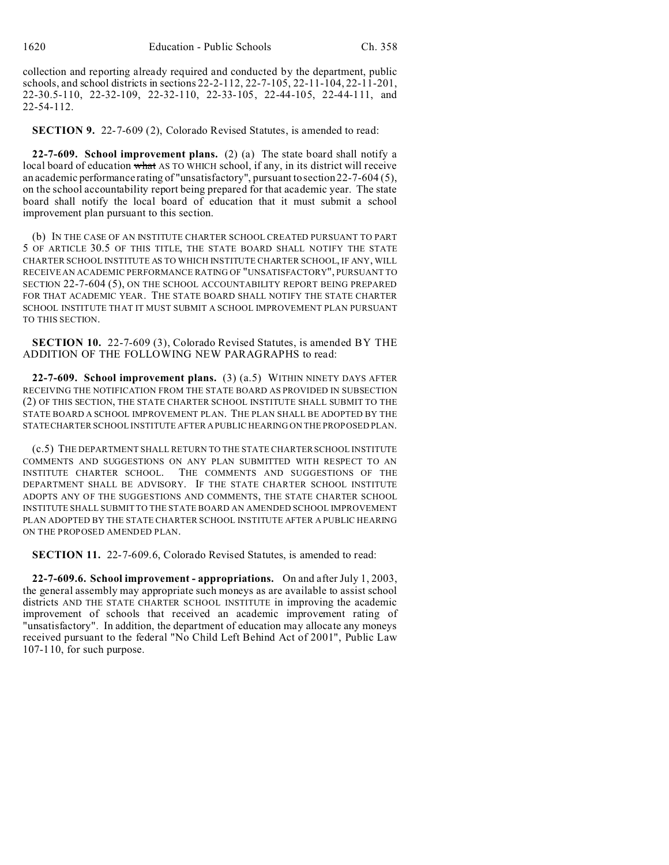collection and reporting already required and conducted by the department, public schools, and school districts in sections 22-2-112, 22-7-105, 22-11-104, 22-11-201, 22-30.5-110, 22-32-109, 22-32-110, 22-33-105, 22-44-105, 22-44-111, and 22-54-112.

**SECTION 9.** 22-7-609 (2), Colorado Revised Statutes, is amended to read:

**22-7-609. School improvement plans.** (2) (a) The state board shall notify a local board of education what AS TO WHICH school, if any, in its district will receive an academic performance rating of "unsatisfactory", pursuant to section 22-7-604 (5), on the school accountability report being prepared for that academic year. The state board shall notify the local board of education that it must submit a school improvement plan pursuant to this section.

(b) IN THE CASE OF AN INSTITUTE CHARTER SCHOOL CREATED PURSUANT TO PART 5 OF ARTICLE 30.5 OF THIS TITLE, THE STATE BOARD SHALL NOTIFY THE STATE CHARTER SCHOOL INSTITUTE AS TO WHICH INSTITUTE CHARTER SCHOOL, IF ANY, WILL RECEIVE AN ACADEMIC PERFORMANCE RATING OF "UNSATISFACTORY", PURSUANT TO SECTION 22-7-604 (5), ON THE SCHOOL ACCOUNTABILITY REPORT BEING PREPARED FOR THAT ACADEMIC YEAR. THE STATE BOARD SHALL NOTIFY THE STATE CHARTER SCHOOL INSTITUTE THAT IT MUST SUBMIT A SCHOOL IMPROVEMENT PLAN PURSUANT TO THIS SECTION.

**SECTION 10.** 22-7-609 (3), Colorado Revised Statutes, is amended BY THE ADDITION OF THE FOLLOWING NEW PARAGRAPHS to read:

**22-7-609. School improvement plans.** (3) (a.5) WITHIN NINETY DAYS AFTER RECEIVING THE NOTIFICATION FROM THE STATE BOARD AS PROVIDED IN SUBSECTION (2) OF THIS SECTION, THE STATE CHARTER SCHOOL INSTITUTE SHALL SUBMIT TO THE STATE BOARD A SCHOOL IMPROVEMENT PLAN. THE PLAN SHALL BE ADOPTED BY THE STATECHARTER SCHOOL INSTITUTE AFTER A PUBLIC HEARING ON THE PROPOSED PLAN.

(c.5) THE DEPARTMENT SHALL RETURN TO THE STATE CHARTER SCHOOL INSTITUTE COMMENTS AND SUGGESTIONS ON ANY PLAN SUBMITTED WITH RESPECT TO AN INSTITUTE CHARTER SCHOOL. THE COMMENTS AND SUGGESTIONS OF THE DEPARTMENT SHALL BE ADVISORY. IF THE STATE CHARTER SCHOOL INSTITUTE ADOPTS ANY OF THE SUGGESTIONS AND COMMENTS, THE STATE CHARTER SCHOOL INSTITUTE SHALL SUBMIT TO THE STATE BOARD AN AMENDED SCHOOL IMPROVEMENT PLAN ADOPTED BY THE STATE CHARTER SCHOOL INSTITUTE AFTER A PUBLIC HEARING ON THE PROPOSED AMENDED PLAN.

**SECTION 11.** 22-7-609.6, Colorado Revised Statutes, is amended to read:

**22-7-609.6. School improvement - appropriations.** On and after July 1, 2003, the general assembly may appropriate such moneys as are available to assist school districts AND THE STATE CHARTER SCHOOL INSTITUTE in improving the academic improvement of schools that received an academic improvement rating of "unsatisfactory". In addition, the department of education may allocate any moneys received pursuant to the federal "No Child Left Behind Act of 2001", Public Law 107-110, for such purpose.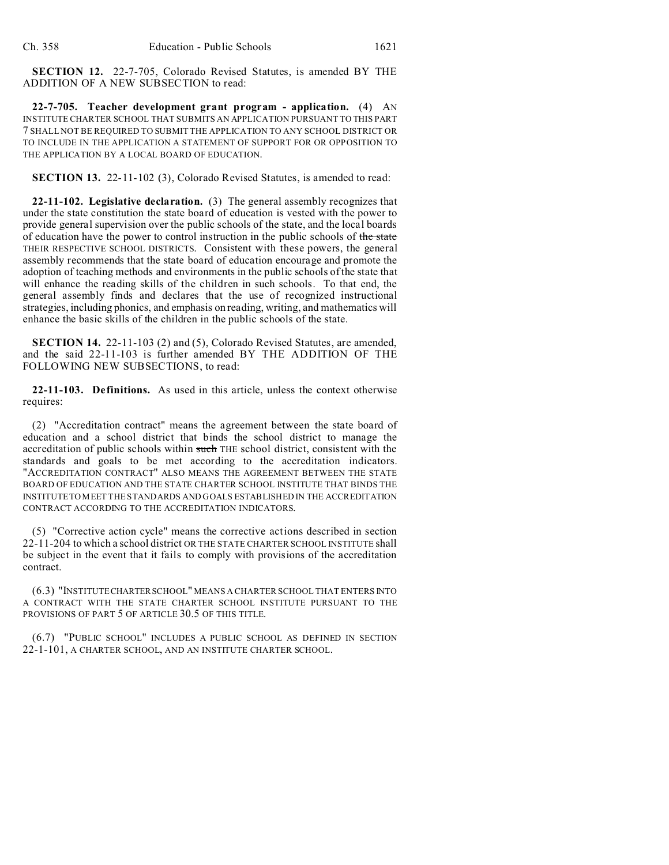**SECTION 12.** 22-7-705, Colorado Revised Statutes, is amended BY THE ADDITION OF A NEW SUBSECTION to read:

**22-7-705. Teacher development grant program - application.** (4) AN INSTITUTE CHARTER SCHOOL THAT SUBMITS AN APPLICATION PURSUANT TO THIS PART 7 SHALL NOT BE REQUIRED TO SUBMIT THE APPLICATION TO ANY SCHOOL DISTRICT OR TO INCLUDE IN THE APPLICATION A STATEMENT OF SUPPORT FOR OR OPPOSITION TO THE APPLICATION BY A LOCAL BOARD OF EDUCATION.

**SECTION 13.** 22-11-102 (3), Colorado Revised Statutes, is amended to read:

**22-11-102. Legislative declaration.** (3) The general assembly recognizes that under the state constitution the state board of education is vested with the power to provide general supervision over the public schools of the state, and the local boards of education have the power to control instruction in the public schools of the state THEIR RESPECTIVE SCHOOL DISTRICTS. Consistent with these powers, the general assembly recommends that the state board of education encourage and promote the adoption of teaching methods and environments in the public schools of the state that will enhance the reading skills of the children in such schools. To that end, the general assembly finds and declares that the use of recognized instructional strategies, including phonics, and emphasis on reading, writing, and mathematics will enhance the basic skills of the children in the public schools of the state.

**SECTION 14.** 22-11-103 (2) and (5), Colorado Revised Statutes, are amended, and the said 22-11-103 is further amended BY THE ADDITION OF THE FOLLOWING NEW SUBSECTIONS, to read:

**22-11-103. Definitions.** As used in this article, unless the context otherwise requires:

(2) "Accreditation contract" means the agreement between the state board of education and a school district that binds the school district to manage the accreditation of public schools within such THE school district, consistent with the standards and goals to be met according to the accreditation indicators. "ACCREDITATION CONTRACT" ALSO MEANS THE AGREEMENT BETWEEN THE STATE BOARD OF EDUCATION AND THE STATE CHARTER SCHOOL INSTITUTE THAT BINDS THE INSTITUTE TO MEET THE STANDARDS AND GOALS ESTABLISHED IN THE ACCREDITATION CONTRACT ACCORDING TO THE ACCREDITATION INDICATORS.

(5) "Corrective action cycle" means the corrective actions described in section 22-11-204 to which a school district OR THE STATE CHARTER SCHOOL INSTITUTE shall be subject in the event that it fails to comply with provisions of the accreditation contract.

(6.3) "INSTITUTE CHARTERSCHOOL" MEANS A CHARTER SCHOOL THAT ENTERS INTO A CONTRACT WITH THE STATE CHARTER SCHOOL INSTITUTE PURSUANT TO THE PROVISIONS OF PART 5 OF ARTICLE 30.5 OF THIS TITLE.

(6.7) "PUBLIC SCHOOL" INCLUDES A PUBLIC SCHOOL AS DEFINED IN SECTION 22-1-101, A CHARTER SCHOOL, AND AN INSTITUTE CHARTER SCHOOL.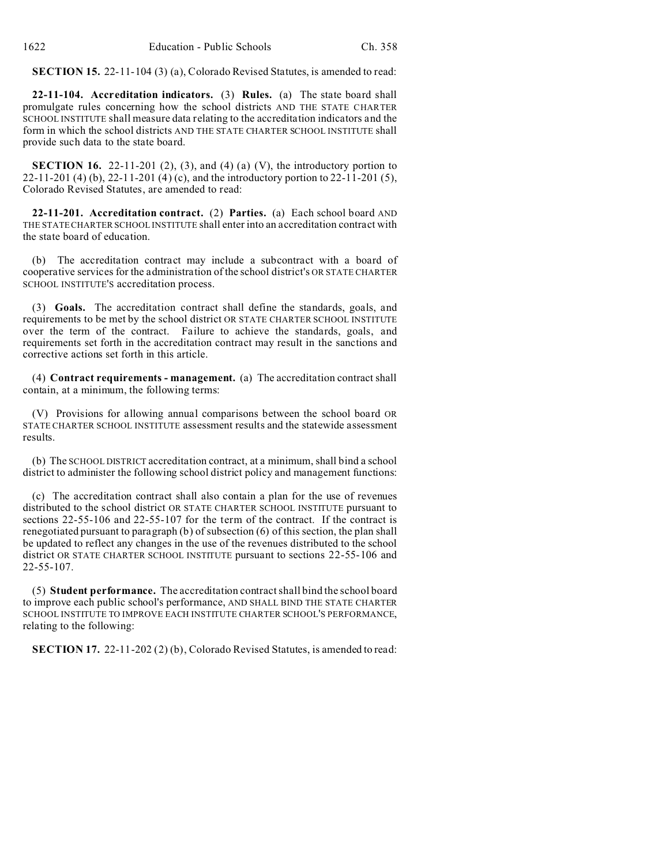**SECTION 15.** 22-11-104 (3) (a), Colorado Revised Statutes, is amended to read:

**22-11-104. Accreditation indicators.** (3) **Rules.** (a) The state board shall promulgate rules concerning how the school districts AND THE STATE CHARTER SCHOOL INSTITUTE shall measure data relating to the accreditation indicators and the form in which the school districts AND THE STATE CHARTER SCHOOL INSTITUTE shall provide such data to the state board.

**SECTION 16.** 22-11-201 (2), (3), and (4) (a) (V), the introductory portion to 22-11-201 (4) (b), 22-11-201 (4) (c), and the introductory portion to 22-11-201 (5), Colorado Revised Statutes, are amended to read:

**22-11-201. Accreditation contract.** (2) **Parties.** (a) Each school board AND THE STATE CHARTER SCHOOL INSTITUTE shall enter into an accreditation contract with the state board of education.

(b) The accreditation contract may include a subcontract with a board of cooperative services for the administration of the school district's OR STATE CHARTER SCHOOL INSTITUTE'S accreditation process.

(3) **Goals.** The accreditation contract shall define the standards, goals, and requirements to be met by the school district OR STATE CHARTER SCHOOL INSTITUTE over the term of the contract. Failure to achieve the standards, goals, and requirements set forth in the accreditation contract may result in the sanctions and corrective actions set forth in this article.

(4) **Contract requirements - management.** (a) The accreditation contract shall contain, at a minimum, the following terms:

(V) Provisions for allowing annual comparisons between the school board OR STATE CHARTER SCHOOL INSTITUTE assessment results and the statewide assessment results.

(b) The SCHOOL DISTRICT accreditation contract, at a minimum, shall bind a school district to administer the following school district policy and management functions:

(c) The accreditation contract shall also contain a plan for the use of revenues distributed to the school district OR STATE CHARTER SCHOOL INSTITUTE pursuant to sections 22-55-106 and 22-55-107 for the term of the contract. If the contract is renegotiated pursuant to paragraph (b) of subsection (6) of this section, the plan shall be updated to reflect any changes in the use of the revenues distributed to the school district OR STATE CHARTER SCHOOL INSTITUTE pursuant to sections 22-55-106 and 22-55-107.

(5) **Student performance.** The accreditation contract shall bind the school board to improve each public school's performance, AND SHALL BIND THE STATE CHARTER SCHOOL INSTITUTE TO IMPROVE EACH INSTITUTE CHARTER SCHOOL'S PERFORMANCE, relating to the following:

**SECTION 17.** 22-11-202 (2) (b), Colorado Revised Statutes, is amended to read: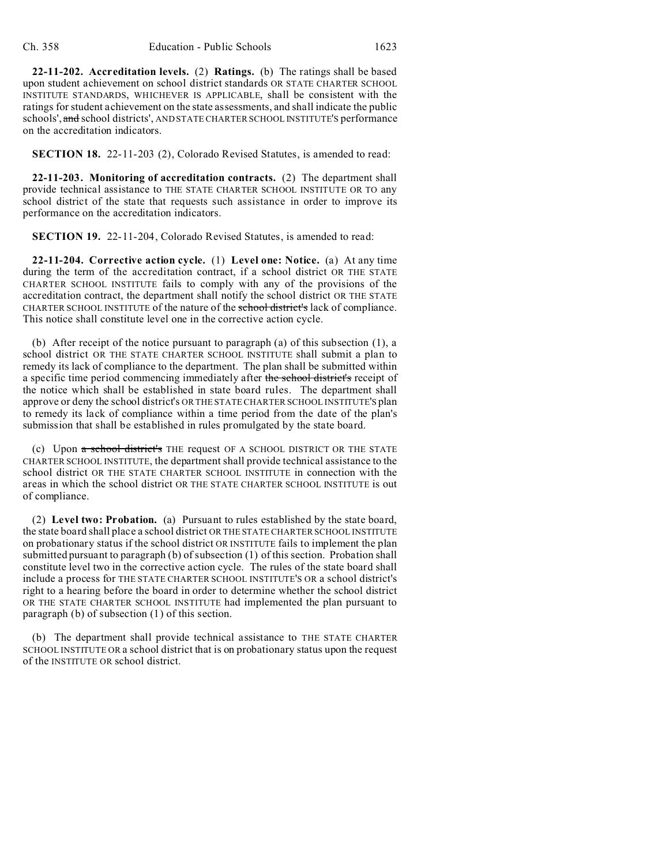**22-11-202. Accreditation levels.** (2) **Ratings.** (b) The ratings shall be based upon student achievement on school district standards OR STATE CHARTER SCHOOL INSTITUTE STANDARDS, WHICHEVER IS APPLICABLE, shall be consistent with the ratings for student achievement on the state assessments, and shall indicate the public schools', and school districts', AND STATE CHARTER SCHOOL INSTITUTE'S performance on the accreditation indicators.

**SECTION 18.** 22-11-203 (2), Colorado Revised Statutes, is amended to read:

**22-11-203. Monitoring of accreditation contracts.** (2) The department shall provide technical assistance to THE STATE CHARTER SCHOOL INSTITUTE OR TO any school district of the state that requests such assistance in order to improve its performance on the accreditation indicators.

**SECTION 19.** 22-11-204, Colorado Revised Statutes, is amended to read:

**22-11-204. Corrective action cycle.** (1) **Level one: Notice.** (a) At any time during the term of the accreditation contract, if a school district OR THE STATE CHARTER SCHOOL INSTITUTE fails to comply with any of the provisions of the accreditation contract, the department shall notify the school district OR THE STATE CHARTER SCHOOL INSTITUTE of the nature of the school district's lack of compliance. This notice shall constitute level one in the corrective action cycle.

(b) After receipt of the notice pursuant to paragraph (a) of this subsection (1), a school district OR THE STATE CHARTER SCHOOL INSTITUTE shall submit a plan to remedy its lack of compliance to the department. The plan shall be submitted within a specific time period commencing immediately after the school district's receipt of the notice which shall be established in state board rules. The department shall approve or deny the school district's OR THE STATE CHARTER SCHOOL INSTITUTE'S plan to remedy its lack of compliance within a time period from the date of the plan's submission that shall be established in rules promulgated by the state board.

(c) Upon a school district's THE request OF A SCHOOL DISTRICT OR THE STATE CHARTER SCHOOL INSTITUTE, the department shall provide technical assistance to the school district OR THE STATE CHARTER SCHOOL INSTITUTE in connection with the areas in which the school district OR THE STATE CHARTER SCHOOL INSTITUTE is out of compliance.

(2) **Level two: Probation.** (a) Pursuant to rules established by the state board, the state board shall place a school district OR THE STATE CHARTER SCHOOL INSTITUTE on probationary status if the school district OR INSTITUTE fails to implement the plan submitted pursuant to paragraph (b) of subsection (1) of this section. Probation shall constitute level two in the corrective action cycle. The rules of the state board shall include a process for THE STATE CHARTER SCHOOL INSTITUTE'S OR a school district's right to a hearing before the board in order to determine whether the school district OR THE STATE CHARTER SCHOOL INSTITUTE had implemented the plan pursuant to paragraph (b) of subsection (1) of this section.

(b) The department shall provide technical assistance to THE STATE CHARTER SCHOOL INSTITUTE OR a school district that is on probationary status upon the request of the INSTITUTE OR school district.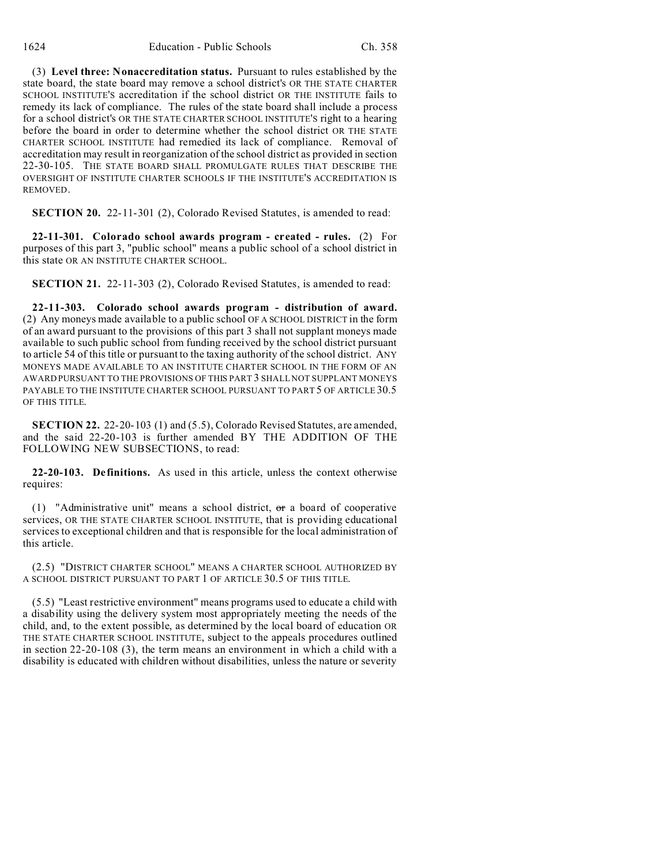(3) **Level three: Nonaccreditation status.** Pursuant to rules established by the state board, the state board may remove a school district's OR THE STATE CHARTER SCHOOL INSTITUTE'S accreditation if the school district OR THE INSTITUTE fails to remedy its lack of compliance. The rules of the state board shall include a process for a school district's OR THE STATE CHARTER SCHOOL INSTITUTE'S right to a hearing before the board in order to determine whether the school district OR THE STATE CHARTER SCHOOL INSTITUTE had remedied its lack of compliance. Removal of accreditation may result in reorganization of the school district as provided in section 22-30-105. THE STATE BOARD SHALL PROMULGATE RULES THAT DESCRIBE THE OVERSIGHT OF INSTITUTE CHARTER SCHOOLS IF THE INSTITUTE'S ACCREDITATION IS REMOVED.

**SECTION 20.** 22-11-301 (2), Colorado Revised Statutes, is amended to read:

**22-11-301. Colorado school awards program - created - rules.** (2) For purposes of this part 3, "public school" means a public school of a school district in this state OR AN INSTITUTE CHARTER SCHOOL.

**SECTION 21.** 22-11-303 (2), Colorado Revised Statutes, is amended to read:

**22-11-303. Colorado school awards program - distribution of award.** (2) Any moneys made available to a public school OF A SCHOOL DISTRICT in the form of an award pursuant to the provisions of this part 3 shall not supplant moneys made available to such public school from funding received by the school district pursuant to article 54 of this title or pursuant to the taxing authority of the school district. ANY MONEYS MADE AVAILABLE TO AN INSTITUTE CHARTER SCHOOL IN THE FORM OF AN AWARD PURSUANT TO THE PROVISIONS OF THIS PART 3 SHALL NOT SUPPLANT MONEYS PAYABLE TO THE INSTITUTE CHARTER SCHOOL PURSUANT TO PART 5 OF ARTICLE 30.5 OF THIS TITLE.

**SECTION 22.** 22-20-103 (1) and (5.5), Colorado Revised Statutes, are amended, and the said 22-20-103 is further amended BY THE ADDITION OF THE FOLLOWING NEW SUBSECTIONS, to read:

**22-20-103. Definitions.** As used in this article, unless the context otherwise requires:

(1) "Administrative unit" means a school district,  $\sigma$ r a board of cooperative services, OR THE STATE CHARTER SCHOOL INSTITUTE, that is providing educational services to exceptional children and that is responsible for the local administration of this article.

(2.5) "DISTRICT CHARTER SCHOOL" MEANS A CHARTER SCHOOL AUTHORIZED BY A SCHOOL DISTRICT PURSUANT TO PART 1 OF ARTICLE 30.5 OF THIS TITLE.

(5.5) "Least restrictive environment" means programs used to educate a child with a disability using the delivery system most appropriately meeting the needs of the child, and, to the extent possible, as determined by the local board of education OR THE STATE CHARTER SCHOOL INSTITUTE, subject to the appeals procedures outlined in section 22-20-108 (3), the term means an environment in which a child with a disability is educated with children without disabilities, unless the nature or severity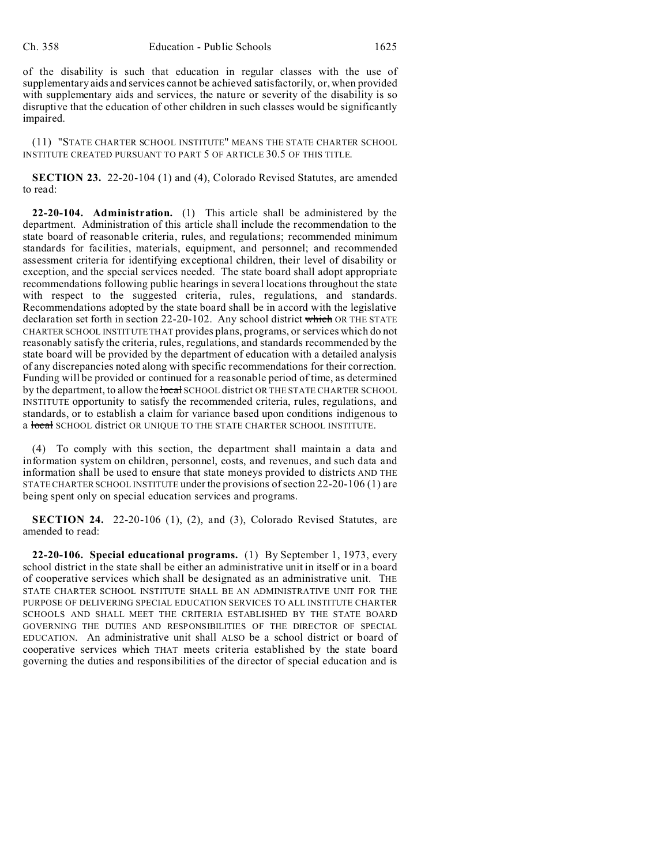of the disability is such that education in regular classes with the use of supplementary aids and services cannot be achieved satisfactorily, or, when provided with supplementary aids and services, the nature or severity of the disability is so disruptive that the education of other children in such classes would be significantly impaired.

(11) "STATE CHARTER SCHOOL INSTITUTE" MEANS THE STATE CHARTER SCHOOL INSTITUTE CREATED PURSUANT TO PART 5 OF ARTICLE 30.5 OF THIS TITLE.

**SECTION 23.** 22-20-104 (1) and (4), Colorado Revised Statutes, are amended to read:

**22-20-104. Administration.** (1) This article shall be administered by the department. Administration of this article shall include the recommendation to the state board of reasonable criteria, rules, and regulations; recommended minimum standards for facilities, materials, equipment, and personnel; and recommended assessment criteria for identifying exceptional children, their level of disability or exception, and the special services needed. The state board shall adopt appropriate recommendations following public hearings in several locations throughout the state with respect to the suggested criteria, rules, regulations, and standards. Recommendations adopted by the state board shall be in accord with the legislative declaration set forth in section 22-20-102. Any school district which OR THE STATE CHARTER SCHOOL INSTITUTE THAT provides plans, programs, or services which do not reasonably satisfy the criteria, rules, regulations, and standards recommended by the state board will be provided by the department of education with a detailed analysis of any discrepancies noted along with specific recommendations for their correction. Funding will be provided or continued for a reasonable period of time, as determined by the department, to allow the local SCHOOL district OR THE STATE CHARTER SCHOOL INSTITUTE opportunity to satisfy the recommended criteria, rules, regulations, and standards, or to establish a claim for variance based upon conditions indigenous to a local SCHOOL district OR UNIQUE TO THE STATE CHARTER SCHOOL INSTITUTE.

(4) To comply with this section, the department shall maintain a data and information system on children, personnel, costs, and revenues, and such data and information shall be used to ensure that state moneys provided to districts AND THE STATE CHARTER SCHOOL INSTITUTE under the provisions of section 22-20-106 (1) are being spent only on special education services and programs.

**SECTION 24.** 22-20-106 (1), (2), and (3), Colorado Revised Statutes, are amended to read:

**22-20-106. Special educational programs.** (1) By September 1, 1973, every school district in the state shall be either an administrative unit in itself or in a board of cooperative services which shall be designated as an administrative unit. THE STATE CHARTER SCHOOL INSTITUTE SHALL BE AN ADMINISTRATIVE UNIT FOR THE PURPOSE OF DELIVERING SPECIAL EDUCATION SERVICES TO ALL INSTITUTE CHARTER SCHOOLS AND SHALL MEET THE CRITERIA ESTABLISHED BY THE STATE BOARD GOVERNING THE DUTIES AND RESPONSIBILITIES OF THE DIRECTOR OF SPECIAL EDUCATION. An administrative unit shall ALSO be a school district or board of cooperative services which THAT meets criteria established by the state board governing the duties and responsibilities of the director of special education and is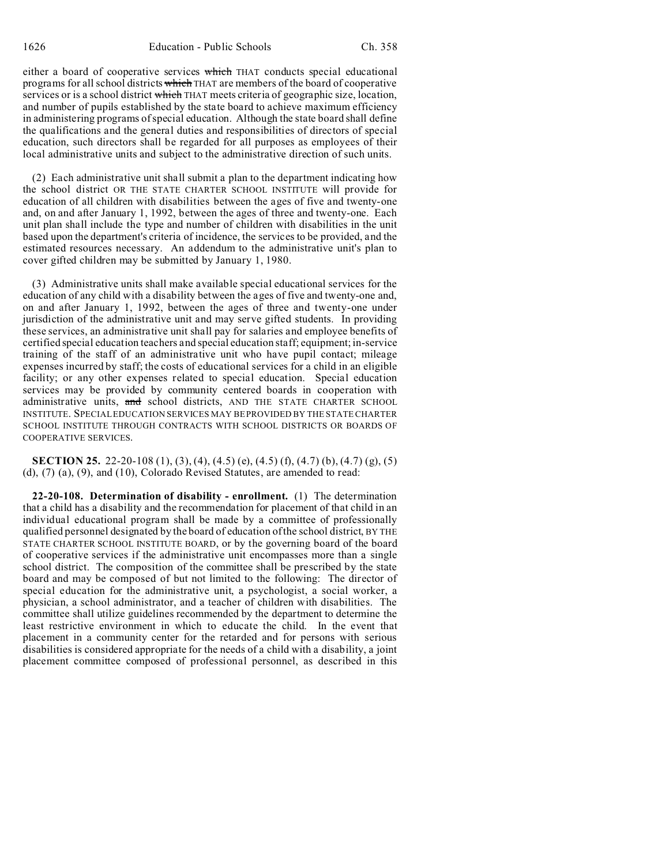either a board of cooperative services which THAT conducts special educational programs for all school districts which THAT are members of the board of cooperative services or is a school district which THAT meets criteria of geographic size, location, and number of pupils established by the state board to achieve maximum efficiency in administering programs of special education. Although the state board shall define the qualifications and the general duties and responsibilities of directors of special education, such directors shall be regarded for all purposes as employees of their local administrative units and subject to the administrative direction of such units.

(2) Each administrative unit shall submit a plan to the department indicating how the school district OR THE STATE CHARTER SCHOOL INSTITUTE will provide for education of all children with disabilities between the ages of five and twenty-one and, on and after January 1, 1992, between the ages of three and twenty-one. Each unit plan shall include the type and number of children with disabilities in the unit based upon the department's criteria of incidence, the services to be provided, and the estimated resources necessary. An addendum to the administrative unit's plan to cover gifted children may be submitted by January 1, 1980.

(3) Administrative units shall make available special educational services for the education of any child with a disability between the ages of five and twenty-one and, on and after January 1, 1992, between the ages of three and twenty-one under jurisdiction of the administrative unit and may serve gifted students. In providing these services, an administrative unit shall pay for salaries and employee benefits of certified special education teachers and special education staff; equipment; in-service training of the staff of an administrative unit who have pupil contact; mileage expenses incurred by staff; the costs of educational services for a child in an eligible facility; or any other expenses related to special education. Special education services may be provided by community centered boards in cooperation with administrative units, and school districts, AND THE STATE CHARTER SCHOOL INSTITUTE. SPECIAL EDUCATION SERVICES MAY BE PROVIDED BY THE STATE CHARTER SCHOOL INSTITUTE THROUGH CONTRACTS WITH SCHOOL DISTRICTS OR BOARDS OF COOPERATIVE SERVICES.

**SECTION 25.** 22-20-108 (1), (3), (4), (4.5) (e), (4.5) (f), (4.7) (b), (4.7) (g), (5) (d), (7) (a), (9), and (10), Colorado Revised Statutes, are amended to read:

**22-20-108. Determination of disability - enrollment.** (1) The determination that a child has a disability and the recommendation for placement of that child in an individual educational program shall be made by a committee of professionally qualified personnel designated by the board of education of the school district, BY THE STATE CHARTER SCHOOL INSTITUTE BOARD, or by the governing board of the board of cooperative services if the administrative unit encompasses more than a single school district. The composition of the committee shall be prescribed by the state board and may be composed of but not limited to the following: The director of special education for the administrative unit, a psychologist, a social worker, a physician, a school administrator, and a teacher of children with disabilities. The committee shall utilize guidelines recommended by the department to determine the least restrictive environment in which to educate the child. In the event that placement in a community center for the retarded and for persons with serious disabilities is considered appropriate for the needs of a child with a disability, a joint placement committee composed of professional personnel, as described in this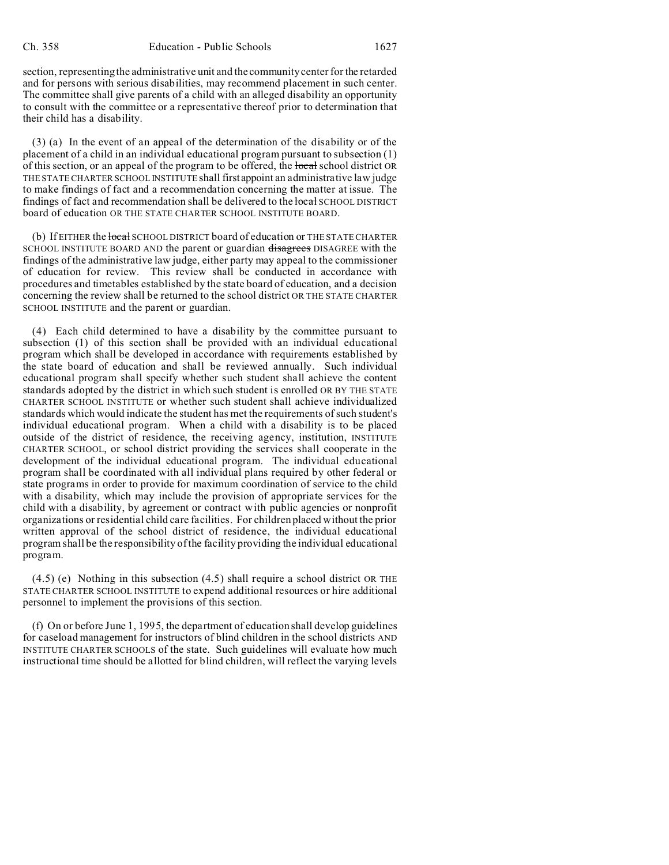section, representing the administrative unit and the community center for the retarded and for persons with serious disabilities, may recommend placement in such center. The committee shall give parents of a child with an alleged disability an opportunity to consult with the committee or a representative thereof prior to determination that their child has a disability.

(3) (a) In the event of an appeal of the determination of the disability or of the placement of a child in an individual educational program pursuant to subsection (1) of this section, or an appeal of the program to be offered, the local school district OR THE STATE CHARTER SCHOOL INSTITUTE shall first appoint an administrative law judge to make findings of fact and a recommendation concerning the matter at issue. The findings of fact and recommendation shall be delivered to the local SCHOOL DISTRICT board of education OR THE STATE CHARTER SCHOOL INSTITUTE BOARD.

(b) If EITHER the local SCHOOL DISTRICT board of education or THE STATE CHARTER SCHOOL INSTITUTE BOARD AND the parent or guardian disagrees DISAGREE with the findings of the administrative law judge, either party may appeal to the commissioner of education for review. This review shall be conducted in accordance with procedures and timetables established by the state board of education, and a decision concerning the review shall be returned to the school district OR THE STATE CHARTER SCHOOL INSTITUTE and the parent or guardian.

(4) Each child determined to have a disability by the committee pursuant to subsection (1) of this section shall be provided with an individual educational program which shall be developed in accordance with requirements established by the state board of education and shall be reviewed annually. Such individual educational program shall specify whether such student shall achieve the content standards adopted by the district in which such student is enrolled OR BY THE STATE CHARTER SCHOOL INSTITUTE or whether such student shall achieve individualized standards which would indicate the student has met the requirements of such student's individual educational program. When a child with a disability is to be placed outside of the district of residence, the receiving agency, institution, INSTITUTE CHARTER SCHOOL, or school district providing the services shall cooperate in the development of the individual educational program. The individual educational program shall be coordinated with all individual plans required by other federal or state programs in order to provide for maximum coordination of service to the child with a disability, which may include the provision of appropriate services for the child with a disability, by agreement or contract with public agencies or nonprofit organizations or residential child care facilities. For children placed without the prior written approval of the school district of residence, the individual educational program shall be the responsibility of the facility providing the individual educational program.

(4.5) (e) Nothing in this subsection (4.5) shall require a school district OR THE STATE CHARTER SCHOOL INSTITUTE to expend additional resources or hire additional personnel to implement the provisions of this section.

(f) On or before June 1, 1995, the department of education shall develop guidelines for caseload management for instructors of blind children in the school districts AND INSTITUTE CHARTER SCHOOLS of the state. Such guidelines will evaluate how much instructional time should be allotted for blind children, will reflect the varying levels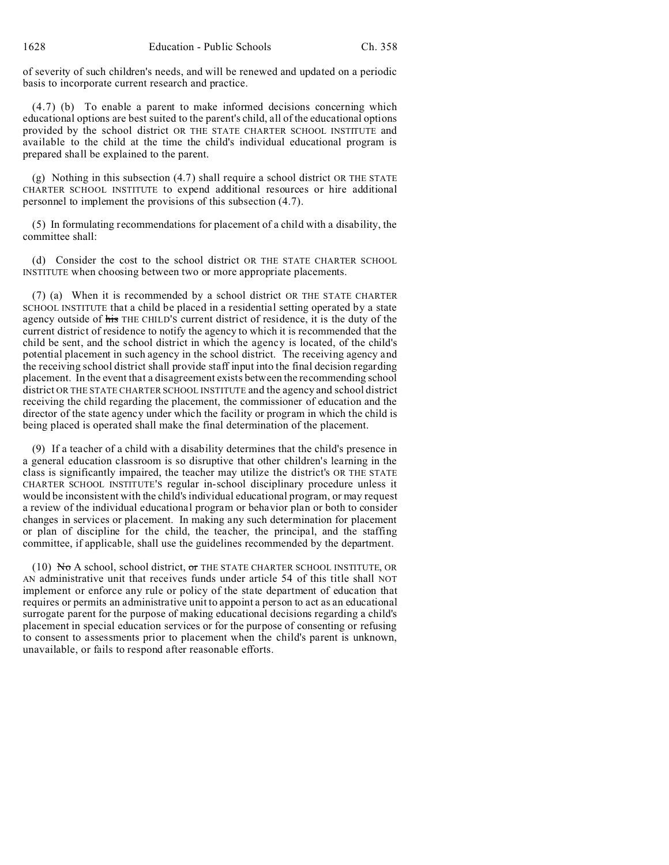of severity of such children's needs, and will be renewed and updated on a periodic basis to incorporate current research and practice.

(4.7) (b) To enable a parent to make informed decisions concerning which educational options are best suited to the parent's child, all of the educational options provided by the school district OR THE STATE CHARTER SCHOOL INSTITUTE and available to the child at the time the child's individual educational program is prepared shall be explained to the parent.

(g) Nothing in this subsection (4.7) shall require a school district OR THE STATE CHARTER SCHOOL INSTITUTE to expend additional resources or hire additional personnel to implement the provisions of this subsection (4.7).

(5) In formulating recommendations for placement of a child with a disability, the committee shall:

(d) Consider the cost to the school district OR THE STATE CHARTER SCHOOL INSTITUTE when choosing between two or more appropriate placements.

(7) (a) When it is recommended by a school district OR THE STATE CHARTER SCHOOL INSTITUTE that a child be placed in a residential setting operated by a state agency outside of his THE CHILD'S current district of residence, it is the duty of the current district of residence to notify the agency to which it is recommended that the child be sent, and the school district in which the agency is located, of the child's potential placement in such agency in the school district. The receiving agency and the receiving school district shall provide staff input into the final decision regarding placement. In the event that a disagreement exists between the recommending school district OR THE STATE CHARTER SCHOOL INSTITUTE and the agency and school district receiving the child regarding the placement, the commissioner of education and the director of the state agency under which the facility or program in which the child is being placed is operated shall make the final determination of the placement.

(9) If a teacher of a child with a disability determines that the child's presence in a general education classroom is so disruptive that other children's learning in the class is significantly impaired, the teacher may utilize the district's OR THE STATE CHARTER SCHOOL INSTITUTE'S regular in-school disciplinary procedure unless it would be inconsistent with the child's individual educational program, or may request a review of the individual educational program or behavior plan or both to consider changes in services or placement. In making any such determination for placement or plan of discipline for the child, the teacher, the principal, and the staffing committee, if applicable, shall use the guidelines recommended by the department.

 $(10)$  N<sub>o</sub> A school, school district, or the state charter school institute, or AN administrative unit that receives funds under article 54 of this title shall NOT implement or enforce any rule or policy of the state department of education that requires or permits an administrative unit to appoint a person to act as an educational surrogate parent for the purpose of making educational decisions regarding a child's placement in special education services or for the purpose of consenting or refusing to consent to assessments prior to placement when the child's parent is unknown, unavailable, or fails to respond after reasonable efforts.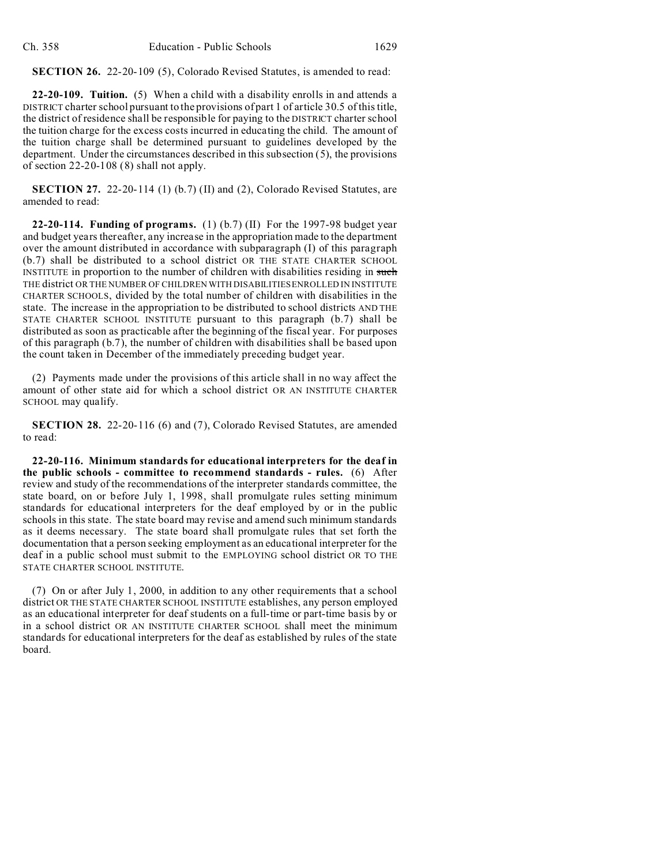**SECTION 26.** 22-20-109 (5), Colorado Revised Statutes, is amended to read:

**22-20-109. Tuition.** (5) When a child with a disability enrolls in and attends a DISTRICT charter school pursuant to the provisions of part 1 of article 30.5 of this title, the district of residence shall be responsible for paying to the DISTRICT charter school the tuition charge for the excess costs incurred in educating the child. The amount of the tuition charge shall be determined pursuant to guidelines developed by the department. Under the circumstances described in this subsection (5), the provisions of section 22-20-108 (8) shall not apply.

**SECTION 27.** 22-20-114 (1) (b.7) (II) and (2), Colorado Revised Statutes, are amended to read:

**22-20-114. Funding of programs.** (1) (b.7) (II) For the 1997-98 budget year and budget years thereafter, any increase in the appropriation made to the department over the amount distributed in accordance with subparagraph (I) of this paragraph (b.7) shall be distributed to a school district OR THE STATE CHARTER SCHOOL INSTITUTE in proportion to the number of children with disabilities residing in such THE district OR THE NUMBER OF CHILDREN WITH DISABILITIES ENROLLED IN INSTITUTE CHARTER SCHOOLS, divided by the total number of children with disabilities in the state. The increase in the appropriation to be distributed to school districts AND THE STATE CHARTER SCHOOL INSTITUTE pursuant to this paragraph (b.7) shall be distributed as soon as practicable after the beginning of the fiscal year. For purposes of this paragraph (b.7), the number of children with disabilities shall be based upon the count taken in December of the immediately preceding budget year.

(2) Payments made under the provisions of this article shall in no way affect the amount of other state aid for which a school district OR AN INSTITUTE CHARTER SCHOOL may qualify.

**SECTION 28.** 22-20-116 (6) and (7), Colorado Revised Statutes, are amended to read:

**22-20-116. Minimum standards for educational interpreters for the deaf in the public schools - committee to recommend standards - rules.** (6) After review and study of the recommendations of the interpreter standards committee, the state board, on or before July 1, 1998, shall promulgate rules setting minimum standards for educational interpreters for the deaf employed by or in the public schools in this state. The state board may revise and amend such minimum standards as it deems necessary. The state board shall promulgate rules that set forth the documentation that a person seeking employment as an educational interpreter for the deaf in a public school must submit to the EMPLOYING school district OR TO THE STATE CHARTER SCHOOL INSTITUTE.

(7) On or after July 1, 2000, in addition to any other requirements that a school district OR THE STATE CHARTER SCHOOL INSTITUTE establishes, any person employed as an educational interpreter for deaf students on a full-time or part-time basis by or in a school district OR AN INSTITUTE CHARTER SCHOOL shall meet the minimum standards for educational interpreters for the deaf as established by rules of the state board.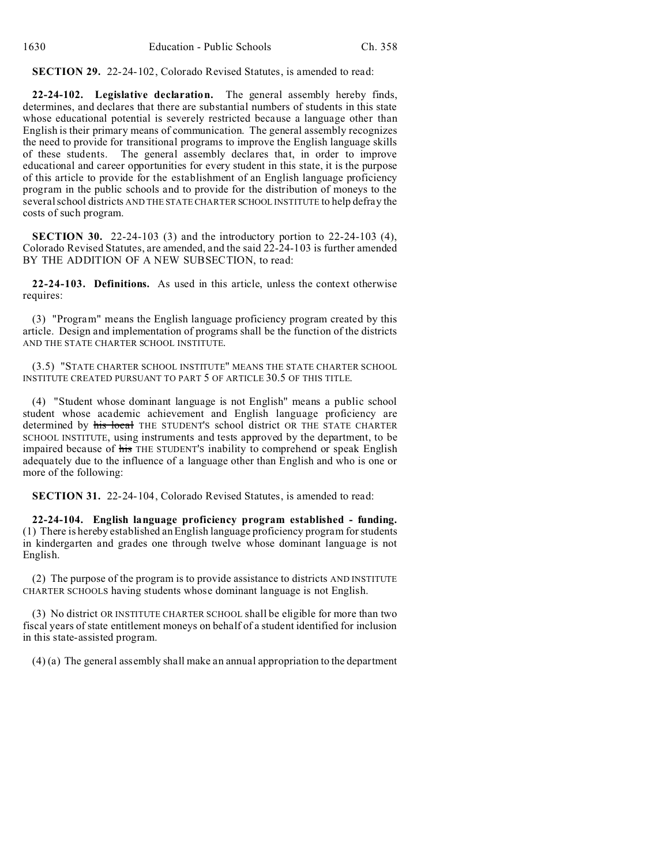**SECTION 29.** 22-24-102, Colorado Revised Statutes, is amended to read:

**22-24-102. Legislative declaration.** The general assembly hereby finds, determines, and declares that there are substantial numbers of students in this state whose educational potential is severely restricted because a language other than English is their primary means of communication. The general assembly recognizes the need to provide for transitional programs to improve the English language skills of these students. The general assembly declares that, in order to improve educational and career opportunities for every student in this state, it is the purpose of this article to provide for the establishment of an English language proficiency program in the public schools and to provide for the distribution of moneys to the several school districts AND THE STATE CHARTER SCHOOL INSTITUTE to help defray the costs of such program.

**SECTION 30.** 22-24-103 (3) and the introductory portion to 22-24-103 (4), Colorado Revised Statutes, are amended, and the said 22-24-103 is further amended BY THE ADDITION OF A NEW SUBSECTION, to read:

**22-24-103. Definitions.** As used in this article, unless the context otherwise requires:

(3) "Program" means the English language proficiency program created by this article. Design and implementation of programs shall be the function of the districts AND THE STATE CHARTER SCHOOL INSTITUTE.

(3.5) "STATE CHARTER SCHOOL INSTITUTE" MEANS THE STATE CHARTER SCHOOL INSTITUTE CREATED PURSUANT TO PART 5 OF ARTICLE 30.5 OF THIS TITLE.

(4) "Student whose dominant language is not English" means a public school student whose academic achievement and English language proficiency are determined by his local THE STUDENT'S school district OR THE STATE CHARTER SCHOOL INSTITUTE, using instruments and tests approved by the department, to be impaired because of his THE STUDENT'S inability to comprehend or speak English adequately due to the influence of a language other than English and who is one or more of the following:

**SECTION 31.** 22-24-104, Colorado Revised Statutes, is amended to read:

**22-24-104. English language proficiency program established - funding.** (1) There is hereby established an English language proficiency program for students in kindergarten and grades one through twelve whose dominant language is not English.

(2) The purpose of the program is to provide assistance to districts AND INSTITUTE CHARTER SCHOOLS having students whose dominant language is not English.

(3) No district OR INSTITUTE CHARTER SCHOOL shall be eligible for more than two fiscal years of state entitlement moneys on behalf of a student identified for inclusion in this state-assisted program.

(4) (a) The general assembly shall make an annual appropriation to the department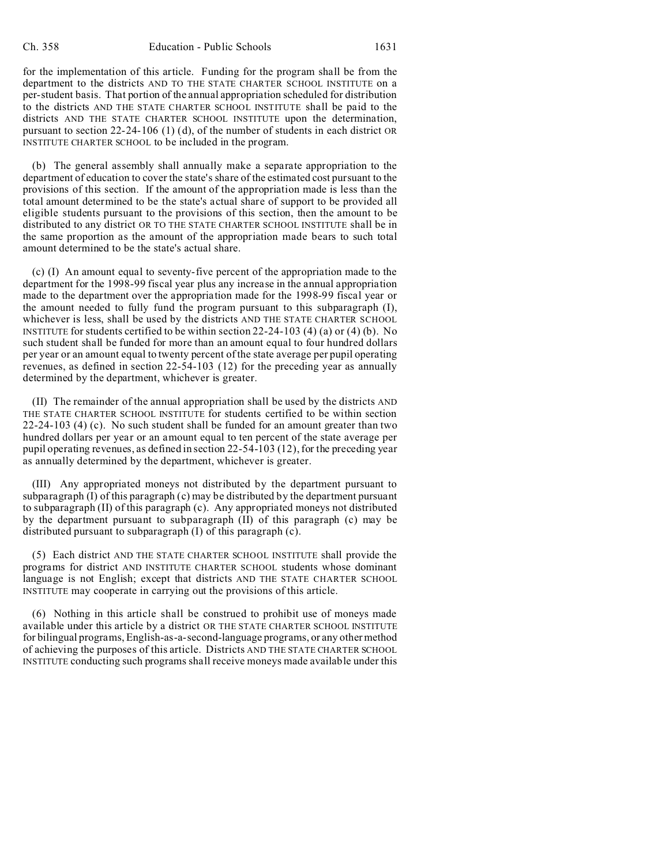for the implementation of this article. Funding for the program shall be from the department to the districts AND TO THE STATE CHARTER SCHOOL INSTITUTE on a per-student basis. That portion of the annual appropriation scheduled for distribution to the districts AND THE STATE CHARTER SCHOOL INSTITUTE shall be paid to the districts AND THE STATE CHARTER SCHOOL INSTITUTE upon the determination, pursuant to section 22-24-106 (1) (d), of the number of students in each district OR INSTITUTE CHARTER SCHOOL to be included in the program.

(b) The general assembly shall annually make a separate appropriation to the department of education to cover the state's share of the estimated cost pursuant to the provisions of this section. If the amount of the appropriation made is less than the total amount determined to be the state's actual share of support to be provided all eligible students pursuant to the provisions of this section, then the amount to be distributed to any district OR TO THE STATE CHARTER SCHOOL INSTITUTE shall be in the same proportion as the amount of the appropriation made bears to such total amount determined to be the state's actual share.

(c) (I) An amount equal to seventy-five percent of the appropriation made to the department for the 1998-99 fiscal year plus any increase in the annual appropriation made to the department over the appropriation made for the 1998-99 fiscal year or the amount needed to fully fund the program pursuant to this subparagraph (I), whichever is less, shall be used by the districts AND THE STATE CHARTER SCHOOL INSTITUTE for students certified to be within section  $22-24-103$  (4) (a) or (4) (b). No such student shall be funded for more than an amount equal to four hundred dollars per year or an amount equal to twenty percent of the state average per pupil operating revenues, as defined in section 22-54-103 (12) for the preceding year as annually determined by the department, whichever is greater.

(II) The remainder of the annual appropriation shall be used by the districts AND THE STATE CHARTER SCHOOL INSTITUTE for students certified to be within section 22-24-103 (4) (c). No such student shall be funded for an amount greater than two hundred dollars per year or an amount equal to ten percent of the state average per pupil operating revenues, as defined in section 22-54-103 (12), for the preceding year as annually determined by the department, whichever is greater.

(III) Any appropriated moneys not distributed by the department pursuant to subparagraph (I) of this paragraph (c) may be distributed by the department pursuant to subparagraph (II) of this paragraph (c). Any appropriated moneys not distributed by the department pursuant to subparagraph (II) of this paragraph (c) may be distributed pursuant to subparagraph (I) of this paragraph (c).

(5) Each district AND THE STATE CHARTER SCHOOL INSTITUTE shall provide the programs for district AND INSTITUTE CHARTER SCHOOL students whose dominant language is not English; except that districts AND THE STATE CHARTER SCHOOL INSTITUTE may cooperate in carrying out the provisions of this article.

(6) Nothing in this article shall be construed to prohibit use of moneys made available under this article by a district OR THE STATE CHARTER SCHOOL INSTITUTE for bilingual programs, English-as-a-second-language programs, or any other method of achieving the purposes of this article. Districts AND THE STATE CHARTER SCHOOL INSTITUTE conducting such programs shall receive moneys made available under this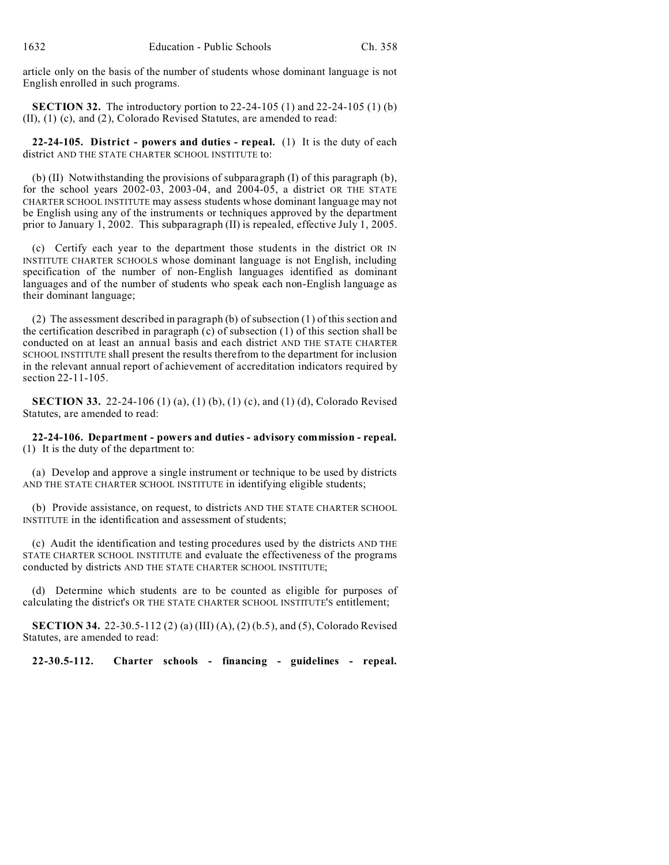article only on the basis of the number of students whose dominant language is not English enrolled in such programs.

**SECTION 32.** The introductory portion to 22-24-105 (1) and 22-24-105 (1) (b) (II), (1) (c), and (2), Colorado Revised Statutes, are amended to read:

**22-24-105. District - powers and duties - repeal.** (1) It is the duty of each district AND THE STATE CHARTER SCHOOL INSTITUTE to:

(b) (II) Notwithstanding the provisions of subparagraph (I) of this paragraph (b), for the school years 2002-03, 2003-04, and 2004-05, a district OR THE STATE CHARTER SCHOOL INSTITUTE may assess students whose dominant language may not be English using any of the instruments or techniques approved by the department prior to January 1, 2002. This subparagraph (II) is repealed, effective July 1, 2005.

(c) Certify each year to the department those students in the district OR IN INSTITUTE CHARTER SCHOOLS whose dominant language is not English, including specification of the number of non-English languages identified as dominant languages and of the number of students who speak each non-English language as their dominant language;

(2) The assessment described in paragraph (b) of subsection (1) of this section and the certification described in paragraph (c) of subsection (1) of this section shall be conducted on at least an annual basis and each district AND THE STATE CHARTER SCHOOL INSTITUTE shall present the results therefrom to the department for inclusion in the relevant annual report of achievement of accreditation indicators required by section 22-11-105.

**SECTION 33.** 22-24-106 (1) (a), (1) (b), (1) (c), and (1) (d), Colorado Revised Statutes, are amended to read:

**22-24-106. Department - powers and duties - advisory commission - repeal.** (1) It is the duty of the department to:

(a) Develop and approve a single instrument or technique to be used by districts AND THE STATE CHARTER SCHOOL INSTITUTE in identifying eligible students;

(b) Provide assistance, on request, to districts AND THE STATE CHARTER SCHOOL INSTITUTE in the identification and assessment of students;

(c) Audit the identification and testing procedures used by the districts AND THE STATE CHARTER SCHOOL INSTITUTE and evaluate the effectiveness of the programs conducted by districts AND THE STATE CHARTER SCHOOL INSTITUTE;

(d) Determine which students are to be counted as eligible for purposes of calculating the district's OR THE STATE CHARTER SCHOOL INSTITUTE'S entitlement;

**SECTION 34.** 22-30.5-112 (2) (a) (III) (A), (2) (b.5), and (5), Colorado Revised Statutes, are amended to read:

**22-30.5-112. Charter schools - financing - guidelines - repeal.**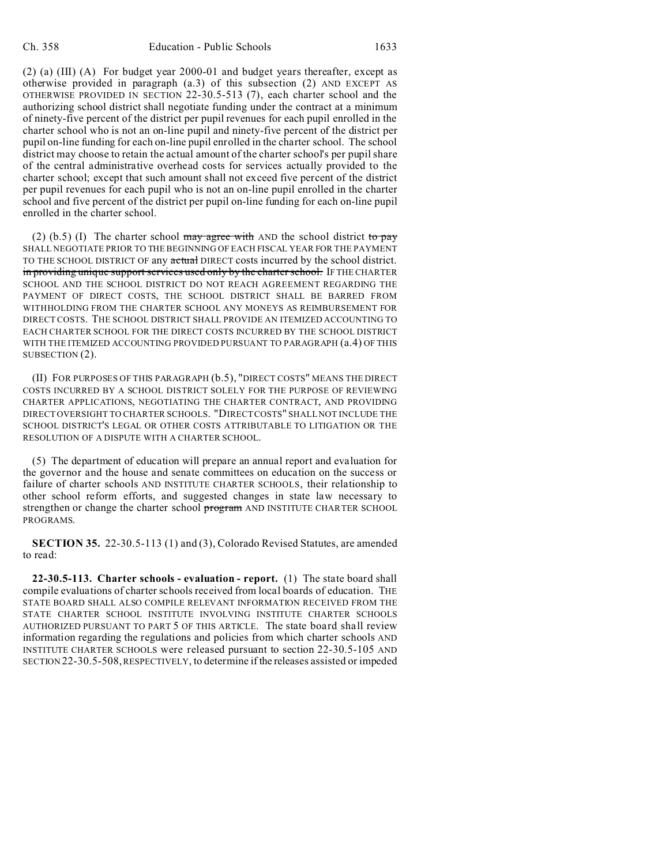(2) (a) (III) (A) For budget year 2000-01 and budget years thereafter, except as otherwise provided in paragraph (a.3) of this subsection (2) AND EXCEPT AS OTHERWISE PROVIDED IN SECTION 22-30.5-513 (7), each charter school and the authorizing school district shall negotiate funding under the contract at a minimum of ninety-five percent of the district per pupil revenues for each pupil enrolled in the charter school who is not an on-line pupil and ninety-five percent of the district per pupil on-line funding for each on-line pupil enrolled in the charter school. The school district may choose to retain the actual amount of the charter school's per pupil share of the central administrative overhead costs for services actually provided to the charter school; except that such amount shall not exceed five percent of the district per pupil revenues for each pupil who is not an on-line pupil enrolled in the charter school and five percent of the district per pupil on-line funding for each on-line pupil enrolled in the charter school.

(2) (b.5) (I) The charter school may agree with AND the school district to pay SHALL NEGOTIATE PRIOR TO THE BEGINNING OF EACH FISCAL YEAR FOR THE PAYMENT TO THE SCHOOL DISTRICT OF any actual DIRECT costs incurred by the school district. in providing unique support services used only by the charter school. IF THE CHARTER SCHOOL AND THE SCHOOL DISTRICT DO NOT REACH AGREEMENT REGARDING THE PAYMENT OF DIRECT COSTS, THE SCHOOL DISTRICT SHALL BE BARRED FROM WITHHOLDING FROM THE CHARTER SCHOOL ANY MONEYS AS REIMBURSEMENT FOR DIRECT COSTS. THE SCHOOL DISTRICT SHALL PROVIDE AN ITEMIZED ACCOUNTING TO EACH CHARTER SCHOOL FOR THE DIRECT COSTS INCURRED BY THE SCHOOL DISTRICT WITH THE ITEMIZED ACCOUNTING PROVIDED PURSUANT TO PARAGRAPH (a.4) OF THIS SUBSECTION (2).

(II) FOR PURPOSES OF THIS PARAGRAPH (b.5), "DIRECT COSTS" MEANS THE DIRECT COSTS INCURRED BY A SCHOOL DISTRICT SOLELY FOR THE PURPOSE OF REVIEWING CHARTER APPLICATIONS, NEGOTIATING THE CHARTER CONTRACT, AND PROVIDING DIRECT OVERSIGHT TO CHARTER SCHOOLS. "DIRECT COSTS" SHALL NOT INCLUDE THE SCHOOL DISTRICT'S LEGAL OR OTHER COSTS ATTRIBUTABLE TO LITIGATION OR THE RESOLUTION OF A DISPUTE WITH A CHARTER SCHOOL.

(5) The department of education will prepare an annual report and evaluation for the governor and the house and senate committees on education on the success or failure of charter schools AND INSTITUTE CHARTER SCHOOLS, their relationship to other school reform efforts, and suggested changes in state law necessary to strengthen or change the charter school program AND INSTITUTE CHARTER SCHOOL PROGRAMS.

**SECTION 35.** 22-30.5-113 (1) and (3), Colorado Revised Statutes, are amended to read:

**22-30.5-113. Charter schools - evaluation - report.** (1) The state board shall compile evaluations of charter schools received from local boards of education. THE STATE BOARD SHALL ALSO COMPILE RELEVANT INFORMATION RECEIVED FROM THE STATE CHARTER SCHOOL INSTITUTE INVOLVING INSTITUTE CHARTER SCHOOLS AUTHORIZED PURSUANT TO PART 5 OF THIS ARTICLE. The state board shall review information regarding the regulations and policies from which charter schools AND INSTITUTE CHARTER SCHOOLS were released pursuant to section 22-30.5-105 AND SECTION 22-30.5-508, RESPECTIVELY, to determine if the releases assisted or impeded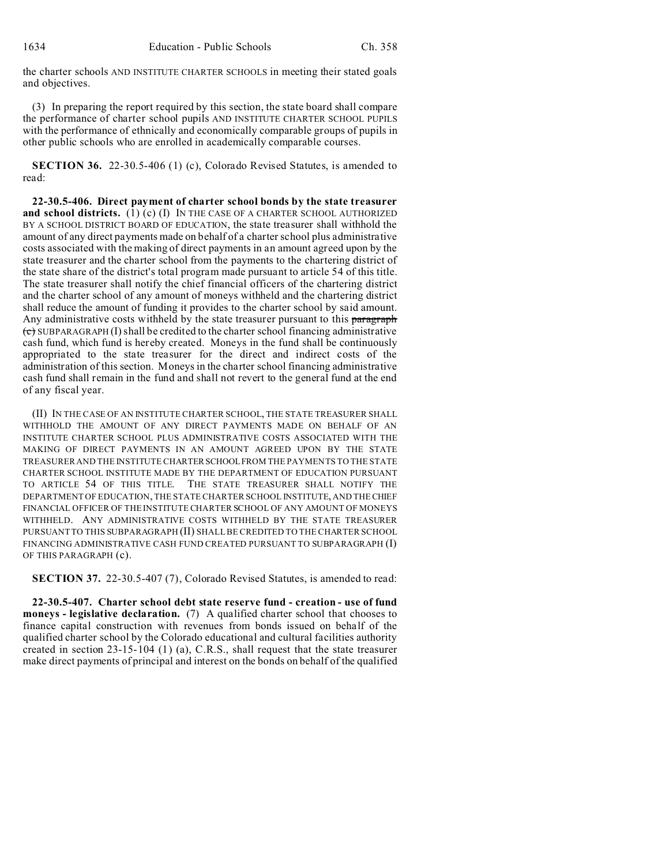the charter schools AND INSTITUTE CHARTER SCHOOLS in meeting their stated goals and objectives.

(3) In preparing the report required by this section, the state board shall compare the performance of charter school pupils AND INSTITUTE CHARTER SCHOOL PUPILS with the performance of ethnically and economically comparable groups of pupils in other public schools who are enrolled in academically comparable courses.

**SECTION 36.** 22-30.5-406 (1) (c), Colorado Revised Statutes, is amended to read:

**22-30.5-406. Direct payment of charter school bonds by the state treasurer and school districts.** (1) (c) (I) IN THE CASE OF A CHARTER SCHOOL AUTHORIZED BY A SCHOOL DISTRICT BOARD OF EDUCATION, the state treasurer shall withhold the amount of any direct payments made on behalf of a charter school plus administrative costs associated with the making of direct payments in an amount agreed upon by the state treasurer and the charter school from the payments to the chartering district of the state share of the district's total program made pursuant to article 54 of this title. The state treasurer shall notify the chief financial officers of the chartering district and the charter school of any amount of moneys withheld and the chartering district shall reduce the amount of funding it provides to the charter school by said amount. Any administrative costs withheld by the state treasurer pursuant to this paragraph  $\overline{\mathbf{c}}$  SUBPARAGRAPH (I) shall be credited to the charter school financing administrative cash fund, which fund is hereby created. Moneys in the fund shall be continuously appropriated to the state treasurer for the direct and indirect costs of the administration of this section. Moneys in the charter school financing administrative cash fund shall remain in the fund and shall not revert to the general fund at the end of any fiscal year.

(II) IN THE CASE OF AN INSTITUTE CHARTER SCHOOL, THE STATE TREASURER SHALL WITHHOLD THE AMOUNT OF ANY DIRECT PAYMENTS MADE ON BEHALF OF AN INSTITUTE CHARTER SCHOOL PLUS ADMINISTRATIVE COSTS ASSOCIATED WITH THE MAKING OF DIRECT PAYMENTS IN AN AMOUNT AGREED UPON BY THE STATE TREASURER AND THE INSTITUTE CHARTERSCHOOLFROM THE PAYMENTS TO THE STATE CHARTER SCHOOL INSTITUTE MADE BY THE DEPARTMENT OF EDUCATION PURSUANT TO ARTICLE 54 OF THIS TITLE. THE STATE TREASURER SHALL NOTIFY THE DEPARTMENT OF EDUCATION, THE STATE CHARTER SCHOOL INSTITUTE, AND THE CHIEF FINANCIAL OFFICER OF THE INSTITUTE CHARTER SCHOOL OF ANY AMOUNT OF MONEYS WITHHELD. ANY ADMINISTRATIVE COSTS WITHHELD BY THE STATE TREASURER PURSUANT TO THIS SUBPARAGRAPH (II) SHALL BE CREDITED TO THE CHARTER SCHOOL FINANCING ADMINISTRATIVE CASH FUND CREATED PURSUANT TO SUBPARAGRAPH (I) OF THIS PARAGRAPH (c).

**SECTION 37.** 22-30.5-407 (7), Colorado Revised Statutes, is amended to read:

**22-30.5-407. Charter school debt state reserve fund - creation - use of fund moneys - legislative declaration.** (7) A qualified charter school that chooses to finance capital construction with revenues from bonds issued on behalf of the qualified charter school by the Colorado educational and cultural facilities authority created in section 23-15-104 (1) (a), C.R.S., shall request that the state treasurer make direct payments of principal and interest on the bonds on behalf of the qualified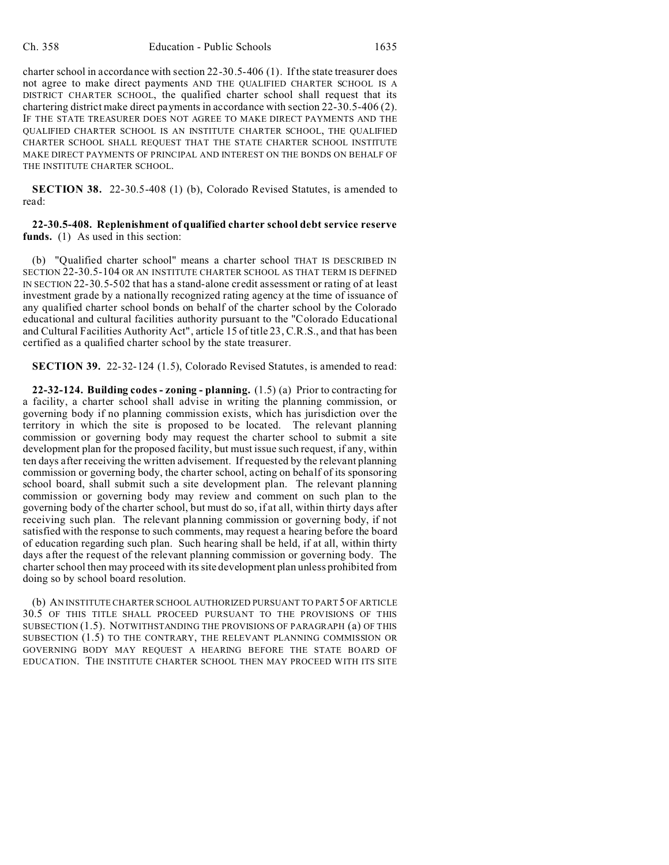charter school in accordance with section 22-30.5-406 (1). If the state treasurer does not agree to make direct payments AND THE QUALIFIED CHARTER SCHOOL IS A DISTRICT CHARTER SCHOOL, the qualified charter school shall request that its chartering district make direct payments in accordance with section 22-30.5-406 (2). IF THE STATE TREASURER DOES NOT AGREE TO MAKE DIRECT PAYMENTS AND THE QUALIFIED CHARTER SCHOOL IS AN INSTITUTE CHARTER SCHOOL, THE QUALIFIED CHARTER SCHOOL SHALL REQUEST THAT THE STATE CHARTER SCHOOL INSTITUTE MAKE DIRECT PAYMENTS OF PRINCIPAL AND INTEREST ON THE BONDS ON BEHALF OF THE INSTITUTE CHARTER SCHOOL.

**SECTION 38.** 22-30.5-408 (1) (b), Colorado Revised Statutes, is amended to read:

**22-30.5-408. Replenishment of qualified charter school debt service reserve funds.** (1) As used in this section:

(b) "Qualified charter school" means a charter school THAT IS DESCRIBED IN SECTION 22-30.5-104 OR AN INSTITUTE CHARTER SCHOOL AS THAT TERM IS DEFINED IN SECTION 22-30.5-502 that has a stand-alone credit assessment or rating of at least investment grade by a nationally recognized rating agency at the time of issuance of any qualified charter school bonds on behalf of the charter school by the Colorado educational and cultural facilities authority pursuant to the "Colorado Educational and Cultural Facilities Authority Act", article 15 of title 23, C.R.S., and that has been certified as a qualified charter school by the state treasurer.

**SECTION 39.** 22-32-124 (1.5), Colorado Revised Statutes, is amended to read:

**22-32-124. Building codes - zoning - planning.** (1.5) (a) Prior to contracting for a facility, a charter school shall advise in writing the planning commission, or governing body if no planning commission exists, which has jurisdiction over the territory in which the site is proposed to be located. The relevant planning commission or governing body may request the charter school to submit a site development plan for the proposed facility, but must issue such request, if any, within ten days after receiving the written advisement. If requested by the relevant planning commission or governing body, the charter school, acting on behalf of its sponsoring school board, shall submit such a site development plan. The relevant planning commission or governing body may review and comment on such plan to the governing body of the charter school, but must do so, if at all, within thirty days after receiving such plan. The relevant planning commission or governing body, if not satisfied with the response to such comments, may request a hearing before the board of education regarding such plan. Such hearing shall be held, if at all, within thirty days after the request of the relevant planning commission or governing body. The charter school then may proceed with its site development plan unless prohibited from doing so by school board resolution.

(b) AN INSTITUTE CHARTER SCHOOL AUTHORIZED PURSUANT TO PART 5 OF ARTICLE 30.5 OF THIS TITLE SHALL PROCEED PURSUANT TO THE PROVISIONS OF THIS SUBSECTION (1.5). NOTWITHSTANDING THE PROVISIONS OF PARAGRAPH (a) OF THIS SUBSECTION (1.5) TO THE CONTRARY, THE RELEVANT PLANNING COMMISSION OR GOVERNING BODY MAY REQUEST A HEARING BEFORE THE STATE BOARD OF EDUCATION. THE INSTITUTE CHARTER SCHOOL THEN MAY PROCEED WITH ITS SITE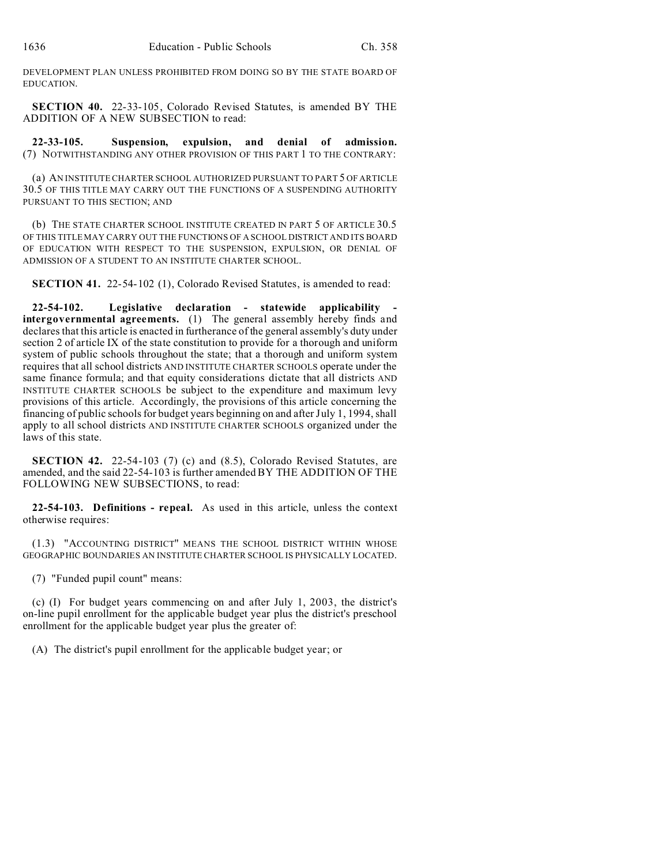DEVELOPMENT PLAN UNLESS PROHIBITED FROM DOING SO BY THE STATE BOARD OF EDUCATION.

**SECTION 40.** 22-33-105, Colorado Revised Statutes, is amended BY THE ADDITION OF A NEW SUBSECTION to read:

**22-33-105. Suspension, expulsion, and denial of admission.** (7) NOTWITHSTANDING ANY OTHER PROVISION OF THIS PART 1 TO THE CONTRARY:

(a) AN INSTITUTE CHARTER SCHOOL AUTHORIZED PURSUANT TO PART 5 OF ARTICLE 30.5 OF THIS TITLE MAY CARRY OUT THE FUNCTIONS OF A SUSPENDING AUTHORITY PURSUANT TO THIS SECTION; AND

(b) THE STATE CHARTER SCHOOL INSTITUTE CREATED IN PART 5 OF ARTICLE 30.5 OF THIS TITLE MAY CARRY OUT THE FUNCTIONS OF A SCHOOL DISTRICT AND ITS BOARD OF EDUCATION WITH RESPECT TO THE SUSPENSION, EXPULSION, OR DENIAL OF ADMISSION OF A STUDENT TO AN INSTITUTE CHARTER SCHOOL.

**SECTION 41.** 22-54-102 (1), Colorado Revised Statutes, is amended to read:

**22-54-102. Legislative declaration - statewide applicability intergovernmental agreements.** (1) The general assembly hereby finds and declares that this article is enacted in furtherance of the general assembly's duty under section 2 of article IX of the state constitution to provide for a thorough and uniform system of public schools throughout the state; that a thorough and uniform system requires that all school districts AND INSTITUTE CHARTER SCHOOLS operate under the same finance formula; and that equity considerations dictate that all districts AND INSTITUTE CHARTER SCHOOLS be subject to the expenditure and maximum levy provisions of this article. Accordingly, the provisions of this article concerning the financing of public schools for budget years beginning on and after July 1, 1994, shall apply to all school districts AND INSTITUTE CHARTER SCHOOLS organized under the laws of this state.

**SECTION 42.** 22-54-103 (7) (c) and (8.5), Colorado Revised Statutes, are amended, and the said 22-54-103 is further amended BY THE ADDITION OF THE FOLLOWING NEW SUBSECTIONS, to read:

**22-54-103. Definitions - repeal.** As used in this article, unless the context otherwise requires:

(1.3) "ACCOUNTING DISTRICT" MEANS THE SCHOOL DISTRICT WITHIN WHOSE GEOGRAPHIC BOUNDARIES AN INSTITUTE CHARTER SCHOOL IS PHYSICALLY LOCATED.

(7) "Funded pupil count" means:

(c) (I) For budget years commencing on and after July 1, 2003, the district's on-line pupil enrollment for the applicable budget year plus the district's preschool enrollment for the applicable budget year plus the greater of:

(A) The district's pupil enrollment for the applicable budget year; or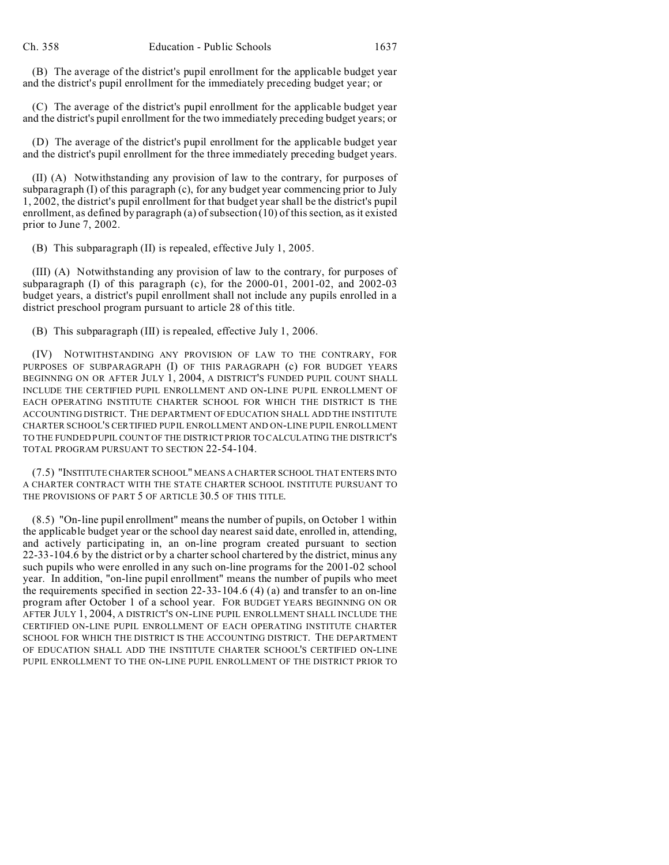(B) The average of the district's pupil enrollment for the applicable budget year and the district's pupil enrollment for the immediately preceding budget year; or

(C) The average of the district's pupil enrollment for the applicable budget year and the district's pupil enrollment for the two immediately preceding budget years; or

(D) The average of the district's pupil enrollment for the applicable budget year and the district's pupil enrollment for the three immediately preceding budget years.

(II) (A) Notwithstanding any provision of law to the contrary, for purposes of subparagraph (I) of this paragraph (c), for any budget year commencing prior to July 1, 2002, the district's pupil enrollment for that budget year shall be the district's pupil enrollment, as defined by paragraph (a) of subsection (10) of this section, as it existed prior to June 7, 2002.

(B) This subparagraph (II) is repealed, effective July 1, 2005.

(III) (A) Notwithstanding any provision of law to the contrary, for purposes of subparagraph (I) of this paragraph (c), for the 2000-01, 2001-02, and 2002-03 budget years, a district's pupil enrollment shall not include any pupils enrolled in a district preschool program pursuant to article 28 of this title.

(B) This subparagraph (III) is repealed, effective July 1, 2006.

(IV) NOTWITHSTANDING ANY PROVISION OF LAW TO THE CONTRARY, FOR PURPOSES OF SUBPARAGRAPH (I) OF THIS PARAGRAPH (c) FOR BUDGET YEARS BEGINNING ON OR AFTER JULY 1, 2004, A DISTRICT'S FUNDED PUPIL COUNT SHALL INCLUDE THE CERTIFIED PUPIL ENROLLMENT AND ON-LINE PUPIL ENROLLMENT OF EACH OPERATING INSTITUTE CHARTER SCHOOL FOR WHICH THE DISTRICT IS THE ACCOUNTING DISTRICT. THE DEPARTMENT OF EDUCATION SHALL ADD THE INSTITUTE CHARTER SCHOOL'S CERTIFIED PUPIL ENROLLMENT AND ON-LINE PUPIL ENROLLMENT TO THE FUNDED PUPIL COUNT OF THE DISTRICT PRIOR TO CALCULATING THE DISTRICT'S TOTAL PROGRAM PURSUANT TO SECTION 22-54-104.

(7.5) "INSTITUTE CHARTER SCHOOL" MEANS A CHARTER SCHOOL THAT ENTERS INTO A CHARTER CONTRACT WITH THE STATE CHARTER SCHOOL INSTITUTE PURSUANT TO THE PROVISIONS OF PART 5 OF ARTICLE 30.5 OF THIS TITLE.

(8.5) "On-line pupil enrollment" means the number of pupils, on October 1 within the applicable budget year or the school day nearest said date, enrolled in, attending, and actively participating in, an on-line program created pursuant to section 22-33-104.6 by the district or by a charter school chartered by the district, minus any such pupils who were enrolled in any such on-line programs for the 2001-02 school year. In addition, "on-line pupil enrollment" means the number of pupils who meet the requirements specified in section 22-33-104.6 (4) (a) and transfer to an on-line program after October 1 of a school year. FOR BUDGET YEARS BEGINNING ON OR AFTER JULY 1, 2004, A DISTRICT'S ON-LINE PUPIL ENROLLMENT SHALL INCLUDE THE CERTIFIED ON-LINE PUPIL ENROLLMENT OF EACH OPERATING INSTITUTE CHARTER SCHOOL FOR WHICH THE DISTRICT IS THE ACCOUNTING DISTRICT. THE DEPARTMENT OF EDUCATION SHALL ADD THE INSTITUTE CHARTER SCHOOL'S CERTIFIED ON-LINE PUPIL ENROLLMENT TO THE ON-LINE PUPIL ENROLLMENT OF THE DISTRICT PRIOR TO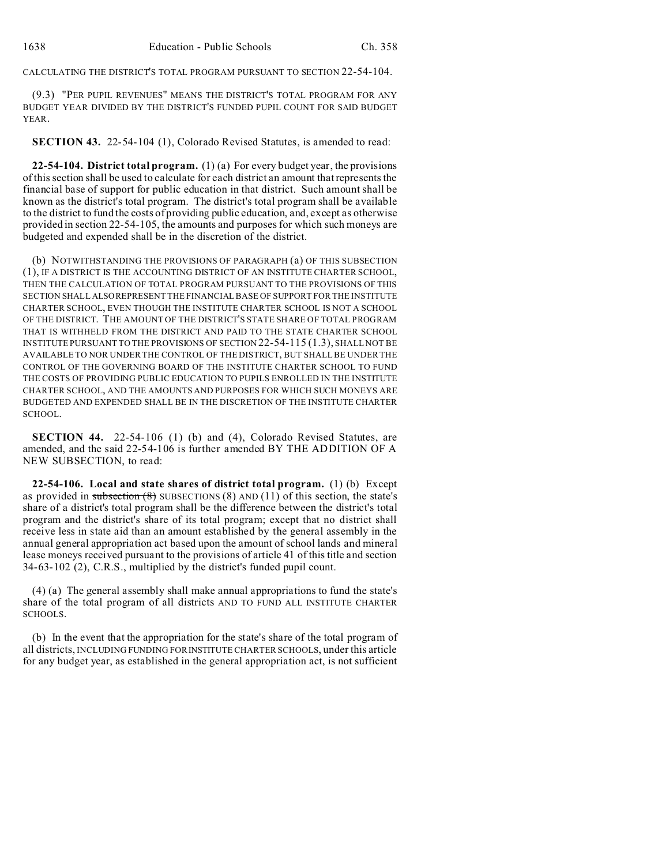CALCULATING THE DISTRICT'S TOTAL PROGRAM PURSUANT TO SECTION 22-54-104.

(9.3) "PER PUPIL REVENUES" MEANS THE DISTRICT'S TOTAL PROGRAM FOR ANY BUDGET YEAR DIVIDED BY THE DISTRICT'S FUNDED PUPIL COUNT FOR SAID BUDGET YEAR.

**SECTION 43.** 22-54-104 (1), Colorado Revised Statutes, is amended to read:

**22-54-104. District total program.** (1) (a) For every budget year, the provisions of this section shall be used to calculate for each district an amount that represents the financial base of support for public education in that district. Such amount shall be known as the district's total program. The district's total program shall be available to the district to fund the costs of providing public education, and, except as otherwise provided in section 22-54-105, the amounts and purposes for which such moneys are budgeted and expended shall be in the discretion of the district.

(b) NOTWITHSTANDING THE PROVISIONS OF PARAGRAPH (a) OF THIS SUBSECTION (1), IF A DISTRICT IS THE ACCOUNTING DISTRICT OF AN INSTITUTE CHARTER SCHOOL, THEN THE CALCULATION OF TOTAL PROGRAM PURSUANT TO THE PROVISIONS OF THIS SECTION SHALLALSOREPRESENT THE FINANCIAL BASE OF SUPPORT FOR THE INSTITUTE CHARTER SCHOOL, EVEN THOUGH THE INSTITUTE CHARTER SCHOOL IS NOT A SCHOOL OF THE DISTRICT. THE AMOUNT OF THE DISTRICT'S STATE SHARE OF TOTAL PROGRAM THAT IS WITHHELD FROM THE DISTRICT AND PAID TO THE STATE CHARTER SCHOOL INSTITUTE PURSUANT TO THE PROVISIONS OF SECTION 22-54-115 (1.3), SHALL NOT BE AVAILABLE TO NOR UNDER THE CONTROL OF THE DISTRICT, BUT SHALL BE UNDER THE CONTROL OF THE GOVERNING BOARD OF THE INSTITUTE CHARTER SCHOOL TO FUND THE COSTS OF PROVIDING PUBLIC EDUCATION TO PUPILS ENROLLED IN THE INSTITUTE CHARTER SCHOOL, AND THE AMOUNTS AND PURPOSES FOR WHICH SUCH MONEYS ARE BUDGETED AND EXPENDED SHALL BE IN THE DISCRETION OF THE INSTITUTE CHARTER SCHOOL.

**SECTION 44.** 22-54-106 (1) (b) and (4), Colorado Revised Statutes, are amended, and the said 22-54-106 is further amended BY THE ADDITION OF A NEW SUBSECTION, to read:

**22-54-106. Local and state shares of district total program.** (1) (b) Except as provided in subsection  $(8)$  SUBSECTIONS  $(8)$  AND  $(11)$  of this section, the state's share of a district's total program shall be the difference between the district's total program and the district's share of its total program; except that no district shall receive less in state aid than an amount established by the general assembly in the annual general appropriation act based upon the amount of school lands and mineral lease moneys received pursuant to the provisions of article 41 of this title and section 34-63-102 (2), C.R.S., multiplied by the district's funded pupil count.

(4) (a) The general assembly shall make annual appropriations to fund the state's share of the total program of all districts AND TO FUND ALL INSTITUTE CHARTER SCHOOLS.

(b) In the event that the appropriation for the state's share of the total program of all districts, INCLUDING FUNDING FOR INSTITUTE CHARTER SCHOOLS, under this article for any budget year, as established in the general appropriation act, is not sufficient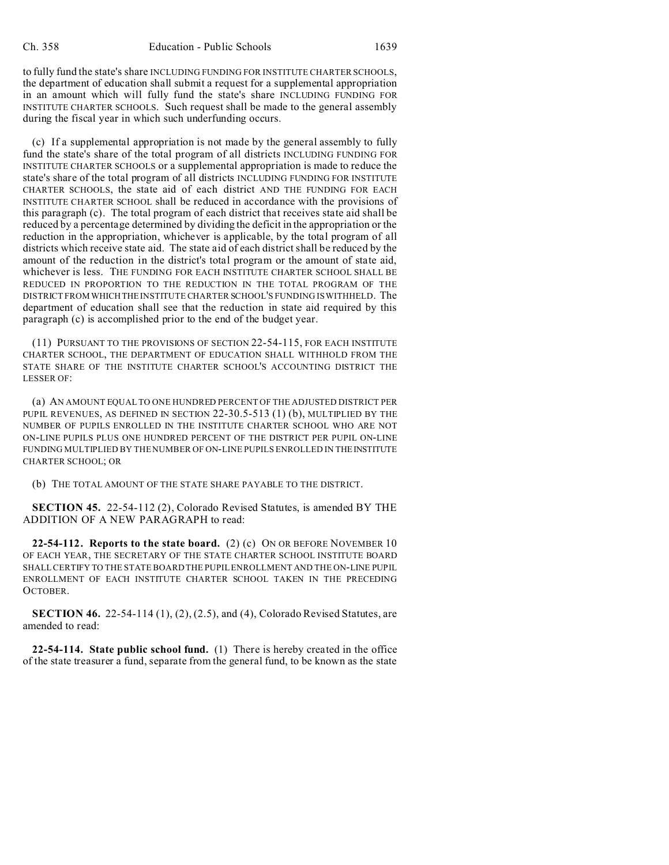to fully fund the state's share INCLUDING FUNDING FOR INSTITUTE CHARTER SCHOOLS, the department of education shall submit a request for a supplemental appropriation in an amount which will fully fund the state's share INCLUDING FUNDING FOR INSTITUTE CHARTER SCHOOLS. Such request shall be made to the general assembly during the fiscal year in which such underfunding occurs.

(c) If a supplemental appropriation is not made by the general assembly to fully fund the state's share of the total program of all districts INCLUDING FUNDING FOR INSTITUTE CHARTER SCHOOLS or a supplemental appropriation is made to reduce the state's share of the total program of all districts INCLUDING FUNDING FOR INSTITUTE CHARTER SCHOOLS, the state aid of each district AND THE FUNDING FOR EACH INSTITUTE CHARTER SCHOOL shall be reduced in accordance with the provisions of this paragraph (c). The total program of each district that receives state aid shall be reduced by a percentage determined by dividing the deficit in the appropriation or the reduction in the appropriation, whichever is applicable, by the total program of all districts which receive state aid. The state aid of each district shall be reduced by the amount of the reduction in the district's total program or the amount of state aid, whichever is less. THE FUNDING FOR EACH INSTITUTE CHARTER SCHOOL SHALL BE REDUCED IN PROPORTION TO THE REDUCTION IN THE TOTAL PROGRAM OF THE DISTRICT FROM WHICHTHE INSTITUTE CHARTER SCHOOL'S FUNDING IS WITHHELD. The department of education shall see that the reduction in state aid required by this paragraph (c) is accomplished prior to the end of the budget year.

(11) PURSUANT TO THE PROVISIONS OF SECTION 22-54-115, FOR EACH INSTITUTE CHARTER SCHOOL, THE DEPARTMENT OF EDUCATION SHALL WITHHOLD FROM THE STATE SHARE OF THE INSTITUTE CHARTER SCHOOL'S ACCOUNTING DISTRICT THE LESSER OF:

(a) AN AMOUNT EQUAL TO ONE HUNDRED PERCENT OF THE ADJUSTED DISTRICT PER PUPIL REVENUES, AS DEFINED IN SECTION 22-30.5-513 (1) (b), MULTIPLIED BY THE NUMBER OF PUPILS ENROLLED IN THE INSTITUTE CHARTER SCHOOL WHO ARE NOT ON-LINE PUPILS PLUS ONE HUNDRED PERCENT OF THE DISTRICT PER PUPIL ON-LINE FUNDING MULTIPLIED BY THE NUMBER OF ON-LINE PUPILS ENROLLED IN THE INSTITUTE CHARTER SCHOOL; OR

(b) THE TOTAL AMOUNT OF THE STATE SHARE PAYABLE TO THE DISTRICT.

**SECTION 45.** 22-54-112 (2), Colorado Revised Statutes, is amended BY THE ADDITION OF A NEW PARAGRAPH to read:

**22-54-112. Reports to the state board.** (2) (c) ON OR BEFORE NOVEMBER 10 OF EACH YEAR, THE SECRETARY OF THE STATE CHARTER SCHOOL INSTITUTE BOARD SHALL CERTIFY TO THE STATE BOARD THE PUPIL ENROLLMENT AND THE ON-LINE PUPIL ENROLLMENT OF EACH INSTITUTE CHARTER SCHOOL TAKEN IN THE PRECEDING OCTOBER.

**SECTION 46.** 22-54-114 (1), (2), (2.5), and (4), Colorado Revised Statutes, are amended to read:

**22-54-114. State public school fund.** (1) There is hereby created in the office of the state treasurer a fund, separate from the general fund, to be known as the state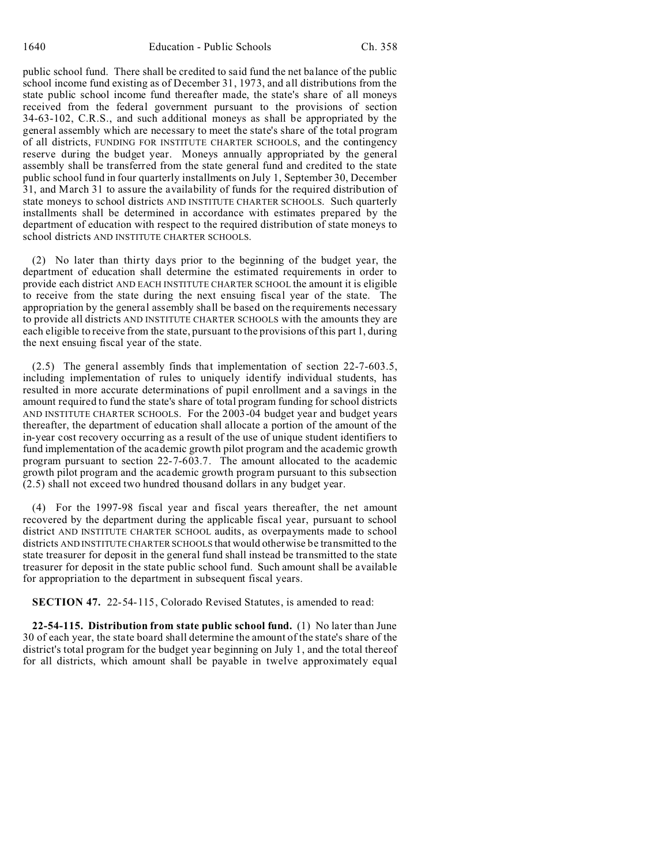public school fund. There shall be credited to said fund the net balance of the public school income fund existing as of December 31, 1973, and all distributions from the state public school income fund thereafter made, the state's share of all moneys received from the federal government pursuant to the provisions of section 34-63-102, C.R.S., and such additional moneys as shall be appropriated by the general assembly which are necessary to meet the state's share of the total program of all districts, FUNDING FOR INSTITUTE CHARTER SCHOOLS, and the contingency reserve during the budget year. Moneys annually appropriated by the general assembly shall be transferred from the state general fund and credited to the state public school fund in four quarterly installments on July 1, September 30, December 31, and March 31 to assure the availability of funds for the required distribution of state moneys to school districts AND INSTITUTE CHARTER SCHOOLS. Such quarterly installments shall be determined in accordance with estimates prepared by the department of education with respect to the required distribution of state moneys to school districts AND INSTITUTE CHARTER SCHOOLS.

(2) No later than thirty days prior to the beginning of the budget year, the department of education shall determine the estimated requirements in order to provide each district AND EACH INSTITUTE CHARTER SCHOOL the amount it is eligible to receive from the state during the next ensuing fiscal year of the state. The appropriation by the general assembly shall be based on the requirements necessary to provide all districts AND INSTITUTE CHARTER SCHOOLS with the amounts they are each eligible to receive from the state, pursuant to the provisions of this part 1, during the next ensuing fiscal year of the state.

(2.5) The general assembly finds that implementation of section 22-7-603.5, including implementation of rules to uniquely identify individual students, has resulted in more accurate determinations of pupil enrollment and a savings in the amount required to fund the state's share of total program funding for school districts AND INSTITUTE CHARTER SCHOOLS. For the 2003-04 budget year and budget years thereafter, the department of education shall allocate a portion of the amount of the in-year cost recovery occurring as a result of the use of unique student identifiers to fund implementation of the academic growth pilot program and the academic growth program pursuant to section 22-7-603.7. The amount allocated to the academic growth pilot program and the academic growth program pursuant to this subsection (2.5) shall not exceed two hundred thousand dollars in any budget year.

(4) For the 1997-98 fiscal year and fiscal years thereafter, the net amount recovered by the department during the applicable fiscal year, pursuant to school district AND INSTITUTE CHARTER SCHOOL audits, as overpayments made to school districts AND INSTITUTE CHARTER SCHOOLS that would otherwise be transmitted to the state treasurer for deposit in the general fund shall instead be transmitted to the state treasurer for deposit in the state public school fund. Such amount shall be available for appropriation to the department in subsequent fiscal years.

**SECTION 47.** 22-54-115, Colorado Revised Statutes, is amended to read:

**22-54-115. Distribution from state public school fund.** (1) No later than June 30 of each year, the state board shall determine the amount of the state's share of the district's total program for the budget year beginning on July 1, and the total thereof for all districts, which amount shall be payable in twelve approximately equal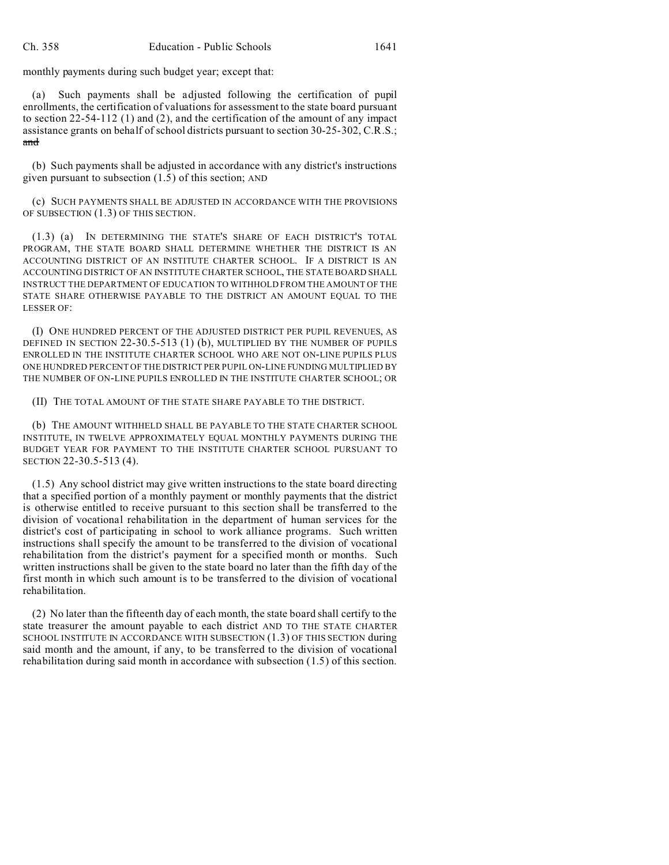monthly payments during such budget year; except that:

(a) Such payments shall be adjusted following the certification of pupil enrollments, the certification of valuations for assessment to the state board pursuant to section 22-54-112 (1) and (2), and the certification of the amount of any impact assistance grants on behalf of school districts pursuant to section 30-25-302, C.R.S.; and

(b) Such payments shall be adjusted in accordance with any district's instructions given pursuant to subsection (1.5) of this section; AND

(c) SUCH PAYMENTS SHALL BE ADJUSTED IN ACCORDANCE WITH THE PROVISIONS OF SUBSECTION (1.3) OF THIS SECTION.

(1.3) (a) IN DETERMINING THE STATE'S SHARE OF EACH DISTRICT'S TOTAL PROGRAM, THE STATE BOARD SHALL DETERMINE WHETHER THE DISTRICT IS AN ACCOUNTING DISTRICT OF AN INSTITUTE CHARTER SCHOOL. IF A DISTRICT IS AN ACCOUNTING DISTRICT OF AN INSTITUTE CHARTER SCHOOL, THE STATE BOARD SHALL INSTRUCT THE DEPARTMENT OF EDUCATION TO WITHHOLD FROM THE AMOUNT OF THE STATE SHARE OTHERWISE PAYABLE TO THE DISTRICT AN AMOUNT EQUAL TO THE LESSER OF:

(I) ONE HUNDRED PERCENT OF THE ADJUSTED DISTRICT PER PUPIL REVENUES, AS DEFINED IN SECTION 22-30.5-513 (1) (b), MULTIPLIED BY THE NUMBER OF PUPILS ENROLLED IN THE INSTITUTE CHARTER SCHOOL WHO ARE NOT ON-LINE PUPILS PLUS ONE HUNDRED PERCENT OF THE DISTRICT PER PUPIL ON-LINE FUNDING MULTIPLIED BY THE NUMBER OF ON-LINE PUPILS ENROLLED IN THE INSTITUTE CHARTER SCHOOL; OR

(II) THE TOTAL AMOUNT OF THE STATE SHARE PAYABLE TO THE DISTRICT.

(b) THE AMOUNT WITHHELD SHALL BE PAYABLE TO THE STATE CHARTER SCHOOL INSTITUTE, IN TWELVE APPROXIMATELY EQUAL MONTHLY PAYMENTS DURING THE BUDGET YEAR FOR PAYMENT TO THE INSTITUTE CHARTER SCHOOL PURSUANT TO SECTION 22-30.5-513 (4).

(1.5) Any school district may give written instructions to the state board directing that a specified portion of a monthly payment or monthly payments that the district is otherwise entitled to receive pursuant to this section shall be transferred to the division of vocational rehabilitation in the department of human services for the district's cost of participating in school to work alliance programs. Such written instructions shall specify the amount to be transferred to the division of vocational rehabilitation from the district's payment for a specified month or months. Such written instructions shall be given to the state board no later than the fifth day of the first month in which such amount is to be transferred to the division of vocational rehabilitation.

(2) No later than the fifteenth day of each month, the state board shall certify to the state treasurer the amount payable to each district AND TO THE STATE CHARTER SCHOOL INSTITUTE IN ACCORDANCE WITH SUBSECTION (1.3) OF THIS SECTION during said month and the amount, if any, to be transferred to the division of vocational rehabilitation during said month in accordance with subsection (1.5) of this section.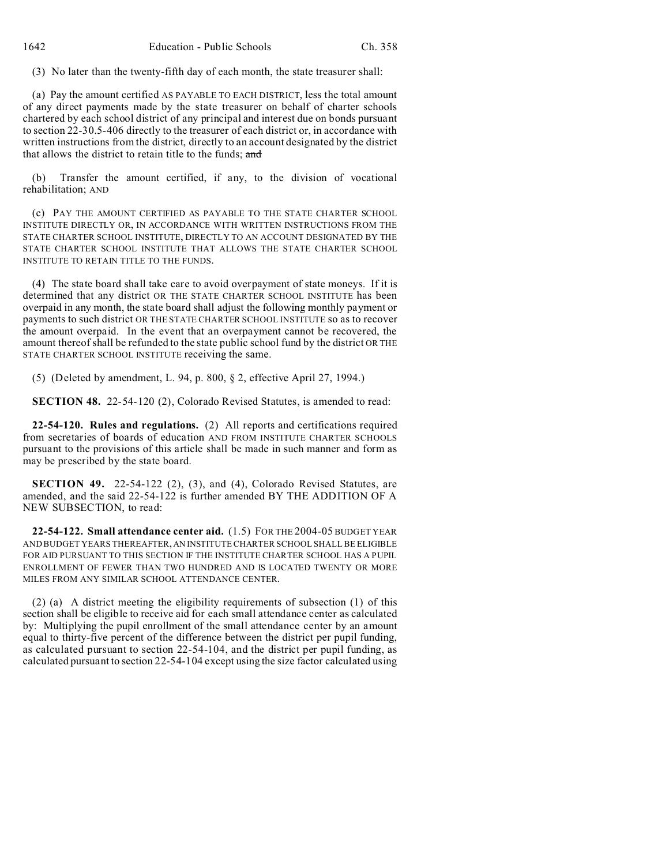(3) No later than the twenty-fifth day of each month, the state treasurer shall:

(a) Pay the amount certified AS PAYABLE TO EACH DISTRICT, less the total amount of any direct payments made by the state treasurer on behalf of charter schools chartered by each school district of any principal and interest due on bonds pursuant to section 22-30.5-406 directly to the treasurer of each district or, in accordance with written instructions from the district, directly to an account designated by the district that allows the district to retain title to the funds; and

(b) Transfer the amount certified, if any, to the division of vocational rehabilitation; AND

(c) PAY THE AMOUNT CERTIFIED AS PAYABLE TO THE STATE CHARTER SCHOOL INSTITUTE DIRECTLY OR, IN ACCORDANCE WITH WRITTEN INSTRUCTIONS FROM THE STATE CHARTER SCHOOL INSTITUTE, DIRECTLY TO AN ACCOUNT DESIGNATED BY THE STATE CHARTER SCHOOL INSTITUTE THAT ALLOWS THE STATE CHARTER SCHOOL INSTITUTE TO RETAIN TITLE TO THE FUNDS.

(4) The state board shall take care to avoid overpayment of state moneys. If it is determined that any district OR THE STATE CHARTER SCHOOL INSTITUTE has been overpaid in any month, the state board shall adjust the following monthly payment or payments to such district OR THE STATE CHARTER SCHOOL INSTITUTE so as to recover the amount overpaid. In the event that an overpayment cannot be recovered, the amount thereof shall be refunded to the state public school fund by the district OR THE STATE CHARTER SCHOOL INSTITUTE receiving the same.

(5) (Deleted by amendment, L. 94, p. 800, § 2, effective April 27, 1994.)

**SECTION 48.** 22-54-120 (2), Colorado Revised Statutes, is amended to read:

**22-54-120. Rules and regulations.** (2) All reports and certifications required from secretaries of boards of education AND FROM INSTITUTE CHARTER SCHOOLS pursuant to the provisions of this article shall be made in such manner and form as may be prescribed by the state board.

**SECTION 49.** 22-54-122 (2), (3), and (4), Colorado Revised Statutes, are amended, and the said 22-54-122 is further amended BY THE ADDITION OF A NEW SUBSECTION, to read:

**22-54-122. Small attendance center aid.** (1.5) FOR THE 2004-05 BUDGET YEAR AND BUDGET YEARS THEREAFTER,AN INSTITUTE CHARTER SCHOOL SHALL BE ELIGIBLE FOR AID PURSUANT TO THIS SECTION IF THE INSTITUTE CHARTER SCHOOL HAS A PUPIL ENROLLMENT OF FEWER THAN TWO HUNDRED AND IS LOCATED TWENTY OR MORE MILES FROM ANY SIMILAR SCHOOL ATTENDANCE CENTER.

(2) (a) A district meeting the eligibility requirements of subsection (1) of this section shall be eligible to receive aid for each small attendance center as calculated by: Multiplying the pupil enrollment of the small attendance center by an amount equal to thirty-five percent of the difference between the district per pupil funding, as calculated pursuant to section 22-54-104, and the district per pupil funding, as calculated pursuant to section 22-54-104 except using the size factor calculated using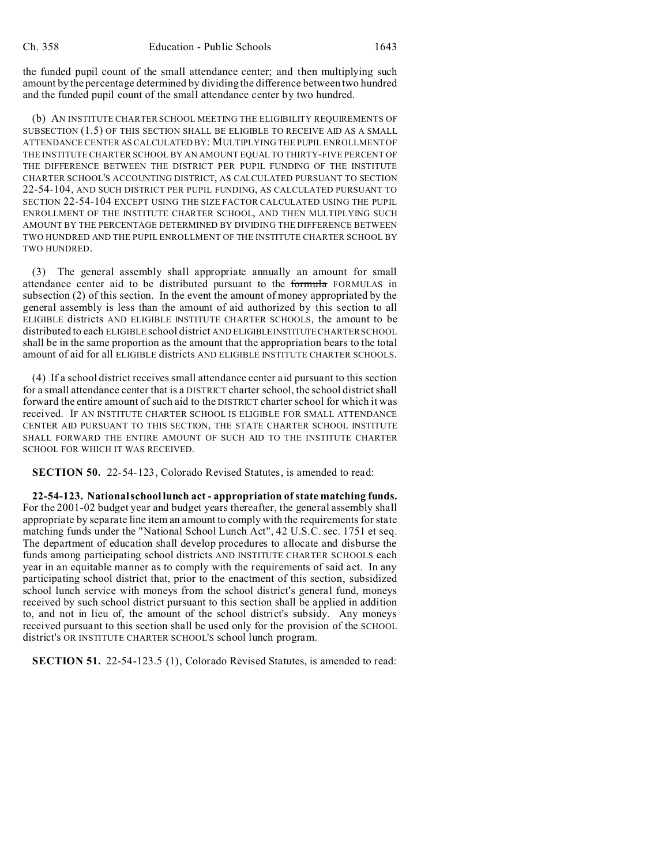the funded pupil count of the small attendance center; and then multiplying such amount by the percentage determined by dividing the difference between two hundred and the funded pupil count of the small attendance center by two hundred.

(b) AN INSTITUTE CHARTER SCHOOL MEETING THE ELIGIBILITY REQUIREMENTS OF SUBSECTION (1.5) OF THIS SECTION SHALL BE ELIGIBLE TO RECEIVE AID AS A SMALL ATTENDANCE CENTER AS CALCULATED BY: MULTIPLYING THE PUPIL ENROLLMENT OF THE INSTITUTE CHARTER SCHOOL BY AN AMOUNT EQUAL TO THIRTY-FIVE PERCENT OF THE DIFFERENCE BETWEEN THE DISTRICT PER PUPIL FUNDING OF THE INSTITUTE CHARTER SCHOOL'S ACCOUNTING DISTRICT, AS CALCULATED PURSUANT TO SECTION 22-54-104, AND SUCH DISTRICT PER PUPIL FUNDING, AS CALCULATED PURSUANT TO SECTION 22-54-104 EXCEPT USING THE SIZE FACTOR CALCULATED USING THE PUPIL ENROLLMENT OF THE INSTITUTE CHARTER SCHOOL, AND THEN MULTIPLYING SUCH AMOUNT BY THE PERCENTAGE DETERMINED BY DIVIDING THE DIFFERENCE BETWEEN TWO HUNDRED AND THE PUPIL ENROLLMENT OF THE INSTITUTE CHARTER SCHOOL BY TWO HUNDRED.

(3) The general assembly shall appropriate annually an amount for small attendance center aid to be distributed pursuant to the formula FORMULAS in subsection (2) of this section. In the event the amount of money appropriated by the general assembly is less than the amount of aid authorized by this section to all ELIGIBLE districts AND ELIGIBLE INSTITUTE CHARTER SCHOOLS, the amount to be distributed to each ELIGIBLE school district AND ELIGIBLEINSTITUTE CHARTER SCHOOL shall be in the same proportion as the amount that the appropriation bears to the total amount of aid for all ELIGIBLE districts AND ELIGIBLE INSTITUTE CHARTER SCHOOLS.

(4) If a school district receives small attendance center aid pursuant to this section for a small attendance center that is a DISTRICT charter school, the school district shall forward the entire amount of such aid to the DISTRICT charter school for which it was received. IF AN INSTITUTE CHARTER SCHOOL IS ELIGIBLE FOR SMALL ATTENDANCE CENTER AID PURSUANT TO THIS SECTION, THE STATE CHARTER SCHOOL INSTITUTE SHALL FORWARD THE ENTIRE AMOUNT OF SUCH AID TO THE INSTITUTE CHARTER SCHOOL FOR WHICH IT WAS RECEIVED.

**SECTION 50.** 22-54-123, Colorado Revised Statutes, is amended to read:

**22-54-123. National school lunch act - appropriation of state matching funds.** For the 2001-02 budget year and budget years thereafter, the general assembly shall appropriate by separate line item an amount to comply with the requirements for state matching funds under the "National School Lunch Act", 42 U.S.C. sec. 1751 et seq. The department of education shall develop procedures to allocate and disburse the funds among participating school districts AND INSTITUTE CHARTER SCHOOLS each year in an equitable manner as to comply with the requirements of said act. In any participating school district that, prior to the enactment of this section, subsidized school lunch service with moneys from the school district's general fund, moneys received by such school district pursuant to this section shall be applied in addition to, and not in lieu of, the amount of the school district's subsidy. Any moneys received pursuant to this section shall be used only for the provision of the SCHOOL district's OR INSTITUTE CHARTER SCHOOL'S school lunch program.

**SECTION 51.** 22-54-123.5 (1), Colorado Revised Statutes, is amended to read: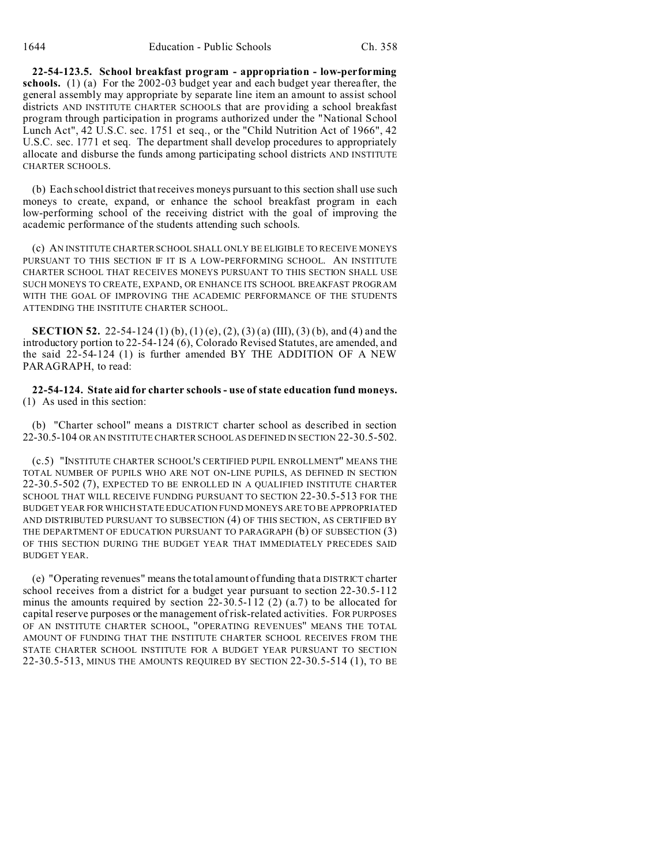**22-54-123.5. School breakfast program - appropriation - low-performing schools.** (1) (a) For the 2002-03 budget year and each budget year thereafter, the general assembly may appropriate by separate line item an amount to assist school districts AND INSTITUTE CHARTER SCHOOLS that are providing a school breakfast program through participation in programs authorized under the "National School Lunch Act", 42 U.S.C. sec. 1751 et seq., or the "Child Nutrition Act of 1966", 42 U.S.C. sec. 1771 et seq. The department shall develop procedures to appropriately allocate and disburse the funds among participating school districts AND INSTITUTE CHARTER SCHOOLS.

(b) Each school district that receives moneys pursuant to this section shall use such moneys to create, expand, or enhance the school breakfast program in each low-performing school of the receiving district with the goal of improving the academic performance of the students attending such schools.

(c) AN INSTITUTE CHARTER SCHOOL SHALL ONLY BE ELIGIBLE TO RECEIVE MONEYS PURSUANT TO THIS SECTION IF IT IS A LOW-PERFORMING SCHOOL. AN INSTITUTE CHARTER SCHOOL THAT RECEIVES MONEYS PURSUANT TO THIS SECTION SHALL USE SUCH MONEYS TO CREATE, EXPAND, OR ENHANCE ITS SCHOOL BREAKFAST PROGRAM WITH THE GOAL OF IMPROVING THE ACADEMIC PERFORMANCE OF THE STUDENTS ATTENDING THE INSTITUTE CHARTER SCHOOL.

**SECTION 52.** 22-54-124 (1) (b), (1) (e), (2), (3) (a) (III), (3) (b), and (4) and the introductory portion to 22-54-124 (6), Colorado Revised Statutes, are amended, and the said 22-54-124 (1) is further amended BY THE ADDITION OF A NEW PARAGRAPH, to read:

**22-54-124. State aid for charter schools - use of state education fund moneys.** (1) As used in this section:

(b) "Charter school" means a DISTRICT charter school as described in section 22-30.5-104 OR AN INSTITUTE CHARTER SCHOOL AS DEFINED IN SECTION 22-30.5-502.

(c.5) "INSTITUTE CHARTER SCHOOL'S CERTIFIED PUPIL ENROLLMENT" MEANS THE TOTAL NUMBER OF PUPILS WHO ARE NOT ON-LINE PUPILS, AS DEFINED IN SECTION 22-30.5-502 (7), EXPECTED TO BE ENROLLED IN A QUALIFIED INSTITUTE CHARTER SCHOOL THAT WILL RECEIVE FUNDING PURSUANT TO SECTION 22-30.5-513 FOR THE BUDGET YEAR FOR WHICH STATE EDUCATION FUND MONEYS ARE TO BE APPROPRIATED AND DISTRIBUTED PURSUANT TO SUBSECTION (4) OF THIS SECTION, AS CERTIFIED BY THE DEPARTMENT OF EDUCATION PURSUANT TO PARAGRAPH (b) OF SUBSECTION (3) OF THIS SECTION DURING THE BUDGET YEAR THAT IMMEDIATELY PRECEDES SAID BUDGET YEAR.

(e) "Operating revenues" means the total amount of funding that a DISTRICT charter school receives from a district for a budget year pursuant to section 22-30.5-112 minus the amounts required by section  $22-30.5-112$  (2) (a.7) to be allocated for capital reserve purposes or the management of risk-related activities. FOR PURPOSES OF AN INSTITUTE CHARTER SCHOOL, "OPERATING REVENUES" MEANS THE TOTAL AMOUNT OF FUNDING THAT THE INSTITUTE CHARTER SCHOOL RECEIVES FROM THE STATE CHARTER SCHOOL INSTITUTE FOR A BUDGET YEAR PURSUANT TO SECTION 22-30.5-513, MINUS THE AMOUNTS REQUIRED BY SECTION 22-30.5-514 (1), TO BE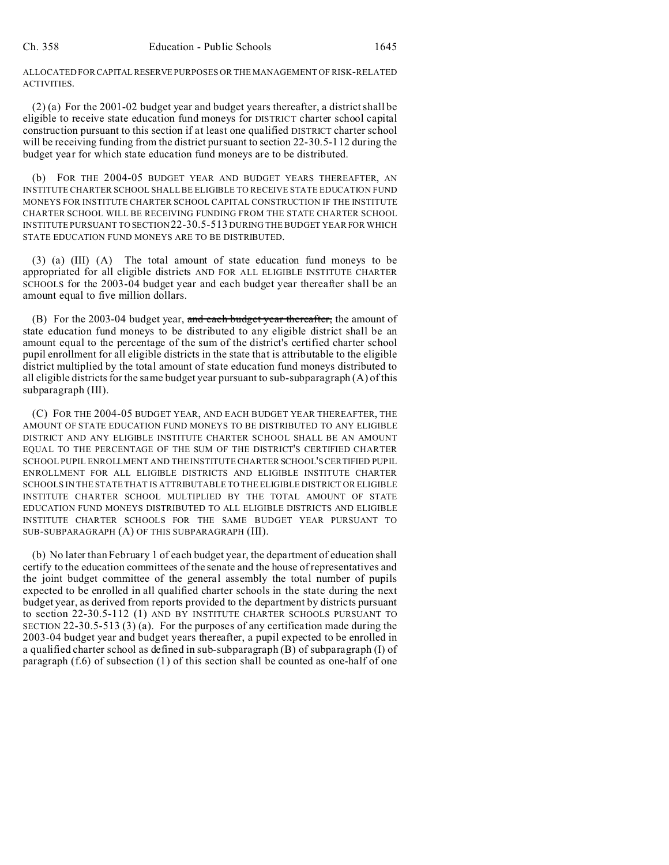ALLOCATED FOR CAPITALRESERVE PURPOSES OR THE MANAGEMENT OF RISK-RELATED ACTIVITIES.

(2) (a) For the 2001-02 budget year and budget years thereafter, a district shall be eligible to receive state education fund moneys for DISTRICT charter school capital construction pursuant to this section if at least one qualified DISTRICT charter school will be receiving funding from the district pursuant to section 22-30.5-112 during the budget year for which state education fund moneys are to be distributed.

(b) FOR THE 2004-05 BUDGET YEAR AND BUDGET YEARS THEREAFTER, AN INSTITUTE CHARTER SCHOOL SHALL BE ELIGIBLE TO RECEIVE STATE EDUCATION FUND MONEYS FOR INSTITUTE CHARTER SCHOOL CAPITAL CONSTRUCTION IF THE INSTITUTE CHARTER SCHOOL WILL BE RECEIVING FUNDING FROM THE STATE CHARTER SCHOOL INSTITUTE PURSUANT TO SECTION 22-30.5-513 DURING THE BUDGET YEAR FOR WHICH STATE EDUCATION FUND MONEYS ARE TO BE DISTRIBUTED.

(3) (a) (III) (A) The total amount of state education fund moneys to be appropriated for all eligible districts AND FOR ALL ELIGIBLE INSTITUTE CHARTER SCHOOLS for the 2003-04 budget year and each budget year thereafter shall be an amount equal to five million dollars.

(B) For the 2003-04 budget year, and each budget year thereafter, the amount of state education fund moneys to be distributed to any eligible district shall be an amount equal to the percentage of the sum of the district's certified charter school pupil enrollment for all eligible districts in the state that is attributable to the eligible district multiplied by the total amount of state education fund moneys distributed to all eligible districts for the same budget year pursuant to sub-subparagraph (A) of this subparagraph (III).

(C) FOR THE 2004-05 BUDGET YEAR, AND EACH BUDGET YEAR THEREAFTER, THE AMOUNT OF STATE EDUCATION FUND MONEYS TO BE DISTRIBUTED TO ANY ELIGIBLE DISTRICT AND ANY ELIGIBLE INSTITUTE CHARTER SCHOOL SHALL BE AN AMOUNT EQUAL TO THE PERCENTAGE OF THE SUM OF THE DISTRICT'S CERTIFIED CHARTER SCHOOL PUPIL ENROLLMENT AND THE INSTITUTE CHARTER SCHOOL'S CERTIFIED PUPIL ENROLLMENT FOR ALL ELIGIBLE DISTRICTS AND ELIGIBLE INSTITUTE CHARTER SCHOOLS IN THE STATE THAT IS ATTRIBUTABLE TO THE ELIGIBLE DISTRICT OR ELIGIBLE INSTITUTE CHARTER SCHOOL MULTIPLIED BY THE TOTAL AMOUNT OF STATE EDUCATION FUND MONEYS DISTRIBUTED TO ALL ELIGIBLE DISTRICTS AND ELIGIBLE INSTITUTE CHARTER SCHOOLS FOR THE SAME BUDGET YEAR PURSUANT TO SUB-SUBPARAGRAPH (A) OF THIS SUBPARAGRAPH (III).

(b) No later than February 1 of each budget year, the department of education shall certify to the education committees of the senate and the house of representatives and the joint budget committee of the general assembly the total number of pupils expected to be enrolled in all qualified charter schools in the state during the next budget year, as derived from reports provided to the department by districts pursuant to section 22-30.5-112 (1) AND BY INSTITUTE CHARTER SCHOOLS PURSUANT TO SECTION 22-30.5-513 (3) (a). For the purposes of any certification made during the 2003-04 budget year and budget years thereafter, a pupil expected to be enrolled in a qualified charter school as defined in sub-subparagraph (B) of subparagraph (I) of paragraph (f.6) of subsection (1) of this section shall be counted as one-half of one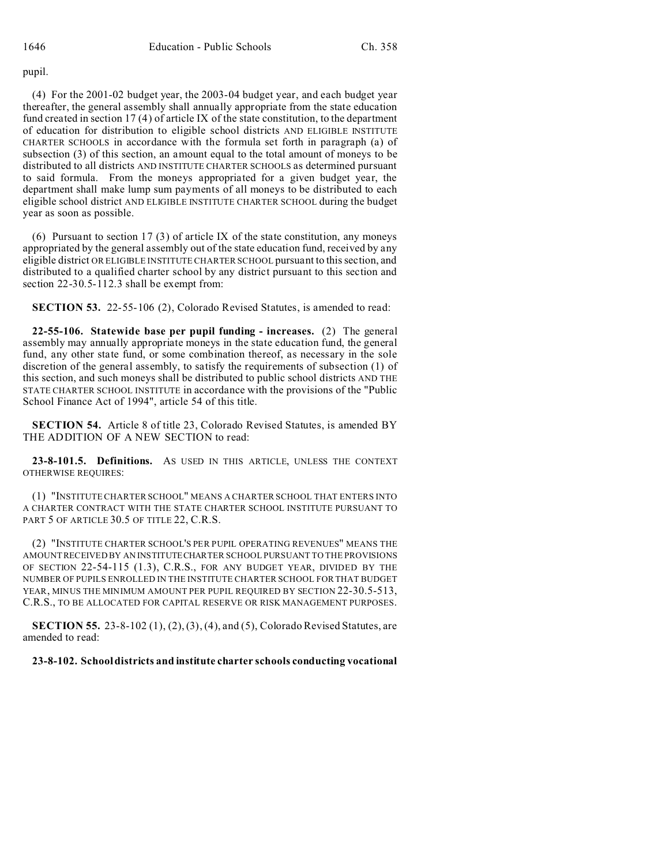#### pupil.

(4) For the 2001-02 budget year, the 2003-04 budget year, and each budget year thereafter, the general assembly shall annually appropriate from the state education fund created in section 17 (4) of article IX of the state constitution, to the department of education for distribution to eligible school districts AND ELIGIBLE INSTITUTE CHARTER SCHOOLS in accordance with the formula set forth in paragraph (a) of subsection (3) of this section, an amount equal to the total amount of moneys to be distributed to all districts AND INSTITUTE CHARTER SCHOOLS as determined pursuant to said formula. From the moneys appropriated for a given budget year, the department shall make lump sum payments of all moneys to be distributed to each eligible school district AND ELIGIBLE INSTITUTE CHARTER SCHOOL during the budget year as soon as possible.

(6) Pursuant to section 17 (3) of article IX of the state constitution, any moneys appropriated by the general assembly out of the state education fund, received by any eligible district OR ELIGIBLE INSTITUTE CHARTER SCHOOL pursuant to this section, and distributed to a qualified charter school by any district pursuant to this section and section 22-30.5-112.3 shall be exempt from:

**SECTION 53.** 22-55-106 (2), Colorado Revised Statutes, is amended to read:

**22-55-106. Statewide base per pupil funding - increases.** (2) The general assembly may annually appropriate moneys in the state education fund, the general fund, any other state fund, or some combination thereof, as necessary in the sole discretion of the general assembly, to satisfy the requirements of subsection (1) of this section, and such moneys shall be distributed to public school districts AND THE STATE CHARTER SCHOOL INSTITUTE in accordance with the provisions of the "Public School Finance Act of 1994", article 54 of this title.

**SECTION 54.** Article 8 of title 23, Colorado Revised Statutes, is amended BY THE ADDITION OF A NEW SECTION to read:

**23-8-101.5. Definitions.** AS USED IN THIS ARTICLE, UNLESS THE CONTEXT OTHERWISE REQUIRES:

(1) "INSTITUTE CHARTER SCHOOL" MEANS A CHARTER SCHOOL THAT ENTERS INTO A CHARTER CONTRACT WITH THE STATE CHARTER SCHOOL INSTITUTE PURSUANT TO PART 5 OF ARTICLE 30.5 OF TITLE 22, C.R.S.

(2) "INSTITUTE CHARTER SCHOOL'S PER PUPIL OPERATING REVENUES" MEANS THE AMOUNT RECEIVED BY AN INSTITUTECHARTER SCHOOL PURSUANT TO THE PROVISIONS OF SECTION 22-54-115 (1.3), C.R.S., FOR ANY BUDGET YEAR, DIVIDED BY THE NUMBER OF PUPILS ENROLLED IN THE INSTITUTE CHARTER SCHOOL FOR THAT BUDGET YEAR, MINUS THE MINIMUM AMOUNT PER PUPIL REQUIRED BY SECTION 22-30.5-513, C.R.S., TO BE ALLOCATED FOR CAPITAL RESERVE OR RISK MANAGEMENT PURPOSES.

**SECTION 55.** 23-8-102 (1), (2), (3), (4), and (5), Colorado Revised Statutes, are amended to read:

### **23-8-102. School districts and institute charter schools conducting vocational**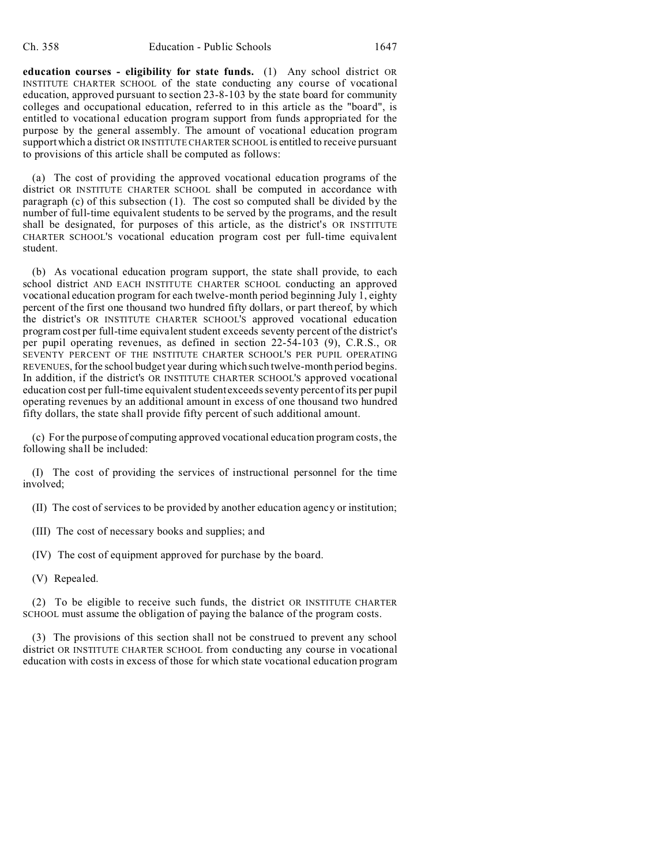**education courses - eligibility for state funds.** (1) Any school district OR INSTITUTE CHARTER SCHOOL of the state conducting any course of vocational education, approved pursuant to section 23-8-103 by the state board for community colleges and occupational education, referred to in this article as the "board", is entitled to vocational education program support from funds appropriated for the purpose by the general assembly. The amount of vocational education program support which a district OR INSTITUTE CHARTER SCHOOL is entitled to receive pursuant to provisions of this article shall be computed as follows:

(a) The cost of providing the approved vocational education programs of the district OR INSTITUTE CHARTER SCHOOL shall be computed in accordance with paragraph (c) of this subsection (1). The cost so computed shall be divided by the number of full-time equivalent students to be served by the programs, and the result shall be designated, for purposes of this article, as the district's OR INSTITUTE CHARTER SCHOOL'S vocational education program cost per full-time equivalent student.

(b) As vocational education program support, the state shall provide, to each school district AND EACH INSTITUTE CHARTER SCHOOL conducting an approved vocational education program for each twelve-month period beginning July 1, eighty percent of the first one thousand two hundred fifty dollars, or part thereof, by which the district's OR INSTITUTE CHARTER SCHOOL'S approved vocational education program cost per full-time equivalent student exceeds seventy percent of the district's per pupil operating revenues, as defined in section 22-54-103 (9), C.R.S., OR SEVENTY PERCENT OF THE INSTITUTE CHARTER SCHOOL'S PER PUPIL OPERATING REVENUES, for the school budget year during which such twelve-month period begins. In addition, if the district's OR INSTITUTE CHARTER SCHOOL'S approved vocational education cost per full-time equivalent student exceeds seventy percent of its per pupil operating revenues by an additional amount in excess of one thousand two hundred fifty dollars, the state shall provide fifty percent of such additional amount.

(c) For the purpose of computing approved vocational education program costs, the following shall be included:

(I) The cost of providing the services of instructional personnel for the time involved;

(II) The cost of services to be provided by another education agency or institution;

(III) The cost of necessary books and supplies; and

(IV) The cost of equipment approved for purchase by the board.

(V) Repealed.

(2) To be eligible to receive such funds, the district OR INSTITUTE CHARTER SCHOOL must assume the obligation of paying the balance of the program costs.

(3) The provisions of this section shall not be construed to prevent any school district OR INSTITUTE CHARTER SCHOOL from conducting any course in vocational education with costs in excess of those for which state vocational education program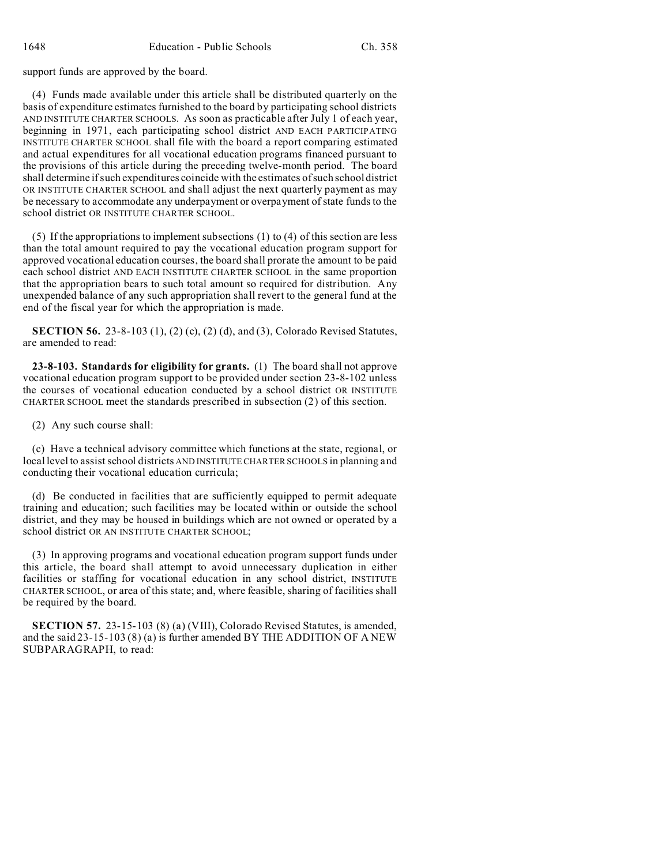support funds are approved by the board.

(4) Funds made available under this article shall be distributed quarterly on the basis of expenditure estimates furnished to the board by participating school districts AND INSTITUTE CHARTER SCHOOLS. As soon as practicable after July 1 of each year, beginning in 1971, each participating school district AND EACH PARTICIPATING INSTITUTE CHARTER SCHOOL shall file with the board a report comparing estimated and actual expenditures for all vocational education programs financed pursuant to the provisions of this article during the preceding twelve-month period. The board shall determine if such expenditures coincide with the estimates of such school district OR INSTITUTE CHARTER SCHOOL and shall adjust the next quarterly payment as may be necessary to accommodate any underpayment or overpayment of state funds to the school district OR INSTITUTE CHARTER SCHOOL.

(5) If the appropriations to implement subsections (1) to (4) of this section are less than the total amount required to pay the vocational education program support for approved vocational education courses, the board shall prorate the amount to be paid each school district AND EACH INSTITUTE CHARTER SCHOOL in the same proportion that the appropriation bears to such total amount so required for distribution. Any unexpended balance of any such appropriation shall revert to the general fund at the end of the fiscal year for which the appropriation is made.

**SECTION 56.** 23-8-103 (1), (2) (c), (2) (d), and (3), Colorado Revised Statutes, are amended to read:

**23-8-103. Standards for eligibility for grants.** (1) The board shall not approve vocational education program support to be provided under section 23-8-102 unless the courses of vocational education conducted by a school district OR INSTITUTE CHARTER SCHOOL meet the standards prescribed in subsection (2) of this section.

(2) Any such course shall:

(c) Have a technical advisory committee which functions at the state, regional, or local level to assist school districts AND INSTITUTE CHARTER SCHOOLS in planning and conducting their vocational education curricula;

(d) Be conducted in facilities that are sufficiently equipped to permit adequate training and education; such facilities may be located within or outside the school district, and they may be housed in buildings which are not owned or operated by a school district OR AN INSTITUTE CHARTER SCHOOL;

(3) In approving programs and vocational education program support funds under this article, the board shall attempt to avoid unnecessary duplication in either facilities or staffing for vocational education in any school district, INSTITUTE CHARTER SCHOOL, or area of this state; and, where feasible, sharing of facilities shall be required by the board.

**SECTION 57.** 23-15-103 (8) (a) (VIII), Colorado Revised Statutes, is amended, and the said 23-15-103 (8) (a) is further amended BY THE ADDITION OF A NEW SUBPARAGRAPH, to read: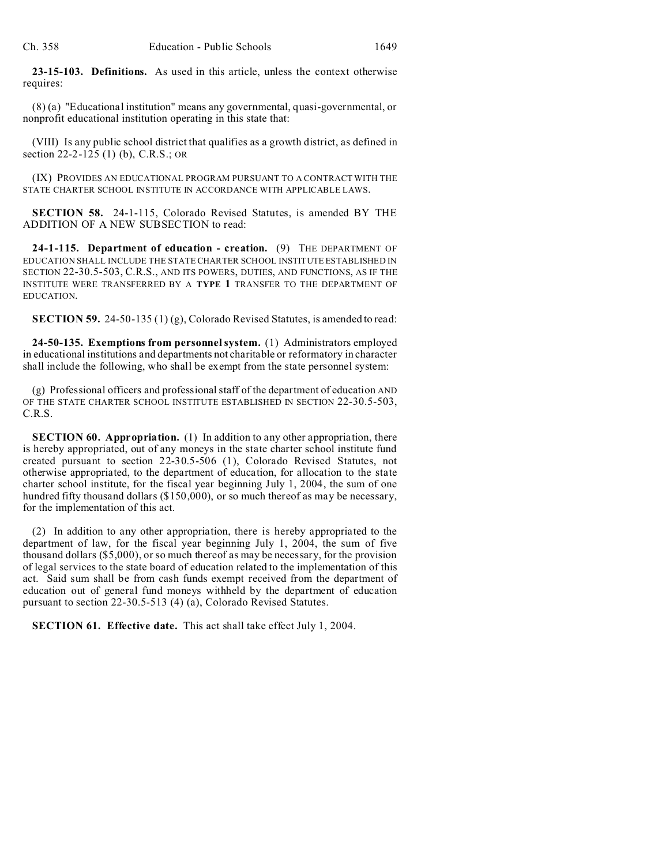**23-15-103. Definitions.** As used in this article, unless the context otherwise requires:

(8) (a) "Educational institution" means any governmental, quasi-governmental, or nonprofit educational institution operating in this state that:

(VIII) Is any public school district that qualifies as a growth district, as defined in section 22-2-125 (1) (b), C.R.S.; OR

(IX) PROVIDES AN EDUCATIONAL PROGRAM PURSUANT TO A CONTRACT WITH THE STATE CHARTER SCHOOL INSTITUTE IN ACCORDANCE WITH APPLICABLE LAWS.

**SECTION 58.** 24-1-115, Colorado Revised Statutes, is amended BY THE ADDITION OF A NEW SUBSECTION to read:

**24-1-115. Department of education - creation.** (9) THE DEPARTMENT OF EDUCATION SHALL INCLUDE THE STATE CHARTER SCHOOL INSTITUTE ESTABLISHED IN SECTION 22-30.5-503, C.R.S., AND ITS POWERS, DUTIES, AND FUNCTIONS, AS IF THE INSTITUTE WERE TRANSFERRED BY A **TYPE 1** TRANSFER TO THE DEPARTMENT OF EDUCATION.

**SECTION 59.** 24-50-135 (1) (g), Colorado Revised Statutes, is amended to read:

**24-50-135. Exemptions from personnel system.** (1) Administrators employed in educational institutions and departments not charitable or reformatory in character shall include the following, who shall be exempt from the state personnel system:

(g) Professional officers and professional staff of the department of education AND OF THE STATE CHARTER SCHOOL INSTITUTE ESTABLISHED IN SECTION 22-30.5-503, C.R.S.

**SECTION 60. Appropriation.** (1) In addition to any other appropriation, there is hereby appropriated, out of any moneys in the state charter school institute fund created pursuant to section 22-30.5-506 (1), Colorado Revised Statutes, not otherwise appropriated, to the department of education, for allocation to the state charter school institute, for the fiscal year beginning July 1, 2004, the sum of one hundred fifty thousand dollars (\$150,000), or so much thereof as may be necessary, for the implementation of this act.

(2) In addition to any other appropriation, there is hereby appropriated to the department of law, for the fiscal year beginning July 1, 2004, the sum of five thousand dollars (\$5,000), or so much thereof as may be necessary, for the provision of legal services to the state board of education related to the implementation of this act. Said sum shall be from cash funds exempt received from the department of education out of general fund moneys withheld by the department of education pursuant to section 22-30.5-513 (4) (a), Colorado Revised Statutes.

**SECTION 61. Effective date.** This act shall take effect July 1, 2004.